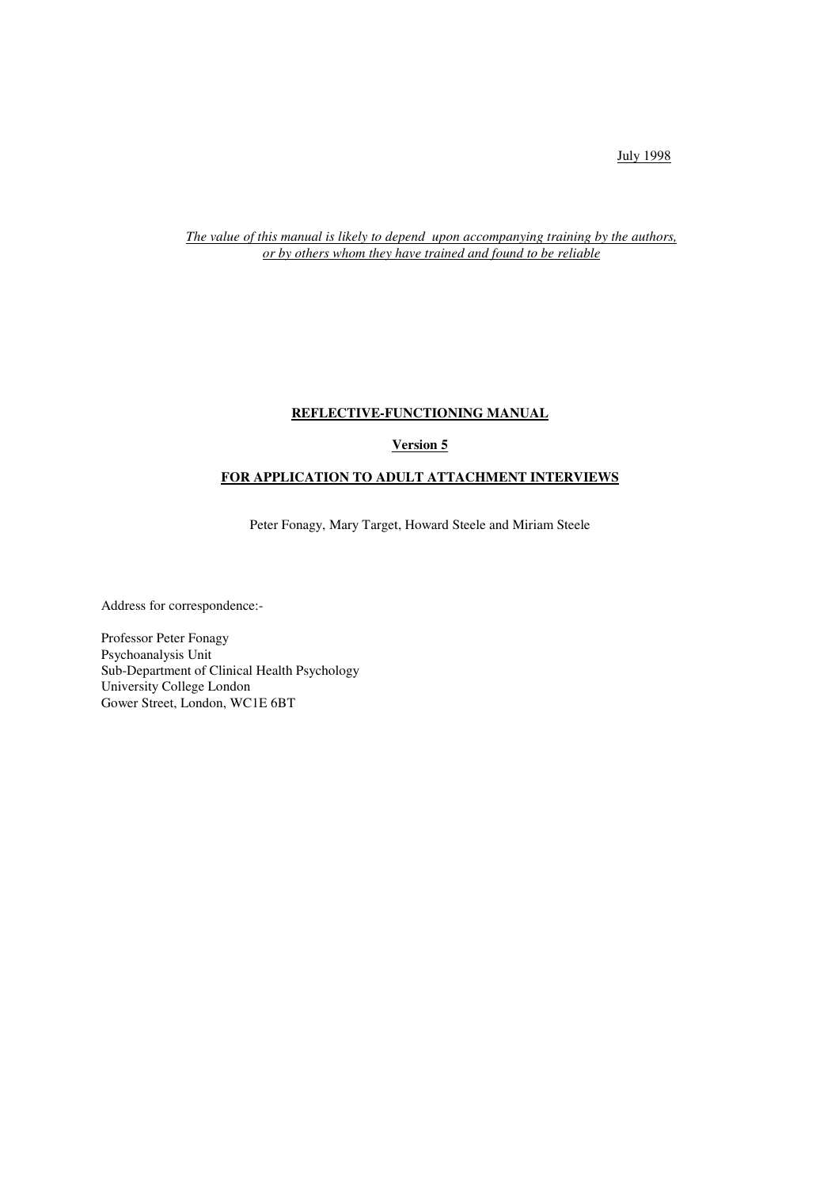July 1998

*The value of this manual is likely to depend upon accompanying training by the authors, or by others whom they have trained and found to be reliable*

# **REFLECTIVE-FUNCTIONING MANUAL**

# **Version 5**

# **FOR APPLICATION TO ADULT ATTACHMENT INTERVIEWS**

Peter Fonagy, Mary Target, Howard Steele and Miriam Steele

Address for correspondence:-

Professor Peter Fonagy Psychoanalysis Unit Sub-Department of Clinical Health Psychology University College London Gower Street, London, WC1E 6BT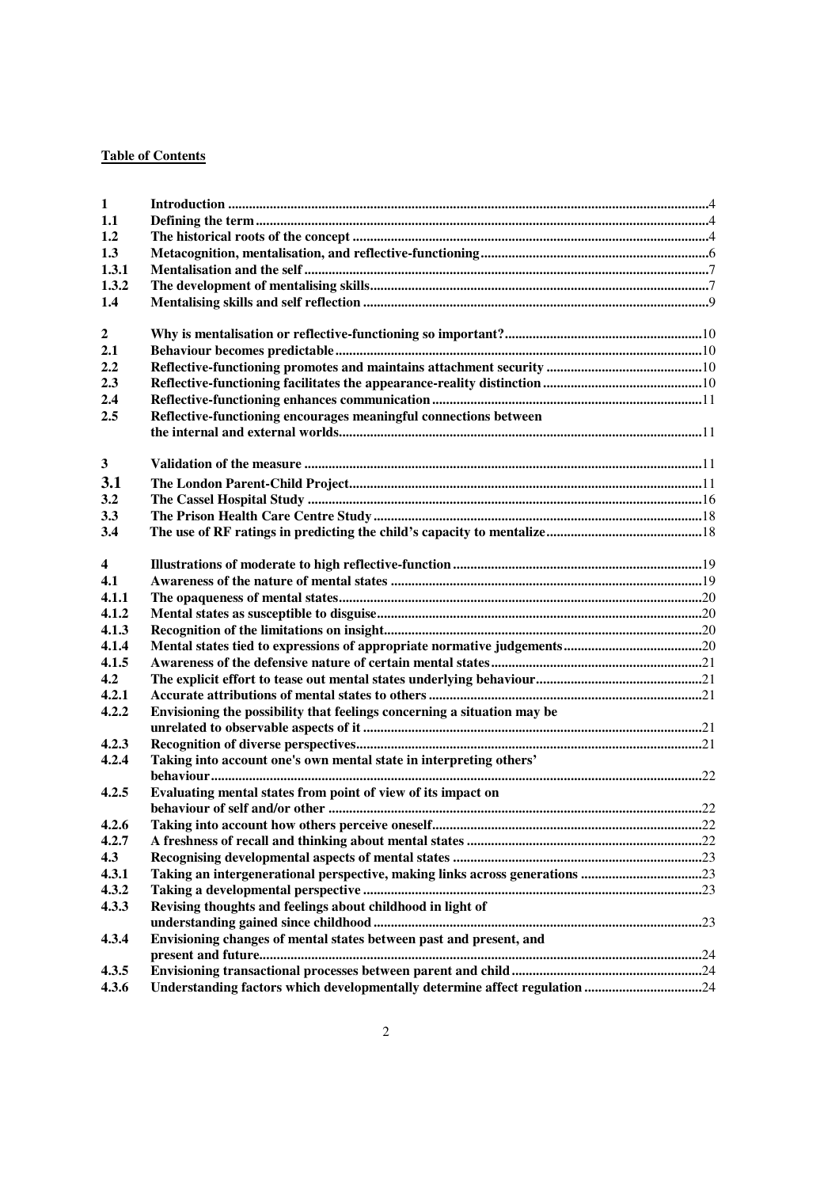# **Table of Contents**

| $\mathbf{1}$            |                                                                            |  |
|-------------------------|----------------------------------------------------------------------------|--|
| 1.1                     |                                                                            |  |
| 1.2                     |                                                                            |  |
| 1.3                     |                                                                            |  |
| 1.3.1                   |                                                                            |  |
| 1.3.2                   |                                                                            |  |
| 1.4                     |                                                                            |  |
|                         |                                                                            |  |
| $\boldsymbol{2}$        |                                                                            |  |
| 2.1                     |                                                                            |  |
| 2.2                     |                                                                            |  |
| 2.3                     |                                                                            |  |
| 2.4                     |                                                                            |  |
| 2.5                     | Reflective-functioning encourages meaningful connections between           |  |
|                         |                                                                            |  |
|                         |                                                                            |  |
| $\mathbf{3}$            |                                                                            |  |
|                         |                                                                            |  |
| 3.1                     |                                                                            |  |
| 3.2                     |                                                                            |  |
| 3.3                     |                                                                            |  |
| 3.4                     |                                                                            |  |
|                         |                                                                            |  |
| $\overline{\mathbf{4}}$ |                                                                            |  |
| 4.1                     |                                                                            |  |
| 4.1.1                   |                                                                            |  |
| 4.1.2                   |                                                                            |  |
| 4.1.3                   |                                                                            |  |
| 4.1.4                   |                                                                            |  |
| 4.1.5                   |                                                                            |  |
| 4.2                     |                                                                            |  |
| 4.2.1                   |                                                                            |  |
| 4.2.2                   | Envisioning the possibility that feelings concerning a situation may be    |  |
|                         |                                                                            |  |
| 4.2.3                   |                                                                            |  |
| 4.2.4                   | Taking into account one's own mental state in interpreting others'         |  |
|                         |                                                                            |  |
| 4.2.5                   | Evaluating mental states from point of view of its impact on               |  |
|                         |                                                                            |  |
| 4.2.6                   |                                                                            |  |
| 4.2.7                   |                                                                            |  |
| 4.3                     |                                                                            |  |
| 4.3.1                   |                                                                            |  |
| 4.3.2                   |                                                                            |  |
| 4.3.3                   | Revising thoughts and feelings about childhood in light of                 |  |
|                         |                                                                            |  |
| 4.3.4                   | Envisioning changes of mental states between past and present, and         |  |
|                         |                                                                            |  |
| 4.3.5                   |                                                                            |  |
| 4.3.6                   | Understanding factors which developmentally determine affect regulation 24 |  |
|                         |                                                                            |  |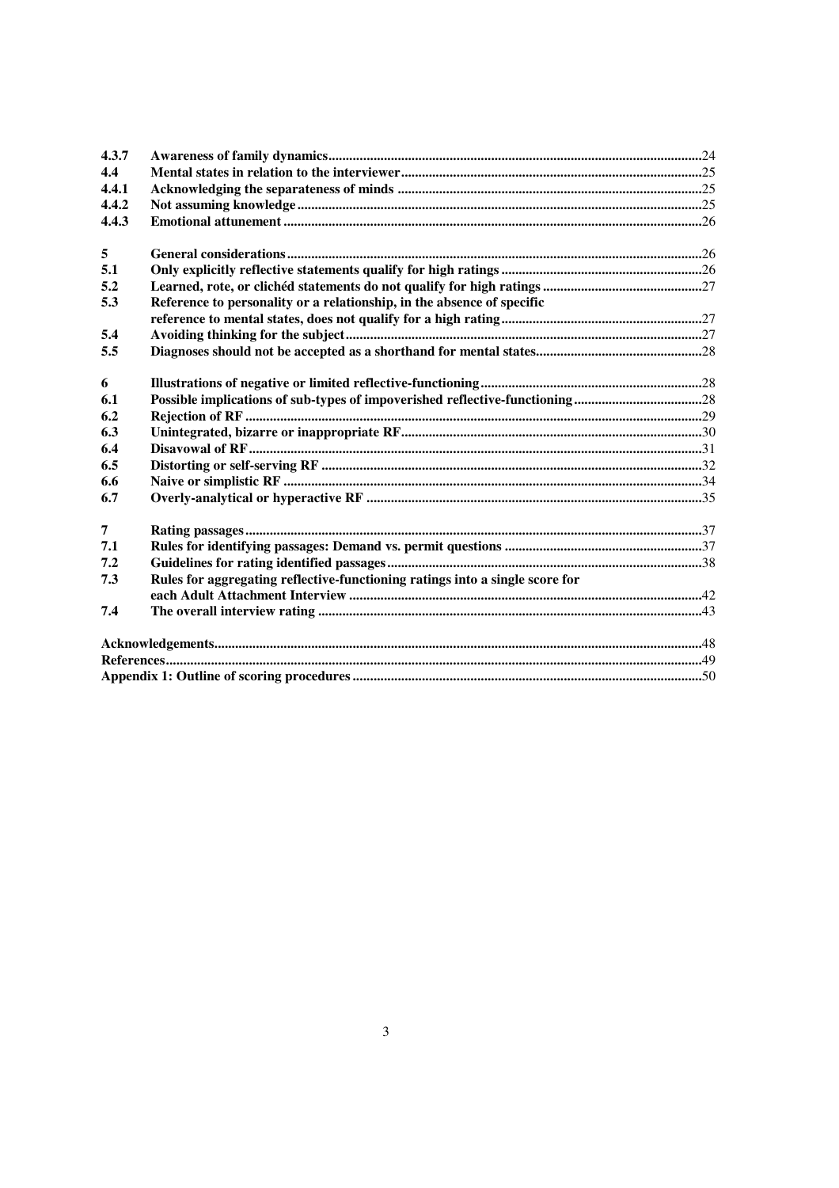| 4.3.7          |                                                                              |
|----------------|------------------------------------------------------------------------------|
| 4.4            |                                                                              |
| 4.4.1          |                                                                              |
| 4.4.2          |                                                                              |
| 4.4.3          |                                                                              |
| 5              |                                                                              |
| 5.1            |                                                                              |
| 5.2            |                                                                              |
| 5.3            | Reference to personality or a relationship, in the absence of specific       |
|                |                                                                              |
| 5.4            |                                                                              |
| 5.5            |                                                                              |
|                |                                                                              |
| 6              |                                                                              |
| 6.1            |                                                                              |
| 6.2            |                                                                              |
| 6.3            |                                                                              |
| 6.4            |                                                                              |
| 6.5            |                                                                              |
| 6.6            |                                                                              |
| 6.7            |                                                                              |
| $\overline{7}$ |                                                                              |
| 7.1            |                                                                              |
| 7.2            |                                                                              |
| 7.3            | Rules for aggregating reflective-functioning ratings into a single score for |
| 7.4            |                                                                              |
|                |                                                                              |
|                |                                                                              |
|                |                                                                              |
|                |                                                                              |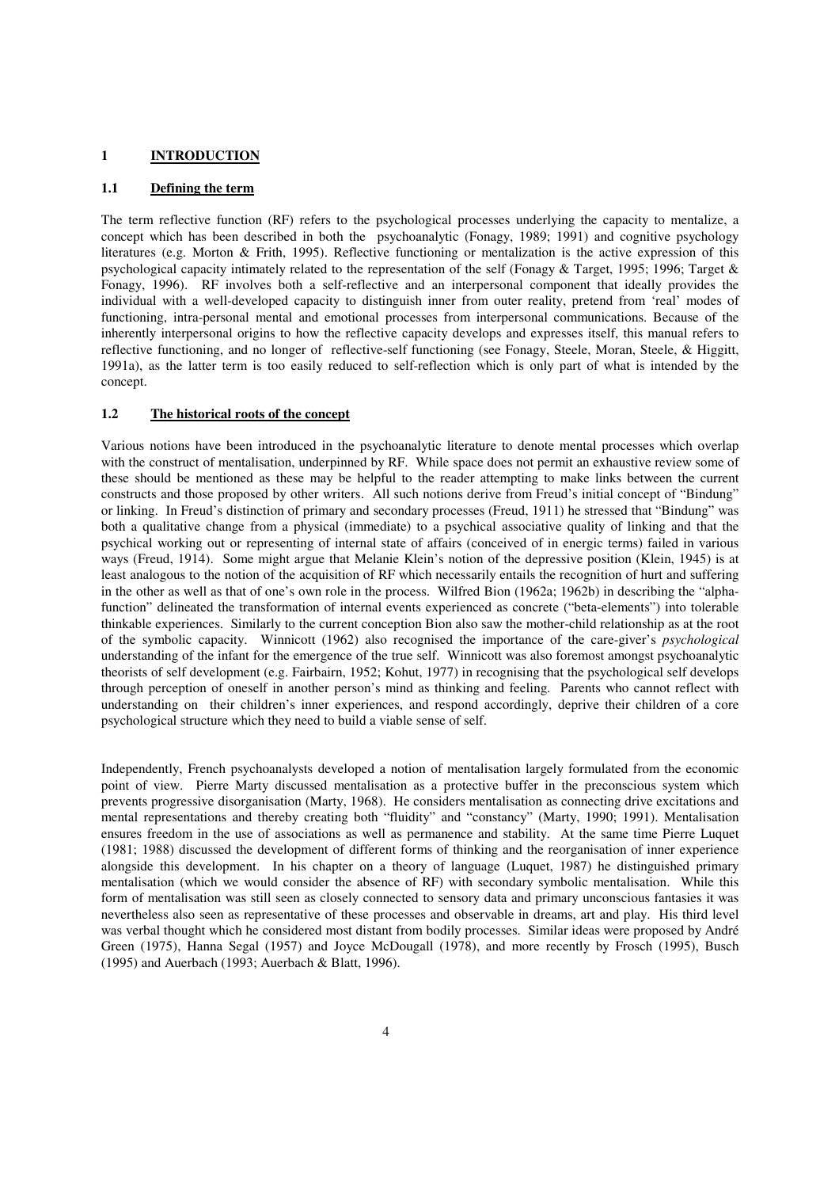#### **1 INTRODUCTION**

## **1.1 Defining the term**

The term reflective function (RF) refers to the psychological processes underlying the capacity to mentalize, a concept which has been described in both the psychoanalytic (Fonagy, 1989; 1991) and cognitive psychology literatures (e.g. Morton & Frith, 1995). Reflective functioning or mentalization is the active expression of this psychological capacity intimately related to the representation of the self (Fonagy & Target, 1995; 1996; Target & Fonagy, 1996). RF involves both a self-reflective and an interpersonal component that ideally provides the individual with a well-developed capacity to distinguish inner from outer reality, pretend from 'real' modes of functioning, intra-personal mental and emotional processes from interpersonal communications. Because of the inherently interpersonal origins to how the reflective capacity develops and expresses itself, this manual refers to reflective functioning, and no longer of reflective-self functioning (see Fonagy, Steele, Moran, Steele, & Higgitt, 1991a), as the latter term is too easily reduced to self-reflection which is only part of what is intended by the concept.

#### **1.2 The historical roots of the concept**

Various notions have been introduced in the psychoanalytic literature to denote mental processes which overlap with the construct of mentalisation, underpinned by RF. While space does not permit an exhaustive review some of these should be mentioned as these may be helpful to the reader attempting to make links between the current constructs and those proposed by other writers. All such notions derive from Freud's initial concept of "Bindung" or linking. In Freud's distinction of primary and secondary processes (Freud, 1911) he stressed that "Bindung" was both a qualitative change from a physical (immediate) to a psychical associative quality of linking and that the psychical working out or representing of internal state of affairs (conceived of in energic terms) failed in various ways (Freud, 1914). Some might argue that Melanie Klein's notion of the depressive position (Klein, 1945) is at least analogous to the notion of the acquisition of RF which necessarily entails the recognition of hurt and suffering in the other as well as that of one's own role in the process. Wilfred Bion (1962a; 1962b) in describing the "alphafunction" delineated the transformation of internal events experienced as concrete ("beta-elements") into tolerable thinkable experiences. Similarly to the current conception Bion also saw the mother-child relationship as at the root of the symbolic capacity. Winnicott (1962) also recognised the importance of the care-giver's *psychological* understanding of the infant for the emergence of the true self. Winnicott was also foremost amongst psychoanalytic theorists of self development (e.g. Fairbairn, 1952; Kohut, 1977) in recognising that the psychological self develops through perception of oneself in another person's mind as thinking and feeling. Parents who cannot reflect with understanding on their children's inner experiences, and respond accordingly, deprive their children of a core psychological structure which they need to build a viable sense of self.

Independently, French psychoanalysts developed a notion of mentalisation largely formulated from the economic point of view. Pierre Marty discussed mentalisation as a protective buffer in the preconscious system which prevents progressive disorganisation (Marty, 1968). He considers mentalisation as connecting drive excitations and mental representations and thereby creating both "fluidity" and "constancy" (Marty, 1990; 1991). Mentalisation ensures freedom in the use of associations as well as permanence and stability. At the same time Pierre Luquet (1981; 1988) discussed the development of different forms of thinking and the reorganisation of inner experience alongside this development. In his chapter on a theory of language (Luquet, 1987) he distinguished primary mentalisation (which we would consider the absence of RF) with secondary symbolic mentalisation. While this form of mentalisation was still seen as closely connected to sensory data and primary unconscious fantasies it was nevertheless also seen as representative of these processes and observable in dreams, art and play. His third level was verbal thought which he considered most distant from bodily processes. Similar ideas were proposed by André Green (1975), Hanna Segal (1957) and Joyce McDougall (1978), and more recently by Frosch (1995), Busch (1995) and Auerbach (1993; Auerbach & Blatt, 1996).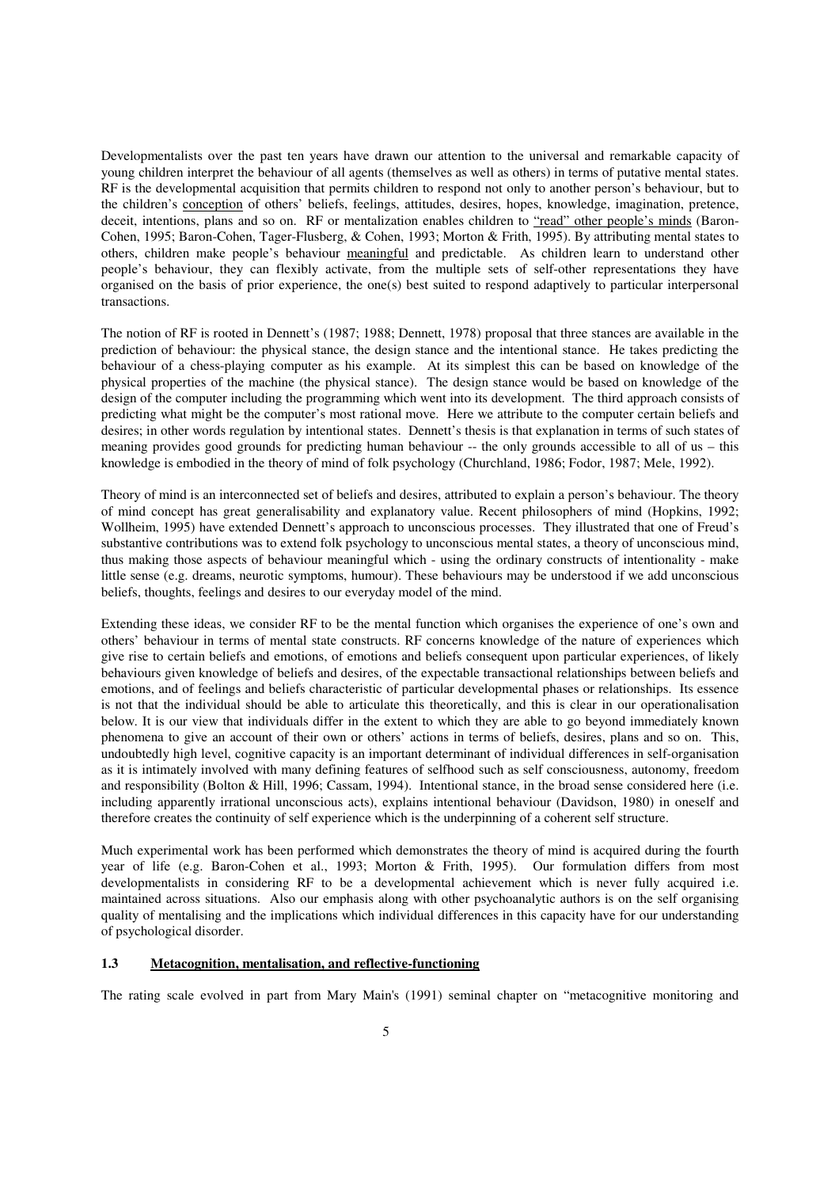Developmentalists over the past ten years have drawn our attention to the universal and remarkable capacity of young children interpret the behaviour of all agents (themselves as well as others) in terms of putative mental states. RF is the developmental acquisition that permits children to respond not only to another person's behaviour, but to the children's conception of others' beliefs, feelings, attitudes, desires, hopes, knowledge, imagination, pretence, deceit, intentions, plans and so on. RF or mentalization enables children to "read" other people's minds (Baron-Cohen, 1995; Baron-Cohen, Tager-Flusberg, & Cohen, 1993; Morton & Frith, 1995). By attributing mental states to others, children make people's behaviour meaningful and predictable. As children learn to understand other people's behaviour, they can flexibly activate, from the multiple sets of self-other representations they have organised on the basis of prior experience, the one(s) best suited to respond adaptively to particular interpersonal transactions.

The notion of RF is rooted in Dennett's (1987; 1988; Dennett, 1978) proposal that three stances are available in the prediction of behaviour: the physical stance, the design stance and the intentional stance. He takes predicting the behaviour of a chess-playing computer as his example. At its simplest this can be based on knowledge of the physical properties of the machine (the physical stance). The design stance would be based on knowledge of the design of the computer including the programming which went into its development. The third approach consists of predicting what might be the computer's most rational move. Here we attribute to the computer certain beliefs and desires; in other words regulation by intentional states. Dennett's thesis is that explanation in terms of such states of meaning provides good grounds for predicting human behaviour -- the only grounds accessible to all of us – this knowledge is embodied in the theory of mind of folk psychology (Churchland, 1986; Fodor, 1987; Mele, 1992).

Theory of mind is an interconnected set of beliefs and desires, attributed to explain a person's behaviour. The theory of mind concept has great generalisability and explanatory value. Recent philosophers of mind (Hopkins, 1992; Wollheim, 1995) have extended Dennett's approach to unconscious processes. They illustrated that one of Freud's substantive contributions was to extend folk psychology to unconscious mental states, a theory of unconscious mind, thus making those aspects of behaviour meaningful which - using the ordinary constructs of intentionality - make little sense (e.g. dreams, neurotic symptoms, humour). These behaviours may be understood if we add unconscious beliefs, thoughts, feelings and desires to our everyday model of the mind.

Extending these ideas, we consider RF to be the mental function which organises the experience of one's own and others' behaviour in terms of mental state constructs. RF concerns knowledge of the nature of experiences which give rise to certain beliefs and emotions, of emotions and beliefs consequent upon particular experiences, of likely behaviours given knowledge of beliefs and desires, of the expectable transactional relationships between beliefs and emotions, and of feelings and beliefs characteristic of particular developmental phases or relationships. Its essence is not that the individual should be able to articulate this theoretically, and this is clear in our operationalisation below. It is our view that individuals differ in the extent to which they are able to go beyond immediately known phenomena to give an account of their own or others' actions in terms of beliefs, desires, plans and so on. This, undoubtedly high level, cognitive capacity is an important determinant of individual differences in self-organisation as it is intimately involved with many defining features of selfhood such as self consciousness, autonomy, freedom and responsibility (Bolton & Hill, 1996; Cassam, 1994). Intentional stance, in the broad sense considered here (i.e. including apparently irrational unconscious acts), explains intentional behaviour (Davidson, 1980) in oneself and therefore creates the continuity of self experience which is the underpinning of a coherent self structure.

Much experimental work has been performed which demonstrates the theory of mind is acquired during the fourth year of life (e.g. Baron-Cohen et al., 1993; Morton & Frith, 1995). Our formulation differs from most developmentalists in considering RF to be a developmental achievement which is never fully acquired i.e. maintained across situations. Also our emphasis along with other psychoanalytic authors is on the self organising quality of mentalising and the implications which individual differences in this capacity have for our understanding of psychological disorder.

# **1.3 Metacognition, mentalisation, and reflective-functioning**

The rating scale evolved in part from Mary Main's (1991) seminal chapter on "metacognitive monitoring and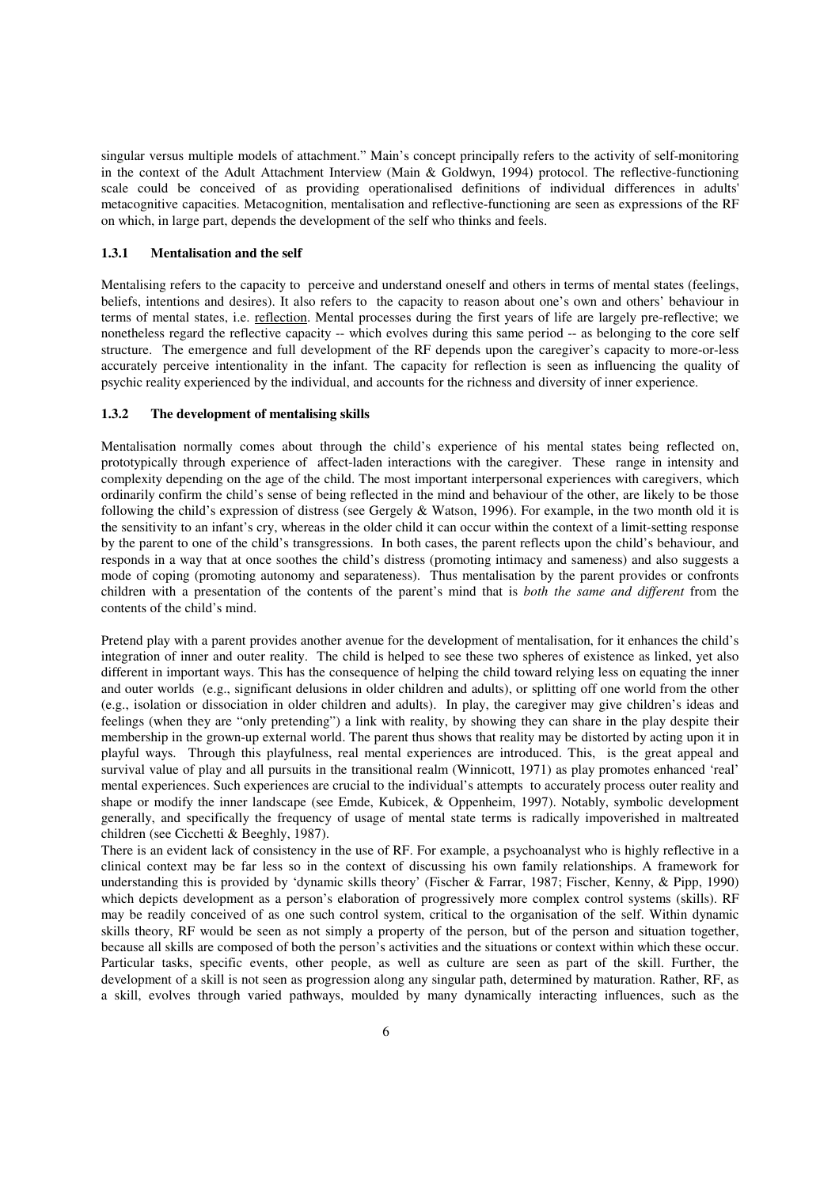singular versus multiple models of attachment." Main's concept principally refers to the activity of self-monitoring in the context of the Adult Attachment Interview (Main & Goldwyn, 1994) protocol. The reflective-functioning scale could be conceived of as providing operationalised definitions of individual differences in adults' metacognitive capacities. Metacognition, mentalisation and reflective-functioning are seen as expressions of the RF on which, in large part, depends the development of the self who thinks and feels.

## **1.3.1 Mentalisation and the self**

Mentalising refers to the capacity to perceive and understand oneself and others in terms of mental states (feelings, beliefs, intentions and desires). It also refers to the capacity to reason about one's own and others' behaviour in terms of mental states, i.e. reflection. Mental processes during the first years of life are largely pre-reflective; we nonetheless regard the reflective capacity -- which evolves during this same period -- as belonging to the core self structure. The emergence and full development of the RF depends upon the caregiver's capacity to more-or-less accurately perceive intentionality in the infant. The capacity for reflection is seen as influencing the quality of psychic reality experienced by the individual, and accounts for the richness and diversity of inner experience.

#### **1.3.2 The development of mentalising skills**

Mentalisation normally comes about through the child's experience of his mental states being reflected on, prototypically through experience of affect-laden interactions with the caregiver. These range in intensity and complexity depending on the age of the child. The most important interpersonal experiences with caregivers, which ordinarily confirm the child's sense of being reflected in the mind and behaviour of the other, are likely to be those following the child's expression of distress (see Gergely & Watson, 1996). For example, in the two month old it is the sensitivity to an infant's cry, whereas in the older child it can occur within the context of a limit-setting response by the parent to one of the child's transgressions. In both cases, the parent reflects upon the child's behaviour, and responds in a way that at once soothes the child's distress (promoting intimacy and sameness) and also suggests a mode of coping (promoting autonomy and separateness). Thus mentalisation by the parent provides or confronts children with a presentation of the contents of the parent's mind that is *both the same and different* from the contents of the child's mind.

Pretend play with a parent provides another avenue for the development of mentalisation, for it enhances the child's integration of inner and outer reality. The child is helped to see these two spheres of existence as linked, yet also different in important ways. This has the consequence of helping the child toward relying less on equating the inner and outer worlds (e.g., significant delusions in older children and adults), or splitting off one world from the other (e.g., isolation or dissociation in older children and adults). In play, the caregiver may give children's ideas and feelings (when they are "only pretending") a link with reality, by showing they can share in the play despite their membership in the grown-up external world. The parent thus shows that reality may be distorted by acting upon it in playful ways. Through this playfulness, real mental experiences are introduced. This, is the great appeal and survival value of play and all pursuits in the transitional realm (Winnicott, 1971) as play promotes enhanced 'real' mental experiences. Such experiences are crucial to the individual's attempts to accurately process outer reality and shape or modify the inner landscape (see Emde, Kubicek, & Oppenheim, 1997). Notably, symbolic development generally, and specifically the frequency of usage of mental state terms is radically impoverished in maltreated children (see Cicchetti & Beeghly, 1987).

There is an evident lack of consistency in the use of RF. For example, a psychoanalyst who is highly reflective in a clinical context may be far less so in the context of discussing his own family relationships. A framework for understanding this is provided by 'dynamic skills theory' (Fischer & Farrar, 1987; Fischer, Kenny, & Pipp, 1990) which depicts development as a person's elaboration of progressively more complex control systems (skills). RF may be readily conceived of as one such control system, critical to the organisation of the self. Within dynamic skills theory, RF would be seen as not simply a property of the person, but of the person and situation together, because all skills are composed of both the person's activities and the situations or context within which these occur. Particular tasks, specific events, other people, as well as culture are seen as part of the skill. Further, the development of a skill is not seen as progression along any singular path, determined by maturation. Rather, RF, as a skill, evolves through varied pathways, moulded by many dynamically interacting influences, such as the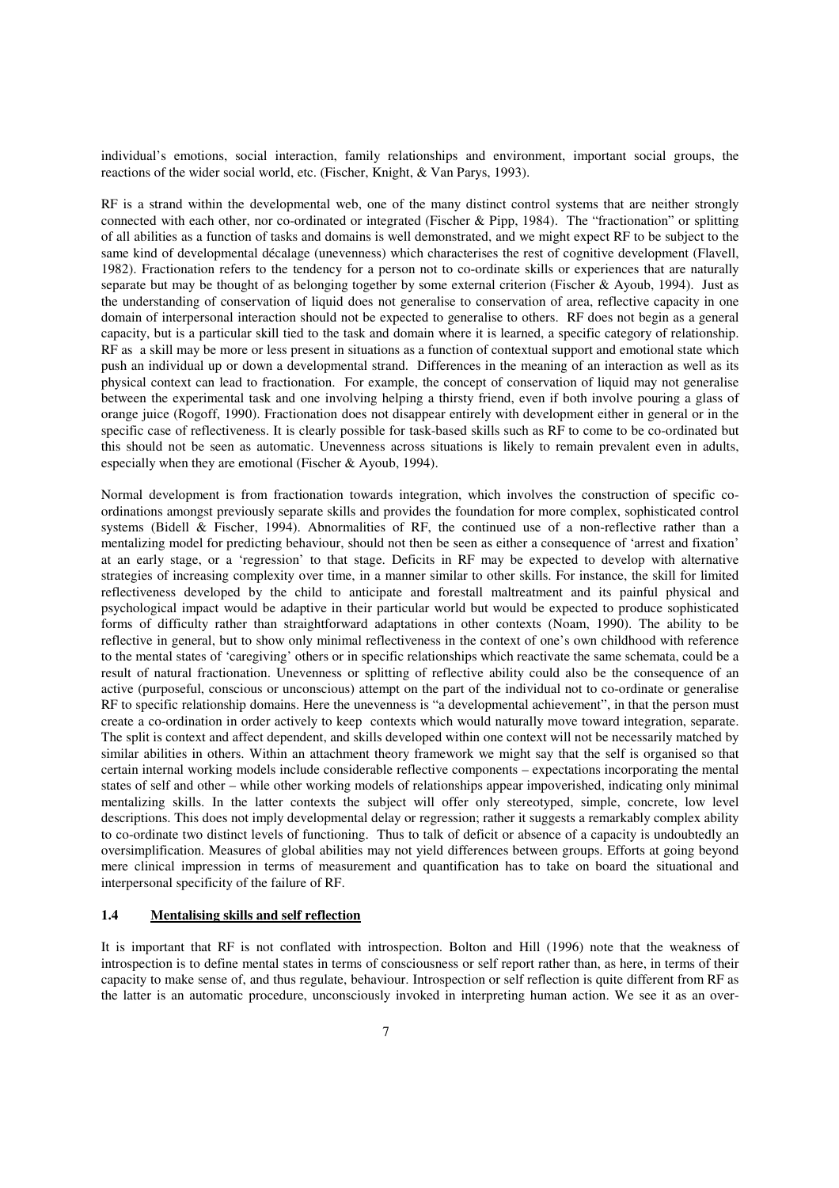individual's emotions, social interaction, family relationships and environment, important social groups, the reactions of the wider social world, etc. (Fischer, Knight, & Van Parys, 1993).

RF is a strand within the developmental web, one of the many distinct control systems that are neither strongly connected with each other, nor co-ordinated or integrated (Fischer & Pipp, 1984). The "fractionation" or splitting of all abilities as a function of tasks and domains is well demonstrated, and we might expect RF to be subject to the same kind of developmental décalage (unevenness) which characterises the rest of cognitive development (Flavell, 1982). Fractionation refers to the tendency for a person not to co-ordinate skills or experiences that are naturally separate but may be thought of as belonging together by some external criterion (Fischer & Ayoub, 1994). Just as the understanding of conservation of liquid does not generalise to conservation of area, reflective capacity in one domain of interpersonal interaction should not be expected to generalise to others. RF does not begin as a general capacity, but is a particular skill tied to the task and domain where it is learned, a specific category of relationship. RF as a skill may be more or less present in situations as a function of contextual support and emotional state which push an individual up or down a developmental strand. Differences in the meaning of an interaction as well as its physical context can lead to fractionation. For example, the concept of conservation of liquid may not generalise between the experimental task and one involving helping a thirsty friend, even if both involve pouring a glass of orange juice (Rogoff, 1990). Fractionation does not disappear entirely with development either in general or in the specific case of reflectiveness. It is clearly possible for task-based skills such as RF to come to be co-ordinated but this should not be seen as automatic. Unevenness across situations is likely to remain prevalent even in adults, especially when they are emotional (Fischer & Ayoub, 1994).

Normal development is from fractionation towards integration, which involves the construction of specific coordinations amongst previously separate skills and provides the foundation for more complex, sophisticated control systems (Bidell & Fischer, 1994). Abnormalities of RF, the continued use of a non-reflective rather than a mentalizing model for predicting behaviour, should not then be seen as either a consequence of 'arrest and fixation' at an early stage, or a 'regression' to that stage. Deficits in RF may be expected to develop with alternative strategies of increasing complexity over time, in a manner similar to other skills. For instance, the skill for limited reflectiveness developed by the child to anticipate and forestall maltreatment and its painful physical and psychological impact would be adaptive in their particular world but would be expected to produce sophisticated forms of difficulty rather than straightforward adaptations in other contexts (Noam, 1990). The ability to be reflective in general, but to show only minimal reflectiveness in the context of one's own childhood with reference to the mental states of 'caregiving' others or in specific relationships which reactivate the same schemata, could be a result of natural fractionation. Unevenness or splitting of reflective ability could also be the consequence of an active (purposeful, conscious or unconscious) attempt on the part of the individual not to co-ordinate or generalise RF to specific relationship domains. Here the unevenness is "a developmental achievement", in that the person must create a co-ordination in order actively to keep contexts which would naturally move toward integration, separate. The split is context and affect dependent, and skills developed within one context will not be necessarily matched by similar abilities in others. Within an attachment theory framework we might say that the self is organised so that certain internal working models include considerable reflective components – expectations incorporating the mental states of self and other – while other working models of relationships appear impoverished, indicating only minimal mentalizing skills. In the latter contexts the subject will offer only stereotyped, simple, concrete, low level descriptions. This does not imply developmental delay or regression; rather it suggests a remarkably complex ability to co-ordinate two distinct levels of functioning. Thus to talk of deficit or absence of a capacity is undoubtedly an oversimplification. Measures of global abilities may not yield differences between groups. Efforts at going beyond mere clinical impression in terms of measurement and quantification has to take on board the situational and interpersonal specificity of the failure of RF.

#### **1.4 Mentalising skills and self reflection**

It is important that RF is not conflated with introspection. Bolton and Hill (1996) note that the weakness of introspection is to define mental states in terms of consciousness or self report rather than, as here, in terms of their capacity to make sense of, and thus regulate, behaviour. Introspection or self reflection is quite different from RF as the latter is an automatic procedure, unconsciously invoked in interpreting human action. We see it as an over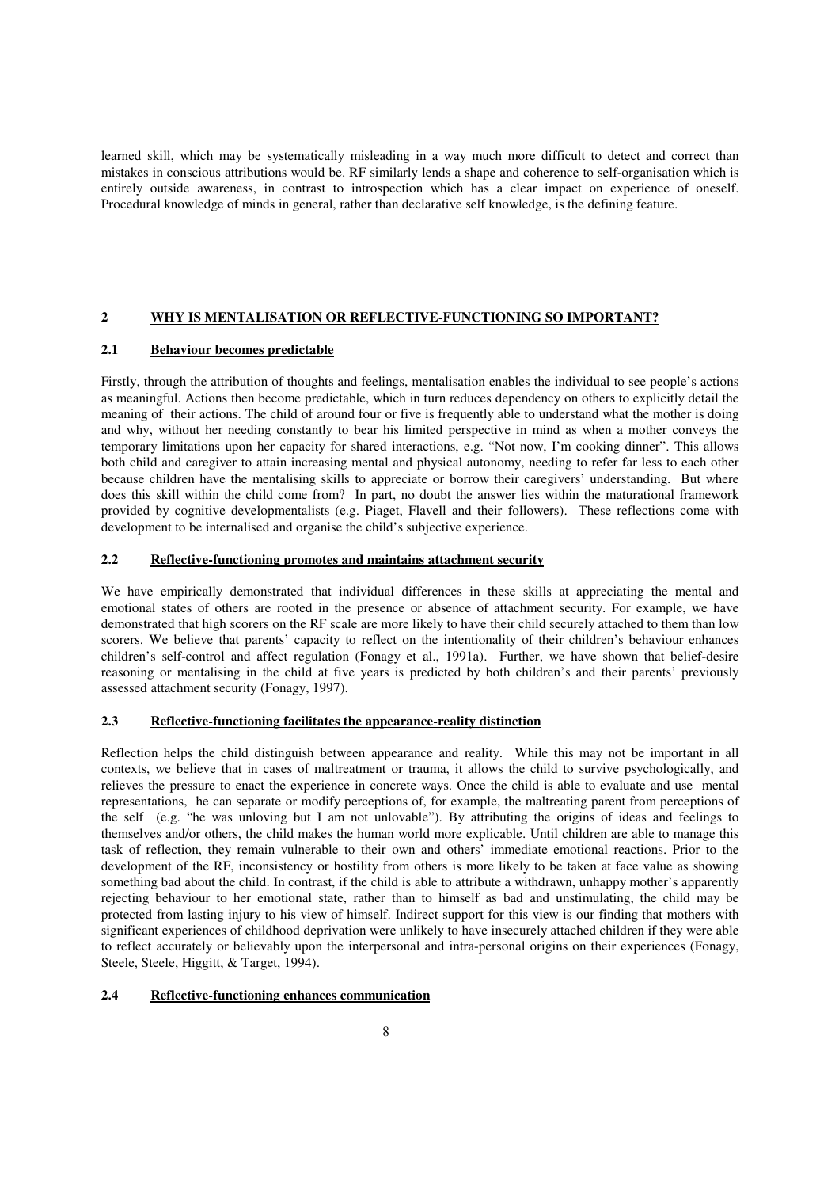learned skill, which may be systematically misleading in a way much more difficult to detect and correct than mistakes in conscious attributions would be. RF similarly lends a shape and coherence to self-organisation which is entirely outside awareness, in contrast to introspection which has a clear impact on experience of oneself. Procedural knowledge of minds in general, rather than declarative self knowledge, is the defining feature.

# **2 WHY IS MENTALISATION OR REFLECTIVE-FUNCTIONING SO IMPORTANT?**

## **2.1 Behaviour becomes predictable**

Firstly, through the attribution of thoughts and feelings, mentalisation enables the individual to see people's actions as meaningful. Actions then become predictable, which in turn reduces dependency on others to explicitly detail the meaning of their actions. The child of around four or five is frequently able to understand what the mother is doing and why, without her needing constantly to bear his limited perspective in mind as when a mother conveys the temporary limitations upon her capacity for shared interactions, e.g. "Not now, I'm cooking dinner". This allows both child and caregiver to attain increasing mental and physical autonomy, needing to refer far less to each other because children have the mentalising skills to appreciate or borrow their caregivers' understanding. But where does this skill within the child come from? In part, no doubt the answer lies within the maturational framework provided by cognitive developmentalists (e.g. Piaget, Flavell and their followers). These reflections come with development to be internalised and organise the child's subjective experience.

## **2.2 Reflective-functioning promotes and maintains attachment security**

We have empirically demonstrated that individual differences in these skills at appreciating the mental and emotional states of others are rooted in the presence or absence of attachment security. For example, we have demonstrated that high scorers on the RF scale are more likely to have their child securely attached to them than low scorers. We believe that parents' capacity to reflect on the intentionality of their children's behaviour enhances children's self-control and affect regulation (Fonagy et al., 1991a). Further, we have shown that belief-desire reasoning or mentalising in the child at five years is predicted by both children's and their parents' previously assessed attachment security (Fonagy, 1997).

## **2.3 Reflective-functioning facilitates the appearance-reality distinction**

Reflection helps the child distinguish between appearance and reality. While this may not be important in all contexts, we believe that in cases of maltreatment or trauma, it allows the child to survive psychologically, and relieves the pressure to enact the experience in concrete ways. Once the child is able to evaluate and use mental representations, he can separate or modify perceptions of, for example, the maltreating parent from perceptions of the self (e.g. "he was unloving but I am not unlovable"). By attributing the origins of ideas and feelings to themselves and/or others, the child makes the human world more explicable. Until children are able to manage this task of reflection, they remain vulnerable to their own and others' immediate emotional reactions. Prior to the development of the RF, inconsistency or hostility from others is more likely to be taken at face value as showing something bad about the child. In contrast, if the child is able to attribute a withdrawn, unhappy mother's apparently rejecting behaviour to her emotional state, rather than to himself as bad and unstimulating, the child may be protected from lasting injury to his view of himself. Indirect support for this view is our finding that mothers with significant experiences of childhood deprivation were unlikely to have insecurely attached children if they were able to reflect accurately or believably upon the interpersonal and intra-personal origins on their experiences (Fonagy, Steele, Steele, Higgitt, & Target, 1994).

#### **2.4 Reflective-functioning enhances communication**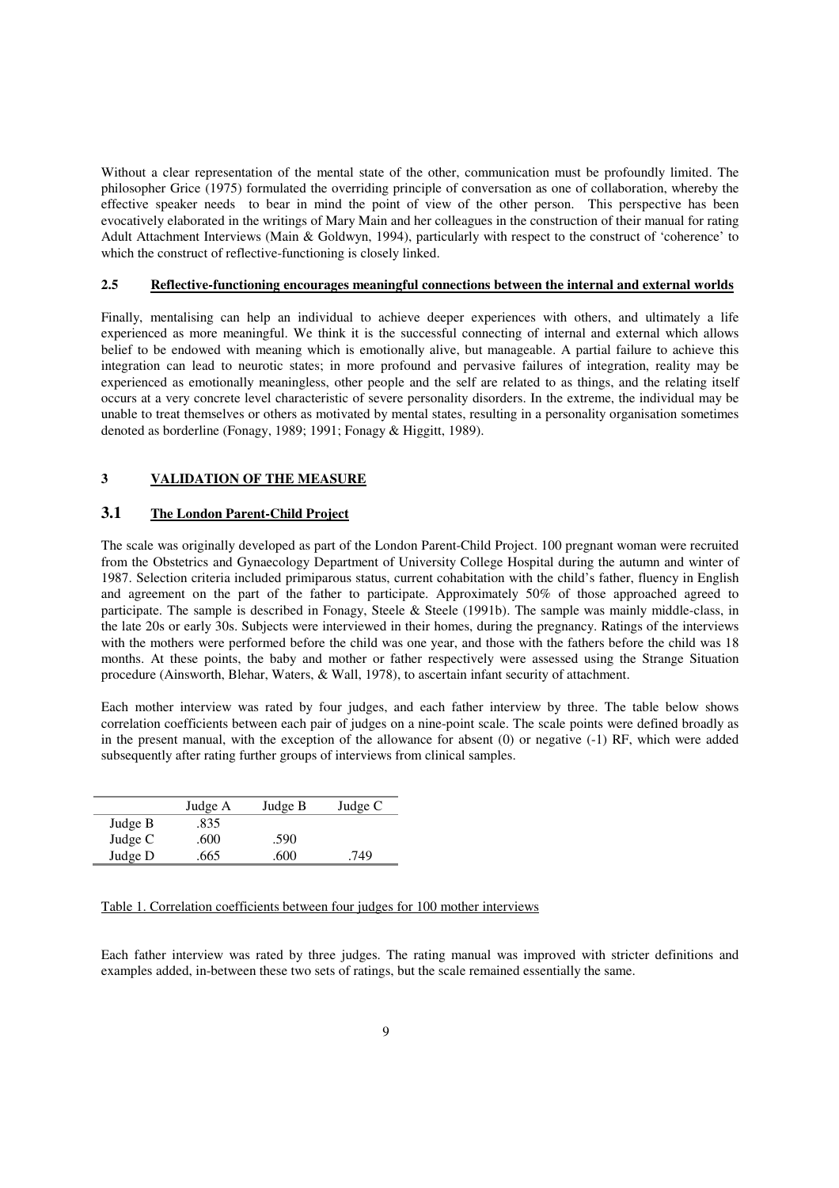Without a clear representation of the mental state of the other, communication must be profoundly limited. The philosopher Grice (1975) formulated the overriding principle of conversation as one of collaboration, whereby the effective speaker needs to bear in mind the point of view of the other person. This perspective has been evocatively elaborated in the writings of Mary Main and her colleagues in the construction of their manual for rating Adult Attachment Interviews (Main & Goldwyn, 1994), particularly with respect to the construct of 'coherence' to which the construct of reflective-functioning is closely linked.

## **2.5 Reflective-functioning encourages meaningful connections between the internal and external worlds**

Finally, mentalising can help an individual to achieve deeper experiences with others, and ultimately a life experienced as more meaningful. We think it is the successful connecting of internal and external which allows belief to be endowed with meaning which is emotionally alive, but manageable. A partial failure to achieve this integration can lead to neurotic states; in more profound and pervasive failures of integration, reality may be experienced as emotionally meaningless, other people and the self are related to as things, and the relating itself occurs at a very concrete level characteristic of severe personality disorders. In the extreme, the individual may be unable to treat themselves or others as motivated by mental states, resulting in a personality organisation sometimes denoted as borderline (Fonagy, 1989; 1991; Fonagy & Higgitt, 1989).

# **3 VALIDATION OF THE MEASURE**

## **3.1 The London Parent-Child Project**

The scale was originally developed as part of the London Parent-Child Project. 100 pregnant woman were recruited from the Obstetrics and Gynaecology Department of University College Hospital during the autumn and winter of 1987. Selection criteria included primiparous status, current cohabitation with the child's father, fluency in English and agreement on the part of the father to participate. Approximately 50% of those approached agreed to participate. The sample is described in Fonagy, Steele & Steele (1991b). The sample was mainly middle-class, in the late 20s or early 30s. Subjects were interviewed in their homes, during the pregnancy. Ratings of the interviews with the mothers were performed before the child was one year, and those with the fathers before the child was 18 months. At these points, the baby and mother or father respectively were assessed using the Strange Situation procedure (Ainsworth, Blehar, Waters, & Wall, 1978), to ascertain infant security of attachment.

Each mother interview was rated by four judges, and each father interview by three. The table below shows correlation coefficients between each pair of judges on a nine-point scale. The scale points were defined broadly as in the present manual, with the exception of the allowance for absent (0) or negative (-1) RF, which were added subsequently after rating further groups of interviews from clinical samples.

|         | Judge A | Judge B | Judge C |
|---------|---------|---------|---------|
| Judge B | .835    |         |         |
| Judge C | .600    | .590    |         |
| Judge D | .665    | .600    | .749    |

#### Table 1. Correlation coefficients between four judges for 100 mother interviews

Each father interview was rated by three judges. The rating manual was improved with stricter definitions and examples added, in-between these two sets of ratings, but the scale remained essentially the same.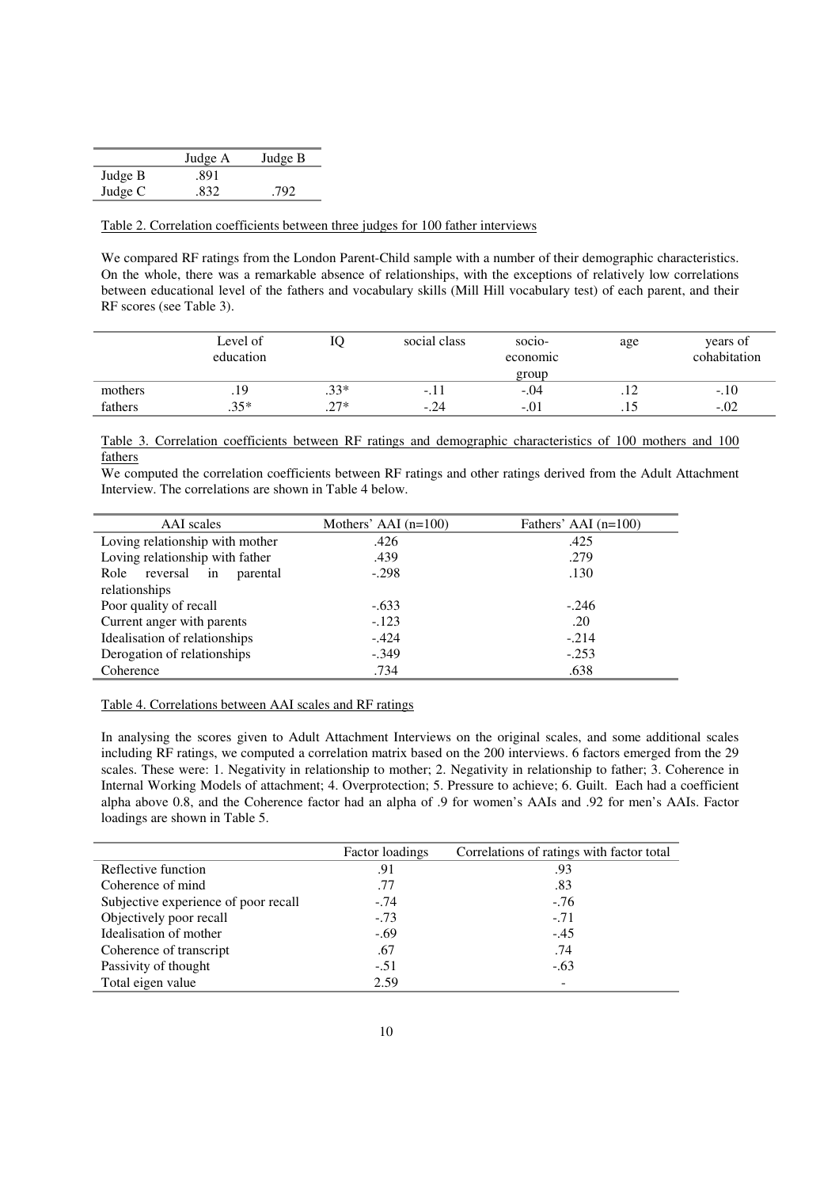|         | Judge A | Judge B |
|---------|---------|---------|
| Judge B | .891    |         |
| Judge C | .832    | .792    |

#### Table 2. Correlation coefficients between three judges for 100 father interviews

We compared RF ratings from the London Parent-Child sample with a number of their demographic characteristics. On the whole, there was a remarkable absence of relationships, with the exceptions of relatively low correlations between educational level of the fathers and vocabulary skills (Mill Hill vocabulary test) of each parent, and their RF scores (see Table 3).

|         | Level of<br>education |        | social class | $SOC10-$<br>economic | age | years of<br>cohabitation |
|---------|-----------------------|--------|--------------|----------------------|-----|--------------------------|
|         |                       |        |              | group                |     |                          |
| mothers | .19                   | $.33*$ | $-1.1$       | $-.04$               | .   | $-.10$                   |
| fathers | $.35*$                | $.27*$ | $-.24$       | $-.01$               | .   | $-.02$                   |

Table 3. Correlation coefficients between RF ratings and demographic characteristics of 100 mothers and 100 fathers

We computed the correlation coefficients between RF ratings and other ratings derived from the Adult Attachment Interview. The correlations are shown in Table 4 below.

| AAI scales                         | Mothers' AAI $(n=100)$ | Fathers' AAI $(n=100)$ |
|------------------------------------|------------------------|------------------------|
| Loving relationship with mother    | .426                   | .425                   |
| Loving relationship with father    | .439                   | .279                   |
| reversal<br>Role<br>in<br>parental | $-.298$                | .130                   |
| relationships                      |                        |                        |
| Poor quality of recall             | $-.633$                | $-.246$                |
| Current anger with parents         | $-.123$                | .20                    |
| Idealisation of relationships      | $-.424$                | $-.214$                |
| Derogation of relationships        | $-.349$                | $-.253$                |
| Coherence                          | .734                   | .638                   |

## Table 4. Correlations between AAI scales and RF ratings

In analysing the scores given to Adult Attachment Interviews on the original scales, and some additional scales including RF ratings, we computed a correlation matrix based on the 200 interviews. 6 factors emerged from the 29 scales. These were: 1. Negativity in relationship to mother; 2. Negativity in relationship to father; 3. Coherence in Internal Working Models of attachment; 4. Overprotection; 5. Pressure to achieve; 6. Guilt. Each had a coefficient alpha above 0.8, and the Coherence factor had an alpha of .9 for women's AAIs and .92 for men's AAIs. Factor loadings are shown in Table 5.

|                                      | Factor loadings | Correlations of ratings with factor total |
|--------------------------------------|-----------------|-------------------------------------------|
| Reflective function                  | .91             | .93                                       |
| Coherence of mind                    | .77             | .83                                       |
| Subjective experience of poor recall | $-.74$          | $-.76$                                    |
| Objectively poor recall              | $-.73$          | $-.71$                                    |
| Idealisation of mother               | $-.69$          | $-.45$                                    |
| Coherence of transcript              | .67             | .74                                       |
| Passivity of thought                 | $-.51$          | $-.63$                                    |
| Total eigen value                    | 2.59            |                                           |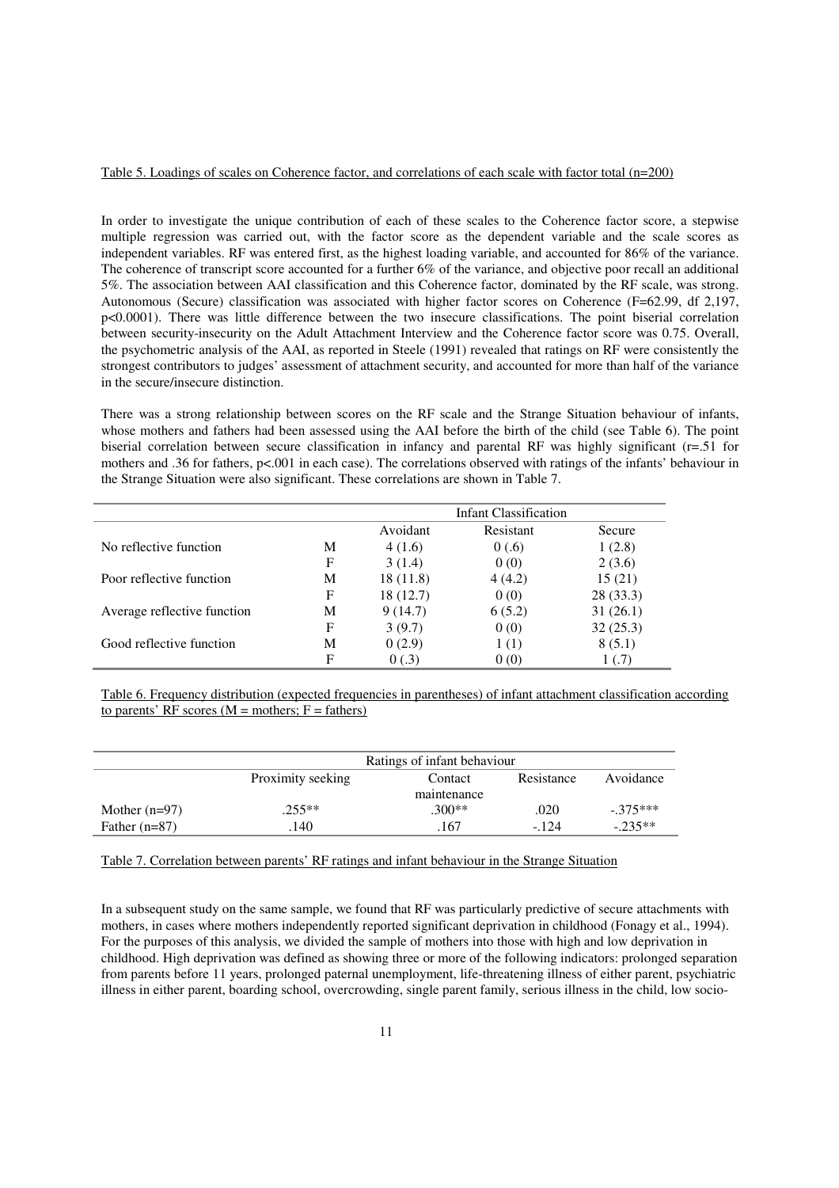## Table 5. Loadings of scales on Coherence factor, and correlations of each scale with factor total (n=200)

In order to investigate the unique contribution of each of these scales to the Coherence factor score, a stepwise multiple regression was carried out, with the factor score as the dependent variable and the scale scores as independent variables. RF was entered first, as the highest loading variable, and accounted for 86% of the variance. The coherence of transcript score accounted for a further 6% of the variance, and objective poor recall an additional 5%. The association between AAI classification and this Coherence factor, dominated by the RF scale, was strong. Autonomous (Secure) classification was associated with higher factor scores on Coherence (F=62.99, df 2,197, p<0.0001). There was little difference between the two insecure classifications. The point biserial correlation between security-insecurity on the Adult Attachment Interview and the Coherence factor score was 0.75. Overall, the psychometric analysis of the AAI, as reported in Steele (1991) revealed that ratings on RF were consistently the strongest contributors to judges' assessment of attachment security, and accounted for more than half of the variance in the secure/insecure distinction.

There was a strong relationship between scores on the RF scale and the Strange Situation behaviour of infants, whose mothers and fathers had been assessed using the AAI before the birth of the child (see Table 6). The point biserial correlation between secure classification in infancy and parental RF was highly significant (r=.51 for mothers and .36 for fathers, p<.001 in each case). The correlations observed with ratings of the infants' behaviour in the Strange Situation were also significant. These correlations are shown in Table 7.

|                             |   |          | <b>Infant Classification</b> |               |
|-----------------------------|---|----------|------------------------------|---------------|
|                             |   | Avoidant | Resistant                    | <b>Secure</b> |
| No reflective function      | M | 4(1.6)   | 0(.6)                        | 1(2.8)        |
|                             | F | 3(1.4)   | 0(0)                         | 2(3.6)        |
| Poor reflective function    | М | 18(11.8) | 4(4.2)                       | 15(21)        |
|                             | F | 18(12.7) | 0(0)                         | 28 (33.3)     |
| Average reflective function | М | 9(14.7)  | 6(5.2)                       | 31(26.1)      |
|                             | F | 3(9.7)   | 0(0)                         | 32(25.3)      |
| Good reflective function    | M | 0(2.9)   | 1(1)                         | 8(5.1)        |
|                             | F | 0(.3)    | 0(0)                         | 1(.7)         |

Table 6. Frequency distribution (expected frequencies in parentheses) of infant attachment classification according to parents' RF scores ( $M =$  mothers;  $F =$  fathers)

|                 | Ratings of infant behaviour                             |          |        |            |  |
|-----------------|---------------------------------------------------------|----------|--------|------------|--|
|                 | Avoidance<br>Proximity seeking<br>Resistance<br>Contact |          |        |            |  |
|                 | maintenance                                             |          |        |            |  |
| Mother $(n=97)$ | $.255**$                                                | $.300**$ | .020   | $-.375***$ |  |
| Father $(n=87)$ | 140                                                     | .167     | $-124$ | $-235**$   |  |

Table 7. Correlation between parents' RF ratings and infant behaviour in the Strange Situation

In a subsequent study on the same sample, we found that RF was particularly predictive of secure attachments with mothers, in cases where mothers independently reported significant deprivation in childhood (Fonagy et al., 1994). For the purposes of this analysis, we divided the sample of mothers into those with high and low deprivation in childhood. High deprivation was defined as showing three or more of the following indicators: prolonged separation from parents before 11 years, prolonged paternal unemployment, life-threatening illness of either parent, psychiatric illness in either parent, boarding school, overcrowding, single parent family, serious illness in the child, low socio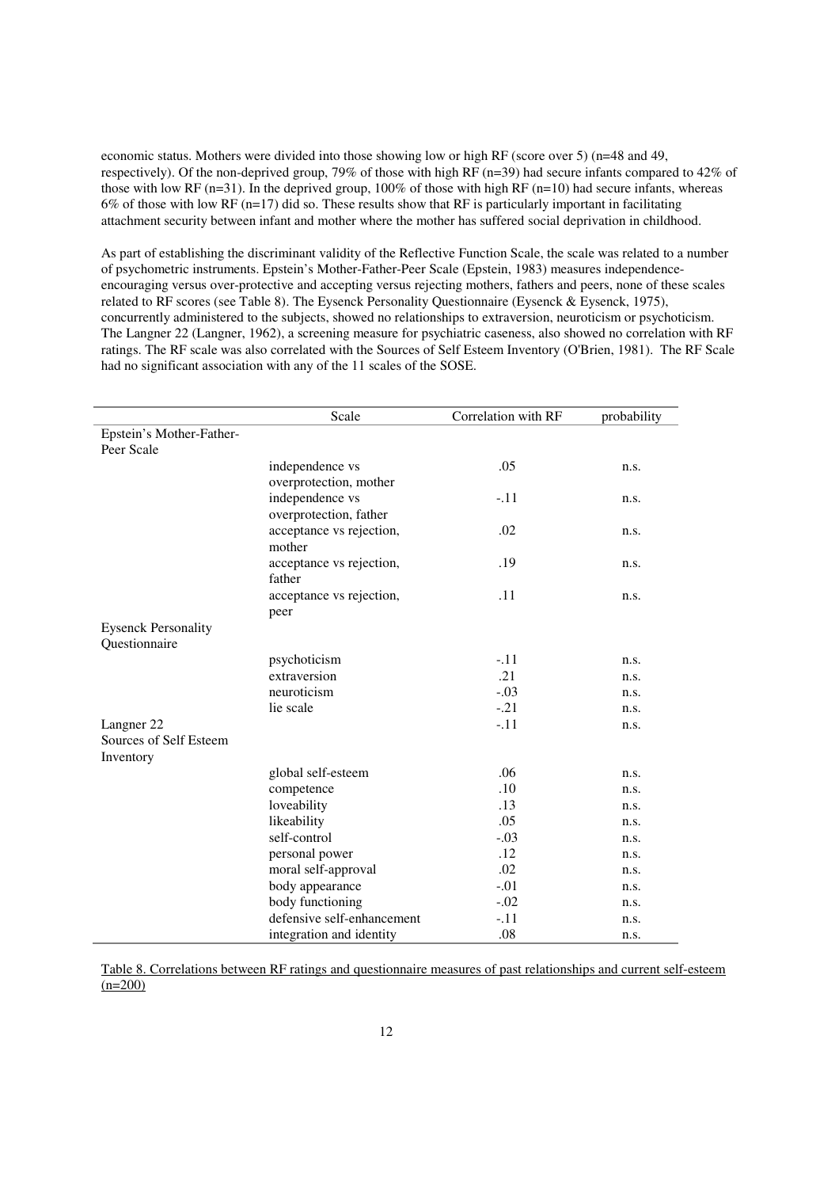economic status. Mothers were divided into those showing low or high RF (score over 5) (n=48 and 49, respectively). Of the non-deprived group, 79% of those with high RF (n=39) had secure infants compared to 42% of those with low RF (n=31). In the deprived group, 100% of those with high RF (n=10) had secure infants, whereas 6% of those with low RF ( $n=17$ ) did so. These results show that RF is particularly important in facilitating attachment security between infant and mother where the mother has suffered social deprivation in childhood.

As part of establishing the discriminant validity of the Reflective Function Scale, the scale was related to a number of psychometric instruments. Epstein's Mother-Father-Peer Scale (Epstein, 1983) measures independenceencouraging versus over-protective and accepting versus rejecting mothers, fathers and peers, none of these scales related to RF scores (see Table 8). The Eysenck Personality Questionnaire (Eysenck & Eysenck, 1975), concurrently administered to the subjects, showed no relationships to extraversion, neuroticism or psychoticism. The Langner 22 (Langner, 1962), a screening measure for psychiatric caseness, also showed no correlation with RF ratings. The RF scale was also correlated with the Sources of Self Esteem Inventory (O'Brien, 1981). The RF Scale had no significant association with any of the 11 scales of the SOSE.

|                            | Scale                      | Correlation with RF | probability |
|----------------------------|----------------------------|---------------------|-------------|
| Epstein's Mother-Father-   |                            |                     |             |
| Peer Scale                 |                            |                     |             |
|                            | independence vs            | .05                 | n.s.        |
|                            | overprotection, mother     |                     |             |
|                            | independence vs            | $-.11$              | n.s.        |
|                            | overprotection, father     |                     |             |
|                            | acceptance vs rejection,   | .02                 | n.s.        |
|                            | mother                     |                     |             |
|                            | acceptance vs rejection,   | .19                 | n.s.        |
|                            | father                     |                     |             |
|                            | acceptance vs rejection,   | .11                 | n.s.        |
|                            | peer                       |                     |             |
| <b>Eysenck Personality</b> |                            |                     |             |
| Questionnaire              |                            |                     |             |
|                            | psychoticism               | $-.11$              | n.s.        |
|                            | extraversion               | .21                 | n.s.        |
|                            | neuroticism                | $-.03$              | n.s.        |
|                            | lie scale                  | $-.21$              | n.s.        |
| Langner 22                 |                            | $-.11$              | n.s.        |
| Sources of Self Esteem     |                            |                     |             |
| Inventory                  |                            |                     |             |
|                            | global self-esteem         | .06                 | n.s.        |
|                            | competence                 | .10                 | n.s.        |
|                            | loveability                | .13                 | n.s.        |
|                            | likeability                | .05                 | n.s.        |
|                            | self-control               | $-.03$              | n.s.        |
|                            | personal power             | .12                 | n.s.        |
|                            | moral self-approval        | .02                 | n.s.        |
|                            | body appearance            | $-.01$              | n.s.        |
|                            | body functioning           | $-.02$              | n.s.        |
|                            | defensive self-enhancement | $-.11$              | n.s.        |
|                            | integration and identity   | .08                 | n.s.        |

Table 8. Correlations between RF ratings and questionnaire measures of past relationships and current self-esteem  $(n=200)$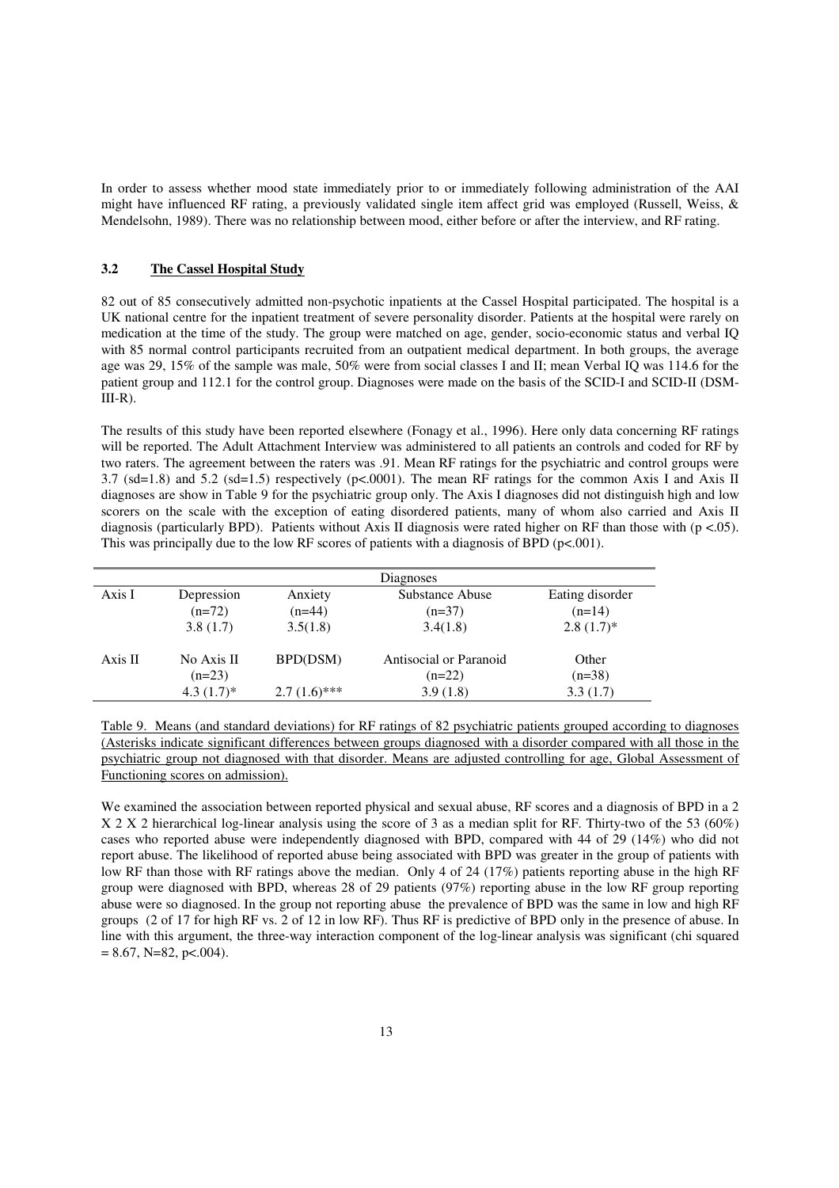In order to assess whether mood state immediately prior to or immediately following administration of the AAI might have influenced RF rating, a previously validated single item affect grid was employed (Russell, Weiss, & Mendelsohn, 1989). There was no relationship between mood, either before or after the interview, and RF rating.

## **3.2 The Cassel Hospital Study**

82 out of 85 consecutively admitted non-psychotic inpatients at the Cassel Hospital participated. The hospital is a UK national centre for the inpatient treatment of severe personality disorder. Patients at the hospital were rarely on medication at the time of the study. The group were matched on age, gender, socio-economic status and verbal IQ with 85 normal control participants recruited from an outpatient medical department. In both groups, the average age was 29, 15% of the sample was male, 50% were from social classes I and II; mean Verbal IQ was 114.6 for the patient group and 112.1 for the control group. Diagnoses were made on the basis of the SCID-I and SCID-II (DSM- $III-R$ ).

The results of this study have been reported elsewhere (Fonagy et al., 1996). Here only data concerning RF ratings will be reported. The Adult Attachment Interview was administered to all patients an controls and coded for RF by two raters. The agreement between the raters was .91. Mean RF ratings for the psychiatric and control groups were 3.7 (sd=1.8) and 5.2 (sd=1.5) respectively (p<.0001). The mean RF ratings for the common Axis I and Axis II diagnoses are show in Table 9 for the psychiatric group only. The Axis I diagnoses did not distinguish high and low scorers on the scale with the exception of eating disordered patients, many of whom also carried and Axis II diagnosis (particularly BPD). Patients without Axis II diagnosis were rated higher on RF than those with ( $p < .05$ ). This was principally due to the low RF scores of patients with a diagnosis of BPD (p<.001).

|         |                        |                | Diagnoses                          |                   |
|---------|------------------------|----------------|------------------------------------|-------------------|
| Axis I  | Depression             | Anxiety        | <b>Substance Abuse</b>             | Eating disorder   |
|         | $(n=72)$               | $(n=44)$       | $(n=37)$                           | $(n=14)$          |
|         | 3.8(1.7)               | 3.5(1.8)       | 3.4(1.8)                           | $2.8(1.7)$ *      |
| Axis II | No Axis II<br>$(n=23)$ | BPD(DSM)       | Antisocial or Paranoid<br>$(n=22)$ | Other<br>$(n=38)$ |
|         | $4.3(1.7)^*$           | $2.7(1.6)$ *** | 3.9(1.8)                           | 3.3(1.7)          |

Table 9. Means (and standard deviations) for RF ratings of 82 psychiatric patients grouped according to diagnoses (Asterisks indicate significant differences between groups diagnosed with a disorder compared with all those in the psychiatric group not diagnosed with that disorder. Means are adjusted controlling for age, Global Assessment of Functioning scores on admission).

We examined the association between reported physical and sexual abuse, RF scores and a diagnosis of BPD in a 2 X 2 X 2 hierarchical log-linear analysis using the score of 3 as a median split for RF. Thirty-two of the 53 (60%) cases who reported abuse were independently diagnosed with BPD, compared with 44 of 29 (14%) who did not report abuse. The likelihood of reported abuse being associated with BPD was greater in the group of patients with low RF than those with RF ratings above the median. Only 4 of 24 (17%) patients reporting abuse in the high RF group were diagnosed with BPD, whereas 28 of 29 patients (97%) reporting abuse in the low RF group reporting abuse were so diagnosed. In the group not reporting abuse the prevalence of BPD was the same in low and high RF groups (2 of 17 for high RF vs. 2 of 12 in low RF). Thus RF is predictive of BPD only in the presence of abuse. In line with this argument, the three-way interaction component of the log-linear analysis was significant (chi squared  $= 8.67$ , N=82, p<.004).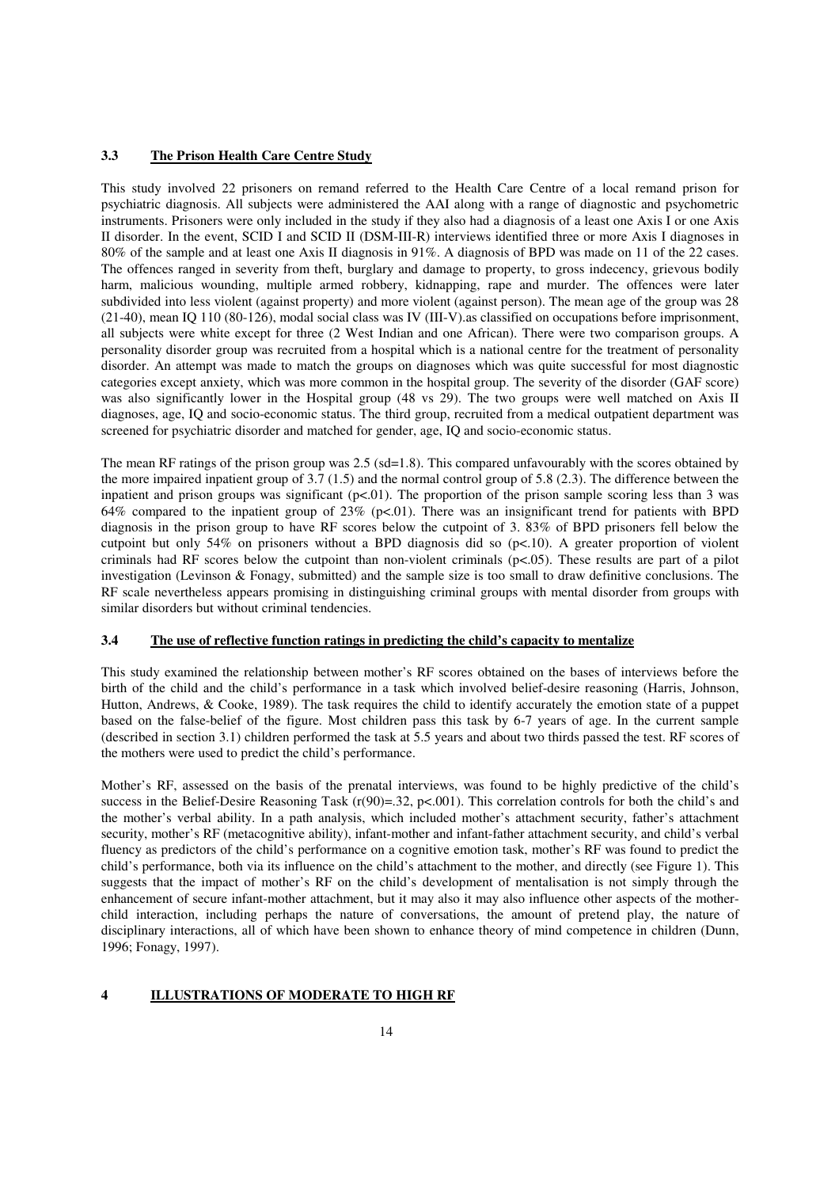## **3.3 The Prison Health Care Centre Study**

This study involved 22 prisoners on remand referred to the Health Care Centre of a local remand prison for psychiatric diagnosis. All subjects were administered the AAI along with a range of diagnostic and psychometric instruments. Prisoners were only included in the study if they also had a diagnosis of a least one Axis I or one Axis II disorder. In the event, SCID I and SCID II (DSM-III-R) interviews identified three or more Axis I diagnoses in 80% of the sample and at least one Axis II diagnosis in 91%. A diagnosis of BPD was made on 11 of the 22 cases. The offences ranged in severity from theft, burglary and damage to property, to gross indecency, grievous bodily harm, malicious wounding, multiple armed robbery, kidnapping, rape and murder. The offences were later subdivided into less violent (against property) and more violent (against person). The mean age of the group was 28 (21-40), mean IQ 110 (80-126), modal social class was IV (III-V).as classified on occupations before imprisonment, all subjects were white except for three (2 West Indian and one African). There were two comparison groups. A personality disorder group was recruited from a hospital which is a national centre for the treatment of personality disorder. An attempt was made to match the groups on diagnoses which was quite successful for most diagnostic categories except anxiety, which was more common in the hospital group. The severity of the disorder (GAF score) was also significantly lower in the Hospital group (48 vs 29). The two groups were well matched on Axis II diagnoses, age, IQ and socio-economic status. The third group, recruited from a medical outpatient department was screened for psychiatric disorder and matched for gender, age, IQ and socio-economic status.

The mean RF ratings of the prison group was 2.5 (sd=1.8). This compared unfavourably with the scores obtained by the more impaired inpatient group of 3.7 (1.5) and the normal control group of 5.8 (2.3). The difference between the inpatient and prison groups was significant  $(p<0.01)$ . The proportion of the prison sample scoring less than 3 was 64% compared to the inpatient group of 23% (p<.01). There was an insignificant trend for patients with BPD diagnosis in the prison group to have RF scores below the cutpoint of 3. 83% of BPD prisoners fell below the cutpoint but only 54% on prisoners without a BPD diagnosis did so (p<.10). A greater proportion of violent criminals had RF scores below the cutpoint than non-violent criminals  $(p<0.05)$ . These results are part of a pilot investigation (Levinson & Fonagy, submitted) and the sample size is too small to draw definitive conclusions. The RF scale nevertheless appears promising in distinguishing criminal groups with mental disorder from groups with similar disorders but without criminal tendencies.

## **3.4 The use of reflective function ratings in predicting the child's capacity to mentalize**

This study examined the relationship between mother's RF scores obtained on the bases of interviews before the birth of the child and the child's performance in a task which involved belief-desire reasoning (Harris, Johnson, Hutton, Andrews, & Cooke, 1989). The task requires the child to identify accurately the emotion state of a puppet based on the false-belief of the figure. Most children pass this task by 6-7 years of age. In the current sample (described in section 3.1) children performed the task at 5.5 years and about two thirds passed the test. RF scores of the mothers were used to predict the child's performance.

Mother's RF, assessed on the basis of the prenatal interviews, was found to be highly predictive of the child's success in the Belief-Desire Reasoning Task  $(r(90)=.32, p<.001)$ . This correlation controls for both the child's and the mother's verbal ability. In a path analysis, which included mother's attachment security, father's attachment security, mother's RF (metacognitive ability), infant-mother and infant-father attachment security, and child's verbal fluency as predictors of the child's performance on a cognitive emotion task, mother's RF was found to predict the child's performance, both via its influence on the child's attachment to the mother, and directly (see Figure 1). This suggests that the impact of mother's RF on the child's development of mentalisation is not simply through the enhancement of secure infant-mother attachment, but it may also it may also influence other aspects of the motherchild interaction, including perhaps the nature of conversations, the amount of pretend play, the nature of disciplinary interactions, all of which have been shown to enhance theory of mind competence in children (Dunn, 1996; Fonagy, 1997).

#### **4 ILLUSTRATIONS OF MODERATE TO HIGH RF**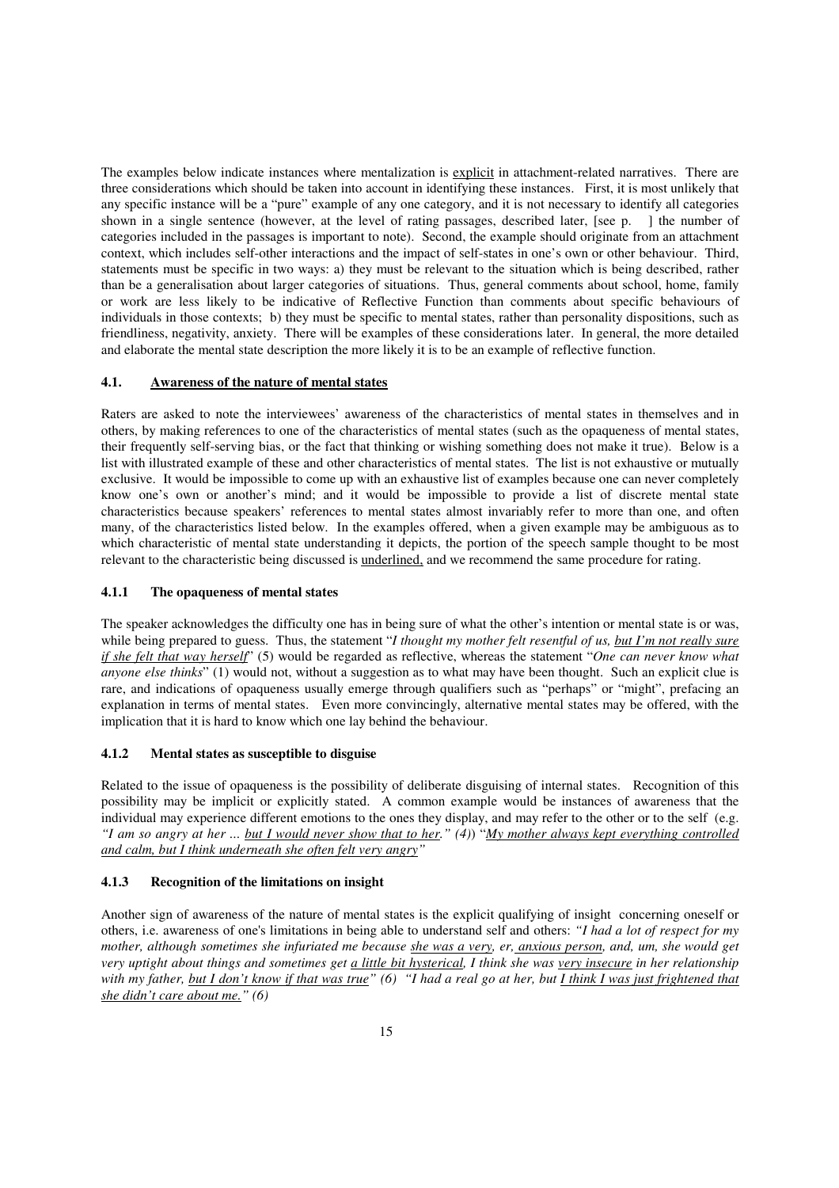The examples below indicate instances where mentalization is explicit in attachment-related narratives. There are three considerations which should be taken into account in identifying these instances. First, it is most unlikely that any specific instance will be a "pure" example of any one category, and it is not necessary to identify all categories shown in a single sentence (however, at the level of rating passages, described later, [see p. ] the number of categories included in the passages is important to note). Second, the example should originate from an attachment context, which includes self-other interactions and the impact of self-states in one's own or other behaviour. Third, statements must be specific in two ways: a) they must be relevant to the situation which is being described, rather than be a generalisation about larger categories of situations. Thus, general comments about school, home, family or work are less likely to be indicative of Reflective Function than comments about specific behaviours of individuals in those contexts; b) they must be specific to mental states, rather than personality dispositions, such as friendliness, negativity, anxiety. There will be examples of these considerations later. In general, the more detailed and elaborate the mental state description the more likely it is to be an example of reflective function.

## **4.1. Awareness of the nature of mental states**

Raters are asked to note the interviewees' awareness of the characteristics of mental states in themselves and in others, by making references to one of the characteristics of mental states (such as the opaqueness of mental states, their frequently self-serving bias, or the fact that thinking or wishing something does not make it true). Below is a list with illustrated example of these and other characteristics of mental states. The list is not exhaustive or mutually exclusive. It would be impossible to come up with an exhaustive list of examples because one can never completely know one's own or another's mind; and it would be impossible to provide a list of discrete mental state characteristics because speakers' references to mental states almost invariably refer to more than one, and often many, of the characteristics listed below. In the examples offered, when a given example may be ambiguous as to which characteristic of mental state understanding it depicts, the portion of the speech sample thought to be most relevant to the characteristic being discussed is underlined, and we recommend the same procedure for rating.

## **4.1.1 The opaqueness of mental states**

The speaker acknowledges the difficulty one has in being sure of what the other's intention or mental state is or was, while being prepared to guess. Thus, the statement "*I thought my mother felt resentful of us, but I'm not really sure if she felt that way herself*" (5) would be regarded as reflective, whereas the statement "*One can never know what anyone else thinks*" (1) would not, without a suggestion as to what may have been thought. Such an explicit clue is rare, and indications of opaqueness usually emerge through qualifiers such as "perhaps" or "might", prefacing an explanation in terms of mental states. Even more convincingly, alternative mental states may be offered, with the implication that it is hard to know which one lay behind the behaviour.

## **4.1.2 Mental states as susceptible to disguise**

Related to the issue of opaqueness is the possibility of deliberate disguising of internal states. Recognition of this possibility may be implicit or explicitly stated. A common example would be instances of awareness that the individual may experience different emotions to the ones they display, and may refer to the other or to the self (e.g. *"I am so angry at her ... but I would never show that to her." (4)*) "*My mother always kept everything controlled and calm, but I think underneath she often felt very angry"*

## **4.1.3 Recognition of the limitations on insight**

Another sign of awareness of the nature of mental states is the explicit qualifying of insight concerning oneself or others, i.e. awareness of one's limitations in being able to understand self and others: *"I had a lot of respect for my mother, although sometimes she infuriated me because she was a very, er, anxious person, and, um, she would get very uptight about things and sometimes get a little bit hysterical, I think she was very insecure in her relationship*  with my father, but I don't know if that was true" (6) "I had a real go at her, but *I think I was just frightened that she didn't care about me." (6)*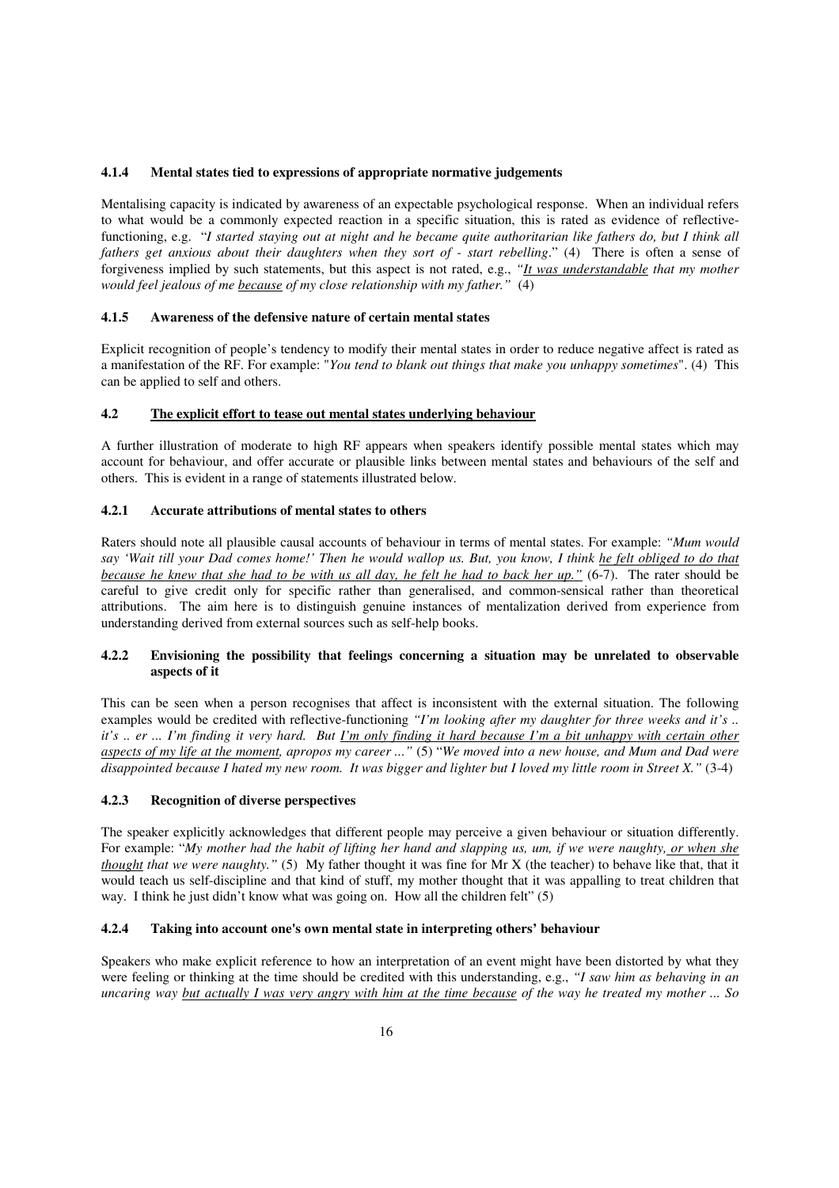#### **4.1.4 Mental states tied to expressions of appropriate normative judgements**

Mentalising capacity is indicated by awareness of an expectable psychological response. When an individual refers to what would be a commonly expected reaction in a specific situation, this is rated as evidence of reflectivefunctioning, e.g. "*I started staying out at night and he became quite authoritarian like fathers do, but I think all fathers get anxious about their daughters when they sort of - start rebelling*." (4) There is often a sense of forgiveness implied by such statements, but this aspect is not rated, e.g., *"It was understandable that my mother would feel jealous of me because of my close relationship with my father."* (4)

## **4.1.5 Awareness of the defensive nature of certain mental states**

Explicit recognition of people's tendency to modify their mental states in order to reduce negative affect is rated as a manifestation of the RF. For example: "*You tend to blank out things that make you unhappy sometimes*". (4) This can be applied to self and others.

## **4.2 The explicit effort to tease out mental states underlying behaviour**

A further illustration of moderate to high RF appears when speakers identify possible mental states which may account for behaviour, and offer accurate or plausible links between mental states and behaviours of the self and others. This is evident in a range of statements illustrated below.

## **4.2.1 Accurate attributions of mental states to others**

Raters should note all plausible causal accounts of behaviour in terms of mental states. For example: *"Mum would say 'Wait till your Dad comes home!' Then he would wallop us. But, you know, I think he felt obliged to do that because he knew that she had to be with us all day, he felt he had to back her up."* (6-7). The rater should be careful to give credit only for specific rather than generalised, and common-sensical rather than theoretical attributions. The aim here is to distinguish genuine instances of mentalization derived from experience from understanding derived from external sources such as self-help books.

## **4.2.2 Envisioning the possibility that feelings concerning a situation may be unrelated to observable aspects of it**

This can be seen when a person recognises that affect is inconsistent with the external situation. The following examples would be credited with reflective-functioning *"I'm looking after my daughter for three weeks and it's .. it's .. er ... I'm finding it very hard. But I'm only finding it hard because I'm a bit unhappy with certain other aspects of my life at the moment, apropos my career ..."* (5) "*We moved into a new house, and Mum and Dad were disappointed because I hated my new room. It was bigger and lighter but I loved my little room in Street X."* (3-4)

## **4.2.3 Recognition of diverse perspectives**

The speaker explicitly acknowledges that different people may perceive a given behaviour or situation differently. For example: "*My mother had the habit of lifting her hand and slapping us, um, if we were naughty, or when she thought that we were naughty."* (5) My father thought it was fine for Mr X (the teacher) to behave like that, that it would teach us self-discipline and that kind of stuff, my mother thought that it was appalling to treat children that way. I think he just didn't know what was going on. How all the children felt" (5)

#### **4.2.4 Taking into account one's own mental state in interpreting others' behaviour**

Speakers who make explicit reference to how an interpretation of an event might have been distorted by what they were feeling or thinking at the time should be credited with this understanding, e.g., *"I saw him as behaving in an uncaring way but actually I was very angry with him at the time because of the way he treated my mother ... So*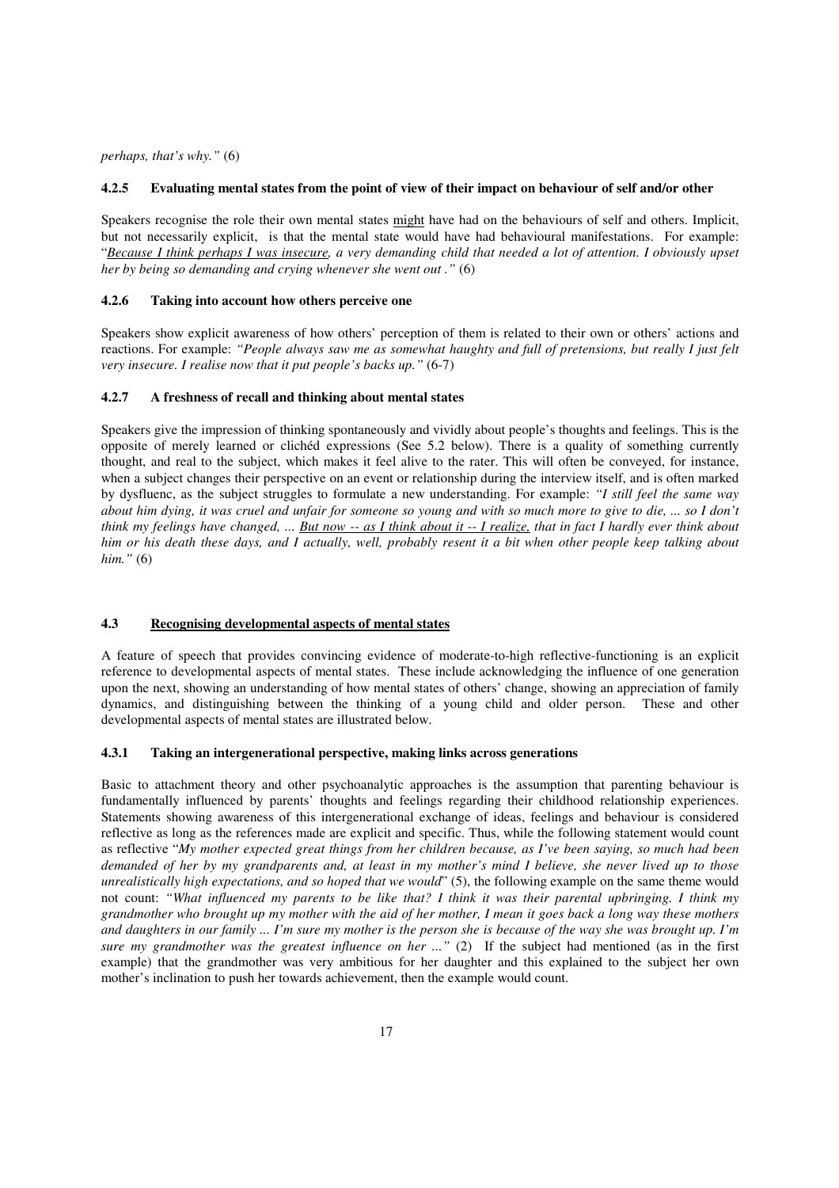*perhaps, that's why."* (6)

#### **4.2.5 Evaluating mental states from the point of view of their impact on behaviour of self and/or other**

Speakers recognise the role their own mental states might have had on the behaviours of self and others. Implicit, but not necessarily explicit, is that the mental state would have had behavioural manifestations. For example: "*Because I think perhaps I was insecure, a very demanding child that needed a lot of attention. I obviously upset her by being so demanding and crying whenever she went out ."* (6)

#### **4.2.6 Taking into account how others perceive one**

Speakers show explicit awareness of how others' perception of them is related to their own or others' actions and reactions. For example: *"People always saw me as somewhat haughty and full of pretensions, but really I just felt very insecure. I realise now that it put people's backs up."* (6-7)

#### **4.2.7 A freshness of recall and thinking about mental states**

Speakers give the impression of thinking spontaneously and vividly about people's thoughts and feelings. This is the opposite of merely learned or clichéd expressions (See 5.2 below). There is a quality of something currently thought, and real to the subject, which makes it feel alive to the rater. This will often be conveyed, for instance, when a subject changes their perspective on an event or relationship during the interview itself, and is often marked by dysfluenc, as the subject struggles to formulate a new understanding. For example: *"I still feel the same way about him dying, it was cruel and unfair for someone so young and with so much more to give to die, ... so I don't think my feelings have changed, ... But now -- as I think about it -- I realize, that in fact I hardly ever think about him or his death these days, and I actually, well, probably resent it a bit when other people keep talking about him."* (6)

#### **4.3 Recognising developmental aspects of mental states**

A feature of speech that provides convincing evidence of moderate-to-high reflective-functioning is an explicit reference to developmental aspects of mental states. These include acknowledging the influence of one generation upon the next, showing an understanding of how mental states of others' change, showing an appreciation of family dynamics, and distinguishing between the thinking of a young child and older person. These and other developmental aspects of mental states are illustrated below.

## **4.3.1 Taking an intergenerational perspective, making links across generations**

Basic to attachment theory and other psychoanalytic approaches is the assumption that parenting behaviour is fundamentally influenced by parents' thoughts and feelings regarding their childhood relationship experiences. Statements showing awareness of this intergenerational exchange of ideas, feelings and behaviour is considered reflective as long as the references made are explicit and specific. Thus, while the following statement would count as reflective "*My mother expected great things from her children because, as I've been saying, so much had been demanded of her by my grandparents and, at least in my mother's mind I believe, she never lived up to those unrealistically high expectations, and so hoped that we would*" (5), the following example on the same theme would not count: *"What influenced my parents to be like that? I think it was their parental upbringing. I think my grandmother who brought up my mother with the aid of her mother, I mean it goes back a long way these mothers and daughters in our family ... I'm sure my mother is the person she is because of the way she was brought up. I'm sure my grandmother was the greatest influence on her ..."* (2) If the subject had mentioned (as in the first example) that the grandmother was very ambitious for her daughter and this explained to the subject her own mother's inclination to push her towards achievement, then the example would count.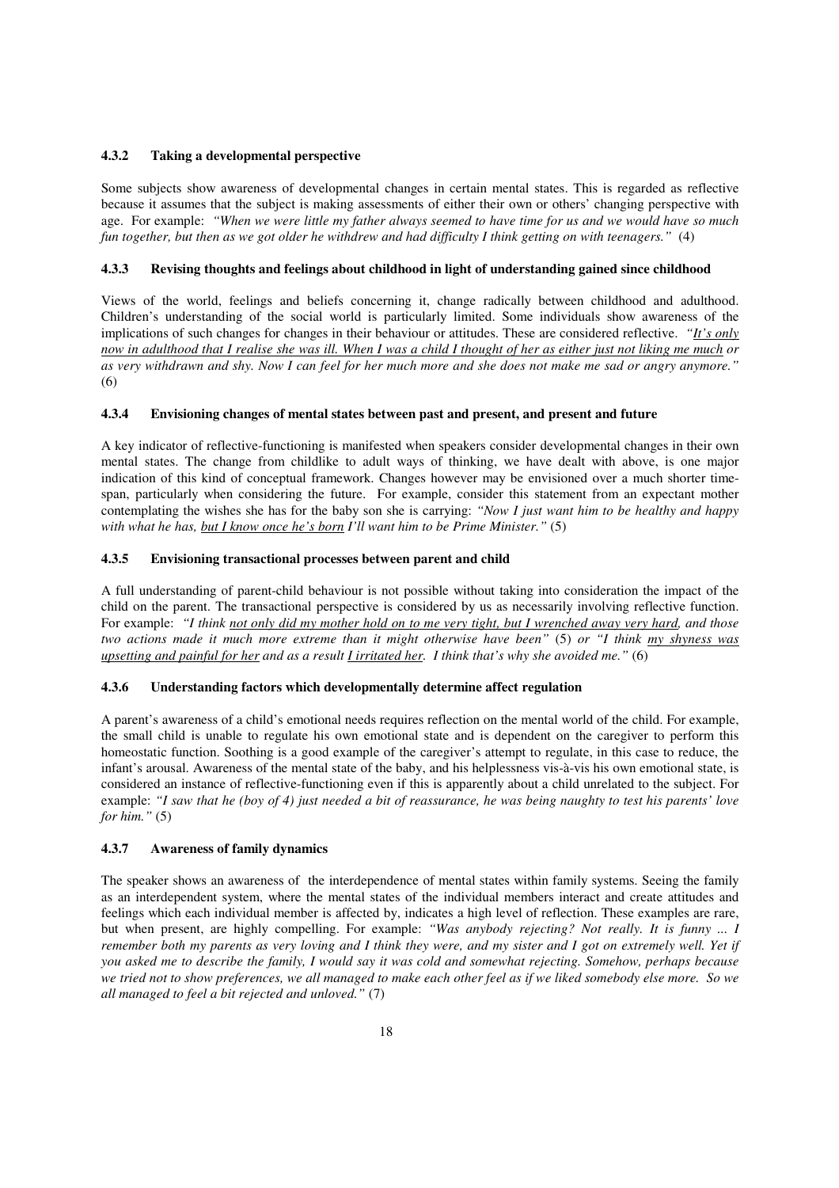## **4.3.2 Taking a developmental perspective**

Some subjects show awareness of developmental changes in certain mental states. This is regarded as reflective because it assumes that the subject is making assessments of either their own or others' changing perspective with age. For example: *"When we were little my father always seemed to have time for us and we would have so much fun together, but then as we got older he withdrew and had difficulty I think getting on with teenagers."* (4)

## **4.3.3 Revising thoughts and feelings about childhood in light of understanding gained since childhood**

Views of the world, feelings and beliefs concerning it, change radically between childhood and adulthood. Children's understanding of the social world is particularly limited. Some individuals show awareness of the implications of such changes for changes in their behaviour or attitudes. These are considered reflective. *"It's only now in adulthood that I realise she was ill. When I was a child I thought of her as either just not liking me much or as very withdrawn and shy. Now I can feel for her much more and she does not make me sad or angry anymore."*  (6)

## **4.3.4 Envisioning changes of mental states between past and present, and present and future**

A key indicator of reflective-functioning is manifested when speakers consider developmental changes in their own mental states. The change from childlike to adult ways of thinking, we have dealt with above, is one major indication of this kind of conceptual framework. Changes however may be envisioned over a much shorter timespan, particularly when considering the future. For example, consider this statement from an expectant mother contemplating the wishes she has for the baby son she is carrying: *"Now I just want him to be healthy and happy with what he has, but I know once he's born I'll want him to be Prime Minister."* (5)

## **4.3.5 Envisioning transactional processes between parent and child**

A full understanding of parent-child behaviour is not possible without taking into consideration the impact of the child on the parent. The transactional perspective is considered by us as necessarily involving reflective function. For example: *"I think not only did my mother hold on to me very tight, but I wrenched away very hard, and those two actions made it much more extreme than it might otherwise have been"* (5) *or "I think my shyness was upsetting and painful for her and as a result I irritated her. I think that's why she avoided me."* (6)

## **4.3.6 Understanding factors which developmentally determine affect regulation**

A parent's awareness of a child's emotional needs requires reflection on the mental world of the child. For example, the small child is unable to regulate his own emotional state and is dependent on the caregiver to perform this homeostatic function. Soothing is a good example of the caregiver's attempt to regulate, in this case to reduce, the infant's arousal. Awareness of the mental state of the baby, and his helplessness vis-à-vis his own emotional state, is considered an instance of reflective-functioning even if this is apparently about a child unrelated to the subject. For example: *"I saw that he (boy of 4) just needed a bit of reassurance, he was being naughty to test his parents' love for him."* (5)

#### **4.3.7 Awareness of family dynamics**

The speaker shows an awareness of the interdependence of mental states within family systems. Seeing the family as an interdependent system, where the mental states of the individual members interact and create attitudes and feelings which each individual member is affected by, indicates a high level of reflection. These examples are rare, but when present, are highly compelling. For example: *"Was anybody rejecting? Not really. It is funny ... I remember both my parents as very loving and I think they were, and my sister and I got on extremely well. Yet if you asked me to describe the family, I would say it was cold and somewhat rejecting. Somehow, perhaps because we tried not to show preferences, we all managed to make each other feel as if we liked somebody else more. So we all managed to feel a bit rejected and unloved."* (7)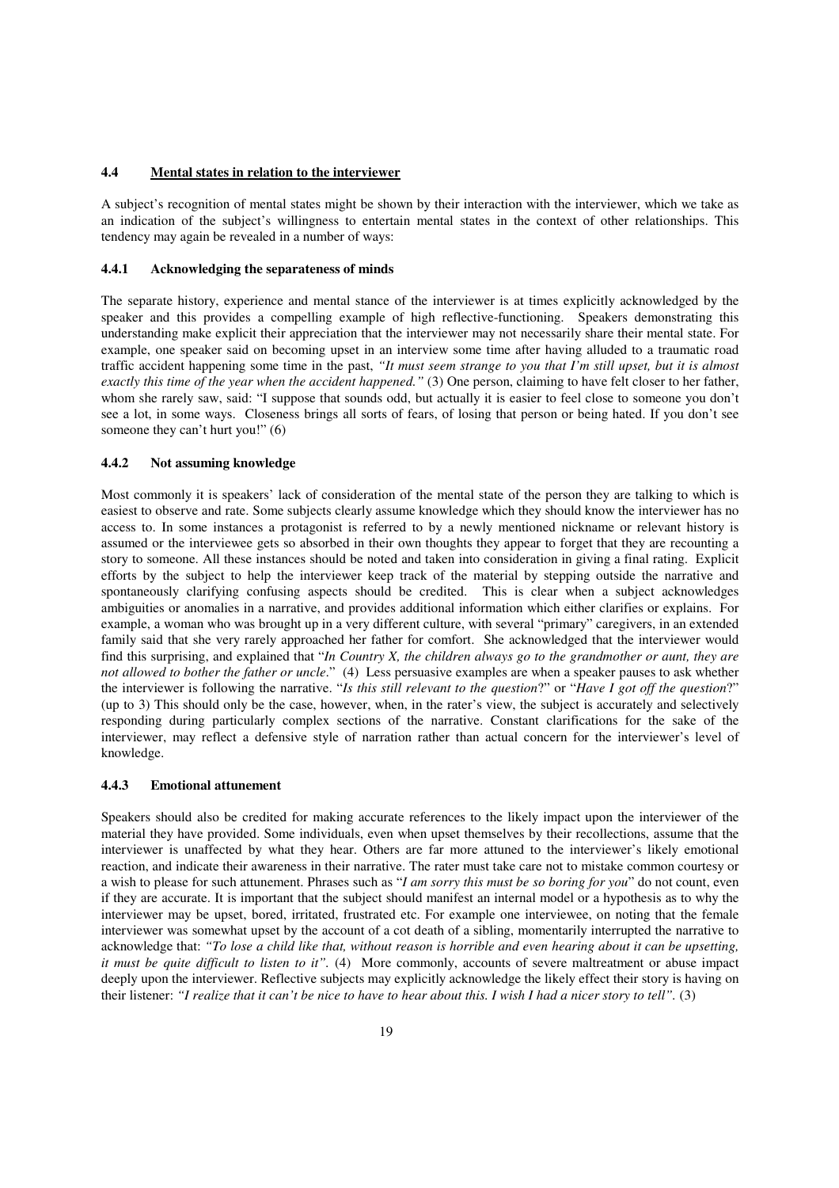## **4.4 Mental states in relation to the interviewer**

A subject's recognition of mental states might be shown by their interaction with the interviewer, which we take as an indication of the subject's willingness to entertain mental states in the context of other relationships. This tendency may again be revealed in a number of ways:

## **4.4.1 Acknowledging the separateness of minds**

The separate history, experience and mental stance of the interviewer is at times explicitly acknowledged by the speaker and this provides a compelling example of high reflective-functioning. Speakers demonstrating this understanding make explicit their appreciation that the interviewer may not necessarily share their mental state. For example, one speaker said on becoming upset in an interview some time after having alluded to a traumatic road traffic accident happening some time in the past, *"It must seem strange to you that I'm still upset, but it is almost exactly this time of the year when the accident happened."* (3) One person, claiming to have felt closer to her father, whom she rarely saw, said: "I suppose that sounds odd, but actually it is easier to feel close to someone you don't see a lot, in some ways. Closeness brings all sorts of fears, of losing that person or being hated. If you don't see someone they can't hurt you!" (6)

#### **4.4.2 Not assuming knowledge**

Most commonly it is speakers' lack of consideration of the mental state of the person they are talking to which is easiest to observe and rate. Some subjects clearly assume knowledge which they should know the interviewer has no access to. In some instances a protagonist is referred to by a newly mentioned nickname or relevant history is assumed or the interviewee gets so absorbed in their own thoughts they appear to forget that they are recounting a story to someone. All these instances should be noted and taken into consideration in giving a final rating. Explicit efforts by the subject to help the interviewer keep track of the material by stepping outside the narrative and spontaneously clarifying confusing aspects should be credited. This is clear when a subject acknowledges ambiguities or anomalies in a narrative, and provides additional information which either clarifies or explains. For example, a woman who was brought up in a very different culture, with several "primary" caregivers, in an extended family said that she very rarely approached her father for comfort. She acknowledged that the interviewer would find this surprising, and explained that "*In Country X, the children always go to the grandmother or aunt, they are not allowed to bother the father or uncle*." (4) Less persuasive examples are when a speaker pauses to ask whether the interviewer is following the narrative. "*Is this still relevant to the question*?" or "*Have I got off the question*?" (up to 3) This should only be the case, however, when, in the rater's view, the subject is accurately and selectively responding during particularly complex sections of the narrative. Constant clarifications for the sake of the interviewer, may reflect a defensive style of narration rather than actual concern for the interviewer's level of knowledge.

#### **4.4.3 Emotional attunement**

Speakers should also be credited for making accurate references to the likely impact upon the interviewer of the material they have provided. Some individuals, even when upset themselves by their recollections, assume that the interviewer is unaffected by what they hear. Others are far more attuned to the interviewer's likely emotional reaction, and indicate their awareness in their narrative. The rater must take care not to mistake common courtesy or a wish to please for such attunement. Phrases such as "*I am sorry this must be so boring for you*" do not count, even if they are accurate. It is important that the subject should manifest an internal model or a hypothesis as to why the interviewer may be upset, bored, irritated, frustrated etc. For example one interviewee, on noting that the female interviewer was somewhat upset by the account of a cot death of a sibling, momentarily interrupted the narrative to acknowledge that: *"To lose a child like that, without reason is horrible and even hearing about it can be upsetting, it must be quite difficult to listen to it".* (4) More commonly, accounts of severe maltreatment or abuse impact deeply upon the interviewer. Reflective subjects may explicitly acknowledge the likely effect their story is having on their listener: *"I realize that it can't be nice to have to hear about this. I wish I had a nicer story to tell".* (3)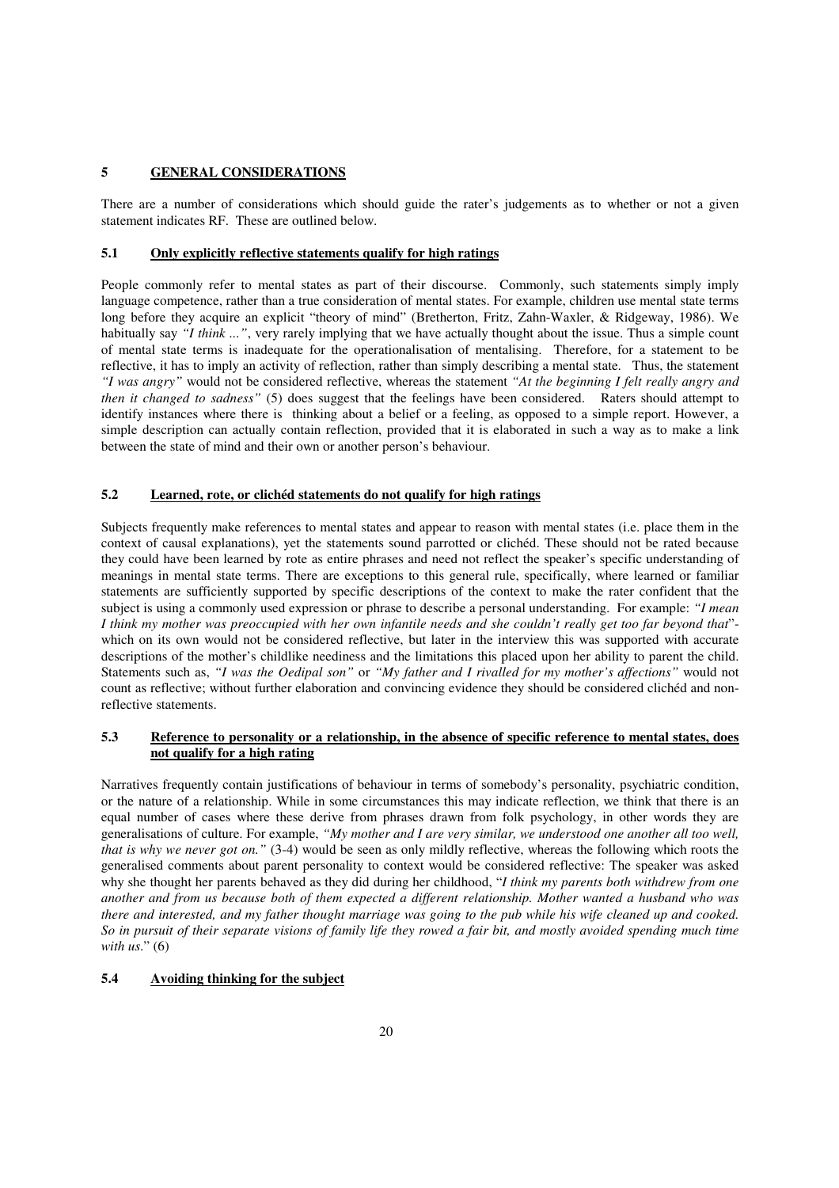## **5 GENERAL CONSIDERATIONS**

There are a number of considerations which should guide the rater's judgements as to whether or not a given statement indicates RF. These are outlined below.

#### **5.1 Only explicitly reflective statements qualify for high ratings**

People commonly refer to mental states as part of their discourse. Commonly, such statements simply imply language competence, rather than a true consideration of mental states. For example, children use mental state terms long before they acquire an explicit "theory of mind" (Bretherton, Fritz, Zahn-Waxler, & Ridgeway, 1986). We habitually say *"I think ..."*, very rarely implying that we have actually thought about the issue. Thus a simple count of mental state terms is inadequate for the operationalisation of mentalising. Therefore, for a statement to be reflective, it has to imply an activity of reflection, rather than simply describing a mental state. Thus, the statement *"I was angry"* would not be considered reflective, whereas the statement *"At the beginning I felt really angry and then it changed to sadness"* (5) does suggest that the feelings have been considered. Raters should attempt to identify instances where there is thinking about a belief or a feeling, as opposed to a simple report. However, a simple description can actually contain reflection, provided that it is elaborated in such a way as to make a link between the state of mind and their own or another person's behaviour.

## **5.2 Learned, rote, or clichéd statements do not qualify for high ratings**

Subjects frequently make references to mental states and appear to reason with mental states (i.e. place them in the context of causal explanations), yet the statements sound parrotted or clichéd. These should not be rated because they could have been learned by rote as entire phrases and need not reflect the speaker's specific understanding of meanings in mental state terms. There are exceptions to this general rule, specifically, where learned or familiar statements are sufficiently supported by specific descriptions of the context to make the rater confident that the subject is using a commonly used expression or phrase to describe a personal understanding. For example: *"I mean I think my mother was preoccupied with her own infantile needs and she couldn't really get too far beyond that*" which on its own would not be considered reflective, but later in the interview this was supported with accurate descriptions of the mother's childlike neediness and the limitations this placed upon her ability to parent the child. Statements such as, *"I was the Oedipal son"* or *"My father and I rivalled for my mother's affections"* would not count as reflective; without further elaboration and convincing evidence they should be considered clichéd and nonreflective statements.

## **5.3 Reference to personality or a relationship, in the absence of specific reference to mental states, does not qualify for a high rating**

Narratives frequently contain justifications of behaviour in terms of somebody's personality, psychiatric condition, or the nature of a relationship. While in some circumstances this may indicate reflection, we think that there is an equal number of cases where these derive from phrases drawn from folk psychology, in other words they are generalisations of culture. For example, *"My mother and I are very similar, we understood one another all too well, that is why we never got on.*" (3-4) would be seen as only mildly reflective, whereas the following which roots the generalised comments about parent personality to context would be considered reflective: The speaker was asked why she thought her parents behaved as they did during her childhood, "*I think my parents both withdrew from one another and from us because both of them expected a different relationship. Mother wanted a husband who was there and interested, and my father thought marriage was going to the pub while his wife cleaned up and cooked. So in pursuit of their separate visions of family life they rowed a fair bit, and mostly avoided spending much time with us*." (6)

### **5.4 Avoiding thinking for the subject**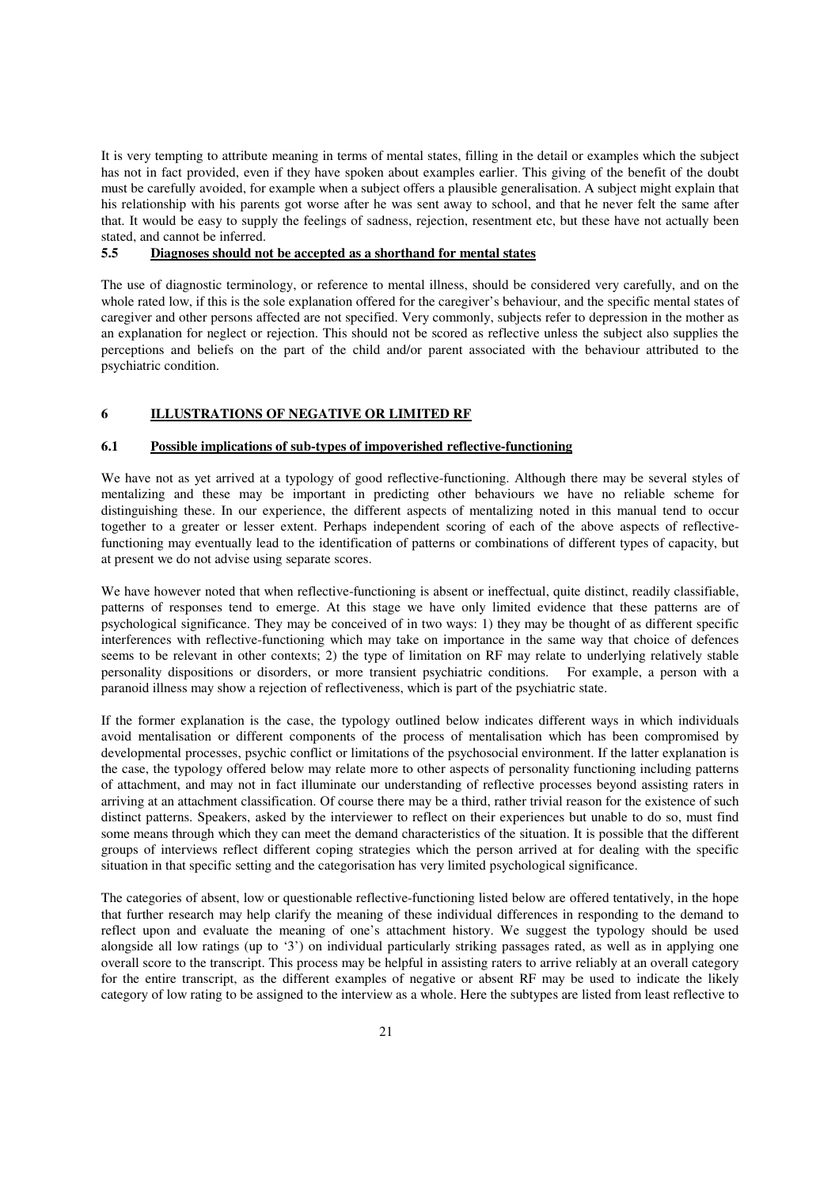It is very tempting to attribute meaning in terms of mental states, filling in the detail or examples which the subject has not in fact provided, even if they have spoken about examples earlier. This giving of the benefit of the doubt must be carefully avoided, for example when a subject offers a plausible generalisation. A subject might explain that his relationship with his parents got worse after he was sent away to school, and that he never felt the same after that. It would be easy to supply the feelings of sadness, rejection, resentment etc, but these have not actually been stated, and cannot be inferred.

## **5.5 Diagnoses should not be accepted as a shorthand for mental states**

The use of diagnostic terminology, or reference to mental illness, should be considered very carefully, and on the whole rated low, if this is the sole explanation offered for the caregiver's behaviour, and the specific mental states of caregiver and other persons affected are not specified. Very commonly, subjects refer to depression in the mother as an explanation for neglect or rejection. This should not be scored as reflective unless the subject also supplies the perceptions and beliefs on the part of the child and/or parent associated with the behaviour attributed to the psychiatric condition.

# **6 ILLUSTRATIONS OF NEGATIVE OR LIMITED RF**

## **6.1 Possible implications of sub-types of impoverished reflective-functioning**

We have not as yet arrived at a typology of good reflective-functioning. Although there may be several styles of mentalizing and these may be important in predicting other behaviours we have no reliable scheme for distinguishing these. In our experience, the different aspects of mentalizing noted in this manual tend to occur together to a greater or lesser extent. Perhaps independent scoring of each of the above aspects of reflectivefunctioning may eventually lead to the identification of patterns or combinations of different types of capacity, but at present we do not advise using separate scores.

We have however noted that when reflective-functioning is absent or ineffectual, quite distinct, readily classifiable, patterns of responses tend to emerge. At this stage we have only limited evidence that these patterns are of psychological significance. They may be conceived of in two ways: 1) they may be thought of as different specific interferences with reflective-functioning which may take on importance in the same way that choice of defences seems to be relevant in other contexts; 2) the type of limitation on RF may relate to underlying relatively stable personality dispositions or disorders, or more transient psychiatric conditions. For example, a person with a paranoid illness may show a rejection of reflectiveness, which is part of the psychiatric state.

If the former explanation is the case, the typology outlined below indicates different ways in which individuals avoid mentalisation or different components of the process of mentalisation which has been compromised by developmental processes, psychic conflict or limitations of the psychosocial environment. If the latter explanation is the case, the typology offered below may relate more to other aspects of personality functioning including patterns of attachment, and may not in fact illuminate our understanding of reflective processes beyond assisting raters in arriving at an attachment classification. Of course there may be a third, rather trivial reason for the existence of such distinct patterns. Speakers, asked by the interviewer to reflect on their experiences but unable to do so, must find some means through which they can meet the demand characteristics of the situation. It is possible that the different groups of interviews reflect different coping strategies which the person arrived at for dealing with the specific situation in that specific setting and the categorisation has very limited psychological significance.

The categories of absent, low or questionable reflective-functioning listed below are offered tentatively, in the hope that further research may help clarify the meaning of these individual differences in responding to the demand to reflect upon and evaluate the meaning of one's attachment history. We suggest the typology should be used alongside all low ratings (up to '3') on individual particularly striking passages rated, as well as in applying one overall score to the transcript. This process may be helpful in assisting raters to arrive reliably at an overall category for the entire transcript, as the different examples of negative or absent RF may be used to indicate the likely category of low rating to be assigned to the interview as a whole. Here the subtypes are listed from least reflective to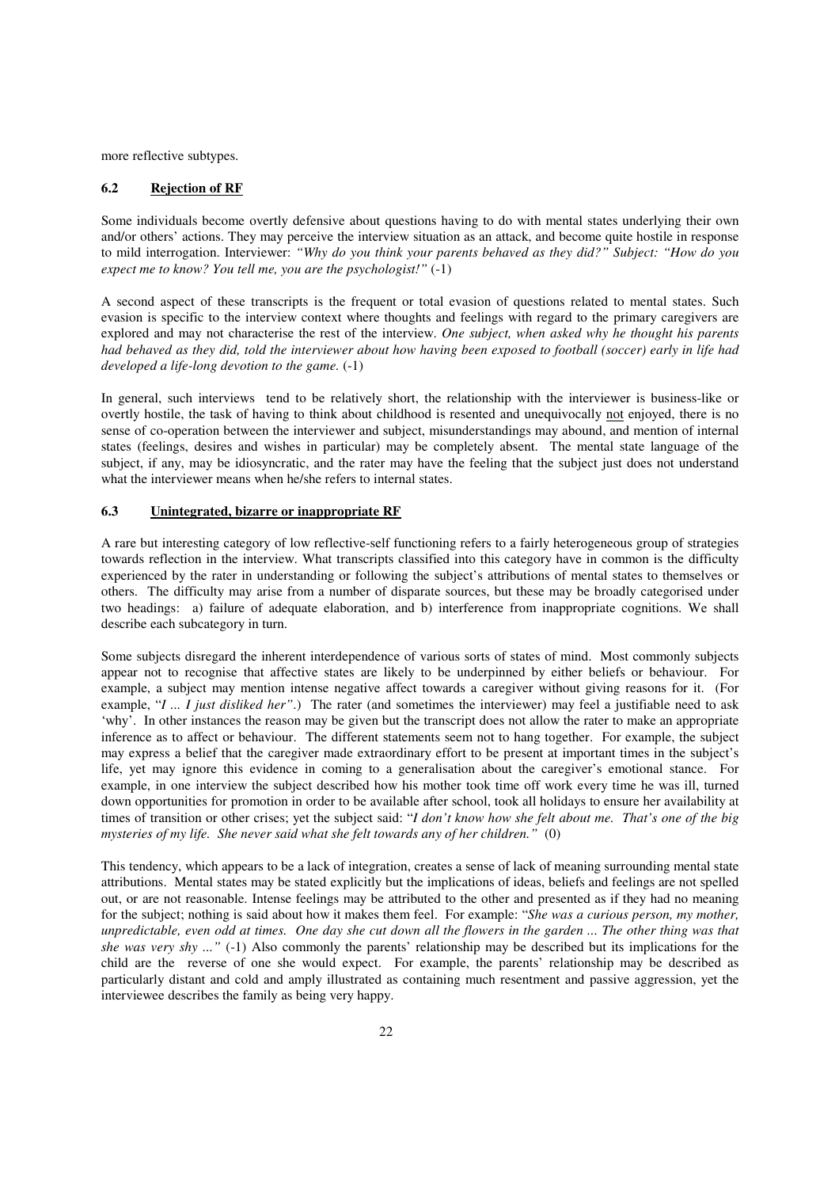more reflective subtypes.

#### **6.2 Rejection of RF**

Some individuals become overtly defensive about questions having to do with mental states underlying their own and/or others' actions. They may perceive the interview situation as an attack, and become quite hostile in response to mild interrogation. Interviewer: *"Why do you think your parents behaved as they did?" Subject: "How do you expect me to know? You tell me, you are the psychologist!"* (-1)

A second aspect of these transcripts is the frequent or total evasion of questions related to mental states. Such evasion is specific to the interview context where thoughts and feelings with regard to the primary caregivers are explored and may not characterise the rest of the interview. *One subject, when asked why he thought his parents had behaved as they did, told the interviewer about how having been exposed to football (soccer) early in life had developed a life-long devotion to the game.* (-1)

In general, such interviews tend to be relatively short, the relationship with the interviewer is business-like or overtly hostile, the task of having to think about childhood is resented and unequivocally not enjoyed, there is no sense of co-operation between the interviewer and subject, misunderstandings may abound, and mention of internal states (feelings, desires and wishes in particular) may be completely absent. The mental state language of the subject, if any, may be idiosyncratic, and the rater may have the feeling that the subject just does not understand what the interviewer means when he/she refers to internal states.

#### **6.3 Unintegrated, bizarre or inappropriate RF**

A rare but interesting category of low reflective-self functioning refers to a fairly heterogeneous group of strategies towards reflection in the interview. What transcripts classified into this category have in common is the difficulty experienced by the rater in understanding or following the subject's attributions of mental states to themselves or others. The difficulty may arise from a number of disparate sources, but these may be broadly categorised under two headings: a) failure of adequate elaboration, and b) interference from inappropriate cognitions. We shall describe each subcategory in turn.

Some subjects disregard the inherent interdependence of various sorts of states of mind. Most commonly subjects appear not to recognise that affective states are likely to be underpinned by either beliefs or behaviour. For example, a subject may mention intense negative affect towards a caregiver without giving reasons for it. (For example, "*I ... I just disliked her"*.) The rater (and sometimes the interviewer) may feel a justifiable need to ask 'why'. In other instances the reason may be given but the transcript does not allow the rater to make an appropriate inference as to affect or behaviour. The different statements seem not to hang together. For example, the subject may express a belief that the caregiver made extraordinary effort to be present at important times in the subject's life, yet may ignore this evidence in coming to a generalisation about the caregiver's emotional stance. For example, in one interview the subject described how his mother took time off work every time he was ill, turned down opportunities for promotion in order to be available after school, took all holidays to ensure her availability at times of transition or other crises; yet the subject said: "*I don't know how she felt about me. That's one of the big mysteries of my life. She never said what she felt towards any of her children."* (0)

This tendency, which appears to be a lack of integration, creates a sense of lack of meaning surrounding mental state attributions. Mental states may be stated explicitly but the implications of ideas, beliefs and feelings are not spelled out, or are not reasonable. Intense feelings may be attributed to the other and presented as if they had no meaning for the subject; nothing is said about how it makes them feel. For example: "*She was a curious person, my mother, unpredictable, even odd at times. One day she cut down all the flowers in the garden ... The other thing was that she was very shy ..."* (-1) Also commonly the parents' relationship may be described but its implications for the child are the reverse of one she would expect. For example, the parents' relationship may be described as particularly distant and cold and amply illustrated as containing much resentment and passive aggression, yet the interviewee describes the family as being very happy.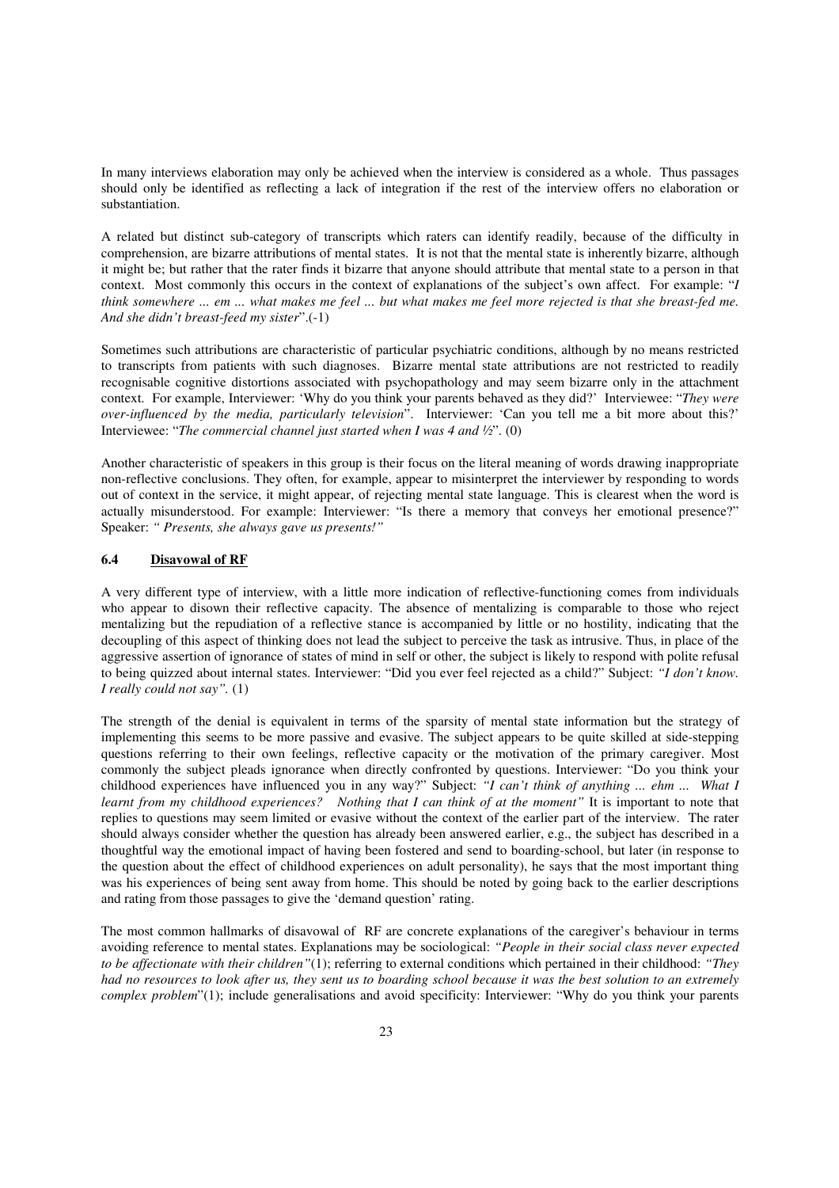In many interviews elaboration may only be achieved when the interview is considered as a whole. Thus passages should only be identified as reflecting a lack of integration if the rest of the interview offers no elaboration or substantiation.

A related but distinct sub-category of transcripts which raters can identify readily, because of the difficulty in comprehension, are bizarre attributions of mental states. It is not that the mental state is inherently bizarre, although it might be; but rather that the rater finds it bizarre that anyone should attribute that mental state to a person in that context. Most commonly this occurs in the context of explanations of the subject's own affect. For example: "*I think somewhere ... em ... what makes me feel ... but what makes me feel more rejected is that she breast-fed me. And she didn't breast-feed my sister*".(-1)

Sometimes such attributions are characteristic of particular psychiatric conditions, although by no means restricted to transcripts from patients with such diagnoses. Bizarre mental state attributions are not restricted to readily recognisable cognitive distortions associated with psychopathology and may seem bizarre only in the attachment context. For example, Interviewer: 'Why do you think your parents behaved as they did?' Interviewee: "*They were over-influenced by the media, particularly television*". Interviewer: 'Can you tell me a bit more about this?' Interviewee: "*The commercial channel just started when I was 4 and ½*". (0)

Another characteristic of speakers in this group is their focus on the literal meaning of words drawing inappropriate non-reflective conclusions. They often, for example, appear to misinterpret the interviewer by responding to words out of context in the service, it might appear, of rejecting mental state language. This is clearest when the word is actually misunderstood. For example: Interviewer: "Is there a memory that conveys her emotional presence?" Speaker: *" Presents, she always gave us presents!"*

#### **6.4 Disavowal of RF**

A very different type of interview, with a little more indication of reflective-functioning comes from individuals who appear to disown their reflective capacity. The absence of mentalizing is comparable to those who reject mentalizing but the repudiation of a reflective stance is accompanied by little or no hostility, indicating that the decoupling of this aspect of thinking does not lead the subject to perceive the task as intrusive. Thus, in place of the aggressive assertion of ignorance of states of mind in self or other, the subject is likely to respond with polite refusal to being quizzed about internal states. Interviewer: "Did you ever feel rejected as a child?" Subject: *"I don't know. I really could not say".* (1)

The strength of the denial is equivalent in terms of the sparsity of mental state information but the strategy of implementing this seems to be more passive and evasive. The subject appears to be quite skilled at side-stepping questions referring to their own feelings, reflective capacity or the motivation of the primary caregiver. Most commonly the subject pleads ignorance when directly confronted by questions. Interviewer: "Do you think your childhood experiences have influenced you in any way?" Subject: *"I can't think of anything ... ehm ... What I learnt from my childhood experiences?* Nothing that I can think of at the moment" It is important to note that replies to questions may seem limited or evasive without the context of the earlier part of the interview. The rater should always consider whether the question has already been answered earlier, e.g., the subject has described in a thoughtful way the emotional impact of having been fostered and send to boarding-school, but later (in response to the question about the effect of childhood experiences on adult personality), he says that the most important thing was his experiences of being sent away from home. This should be noted by going back to the earlier descriptions and rating from those passages to give the 'demand question' rating.

The most common hallmarks of disavowal of RF are concrete explanations of the caregiver's behaviour in terms avoiding reference to mental states. Explanations may be sociological: *"People in their social class never expected to be affectionate with their children"*(1); referring to external conditions which pertained in their childhood: *"They had no resources to look after us, they sent us to boarding school because it was the best solution to an extremely complex problem*"(1); include generalisations and avoid specificity: Interviewer: "Why do you think your parents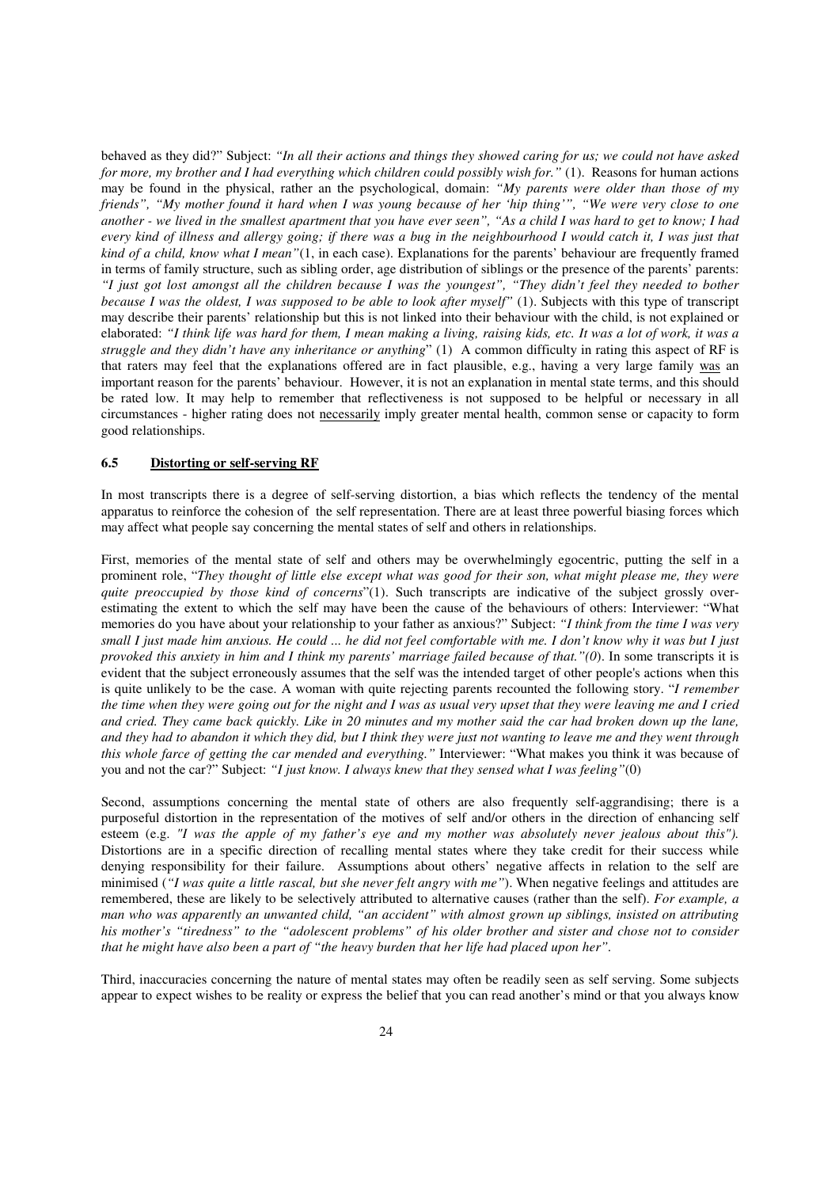behaved as they did?" Subject: *"In all their actions and things they showed caring for us; we could not have asked for more, my brother and I had everything which children could possibly wish for."* (1). Reasons for human actions may be found in the physical, rather an the psychological, domain: *"My parents were older than those of my friends", "My mother found it hard when I was young because of her 'hip thing'", "We were very close to one another - we lived in the smallest apartment that you have ever seen", "As a child I was hard to get to know; I had every kind of illness and allergy going; if there was a bug in the neighbourhood I would catch it, I was just that kind of a child, know what I mean"*(1, in each case). Explanations for the parents' behaviour are frequently framed in terms of family structure, such as sibling order, age distribution of siblings or the presence of the parents' parents: *"I just got lost amongst all the children because I was the youngest", "They didn't feel they needed to bother because I was the oldest, I was supposed to be able to look after myself"* (1). Subjects with this type of transcript may describe their parents' relationship but this is not linked into their behaviour with the child, is not explained or elaborated: *"I think life was hard for them, I mean making a living, raising kids, etc. It was a lot of work, it was a struggle and they didn't have any inheritance or anything*" (1) A common difficulty in rating this aspect of RF is that raters may feel that the explanations offered are in fact plausible, e.g., having a very large family was an important reason for the parents' behaviour. However, it is not an explanation in mental state terms, and this should be rated low. It may help to remember that reflectiveness is not supposed to be helpful or necessary in all circumstances - higher rating does not necessarily imply greater mental health, common sense or capacity to form good relationships.

#### **6.5 Distorting or self-serving RF**

In most transcripts there is a degree of self-serving distortion, a bias which reflects the tendency of the mental apparatus to reinforce the cohesion of the self representation. There are at least three powerful biasing forces which may affect what people say concerning the mental states of self and others in relationships.

First, memories of the mental state of self and others may be overwhelmingly egocentric, putting the self in a prominent role, "*They thought of little else except what was good for their son, what might please me, they were quite preoccupied by those kind of concerns*"(1). Such transcripts are indicative of the subject grossly overestimating the extent to which the self may have been the cause of the behaviours of others: Interviewer: "What memories do you have about your relationship to your father as anxious?" Subject: *"I think from the time I was very small I just made him anxious. He could ... he did not feel comfortable with me. I don't know why it was but I just provoked this anxiety in him and I think my parents' marriage failed because of that."(0*). In some transcripts it is evident that the subject erroneously assumes that the self was the intended target of other people's actions when this is quite unlikely to be the case. A woman with quite rejecting parents recounted the following story. "*I remember the time when they were going out for the night and I was as usual very upset that they were leaving me and I cried and cried. They came back quickly. Like in 20 minutes and my mother said the car had broken down up the lane, and they had to abandon it which they did, but I think they were just not wanting to leave me and they went through this whole farce of getting the car mended and everything."* Interviewer: "What makes you think it was because of you and not the car?" Subject: *"I just know. I always knew that they sensed what I was feeling"*(0)

Second, assumptions concerning the mental state of others are also frequently self-aggrandising; there is a purposeful distortion in the representation of the motives of self and/or others in the direction of enhancing self esteem (e.g. *"I was the apple of my father's eye and my mother was absolutely never jealous about this").*  Distortions are in a specific direction of recalling mental states where they take credit for their success while denying responsibility for their failure. Assumptions about others' negative affects in relation to the self are minimised (*"I was quite a little rascal, but she never felt angry with me"*). When negative feelings and attitudes are remembered, these are likely to be selectively attributed to alternative causes (rather than the self). *For example, a man who was apparently an unwanted child, "an accident" with almost grown up siblings, insisted on attributing his mother's "tiredness" to the "adolescent problems" of his older brother and sister and chose not to consider that he might have also been a part of "the heavy burden that her life had placed upon her".*

Third, inaccuracies concerning the nature of mental states may often be readily seen as self serving. Some subjects appear to expect wishes to be reality or express the belief that you can read another's mind or that you always know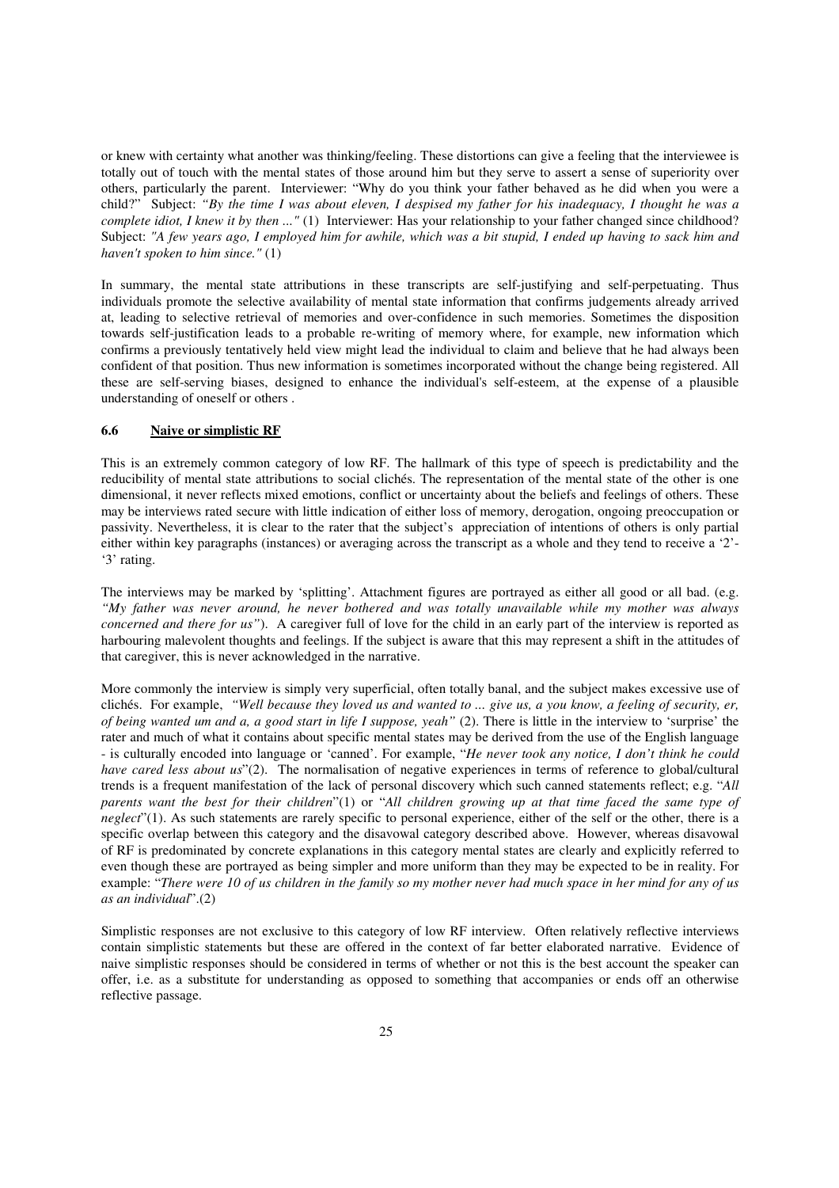or knew with certainty what another was thinking/feeling. These distortions can give a feeling that the interviewee is totally out of touch with the mental states of those around him but they serve to assert a sense of superiority over others, particularly the parent. Interviewer: "Why do you think your father behaved as he did when you were a child?" Subject: *"By the time I was about eleven, I despised my father for his inadequacy, I thought he was a complete idiot, I knew it by then* ..." (1) Interviewer: Has your relationship to your father changed since childhood? Subject: *"A few years ago, I employed him for awhile, which was a bit stupid, I ended up having to sack him and haven't spoken to him since."* (1)

In summary, the mental state attributions in these transcripts are self-justifying and self-perpetuating. Thus individuals promote the selective availability of mental state information that confirms judgements already arrived at, leading to selective retrieval of memories and over-confidence in such memories. Sometimes the disposition towards self-justification leads to a probable re-writing of memory where, for example, new information which confirms a previously tentatively held view might lead the individual to claim and believe that he had always been confident of that position. Thus new information is sometimes incorporated without the change being registered. All these are self-serving biases, designed to enhance the individual's self-esteem, at the expense of a plausible understanding of oneself or others .

#### **6.6 Naive or simplistic RF**

This is an extremely common category of low RF. The hallmark of this type of speech is predictability and the reducibility of mental state attributions to social clichés. The representation of the mental state of the other is one dimensional, it never reflects mixed emotions, conflict or uncertainty about the beliefs and feelings of others. These may be interviews rated secure with little indication of either loss of memory, derogation, ongoing preoccupation or passivity. Nevertheless, it is clear to the rater that the subject's appreciation of intentions of others is only partial either within key paragraphs (instances) or averaging across the transcript as a whole and they tend to receive a '2'- '3' rating.

The interviews may be marked by 'splitting'. Attachment figures are portrayed as either all good or all bad. (e.g. *"My father was never around, he never bothered and was totally unavailable while my mother was always concerned and there for us"*). A caregiver full of love for the child in an early part of the interview is reported as harbouring malevolent thoughts and feelings. If the subject is aware that this may represent a shift in the attitudes of that caregiver, this is never acknowledged in the narrative.

More commonly the interview is simply very superficial, often totally banal, and the subject makes excessive use of clichés. For example, *"Well because they loved us and wanted to ... give us, a you know, a feeling of security, er, of being wanted um and a, a good start in life I suppose, yeah"* (2). There is little in the interview to 'surprise' the rater and much of what it contains about specific mental states may be derived from the use of the English language - is culturally encoded into language or 'canned'. For example, "*He never took any notice, I don't think he could have cared less about us*"(2). The normalisation of negative experiences in terms of reference to global/cultural trends is a frequent manifestation of the lack of personal discovery which such canned statements reflect; e.g. "*All parents want the best for their children*"(1) or "*All children growing up at that time faced the same type of neglect*"(1). As such statements are rarely specific to personal experience, either of the self or the other, there is a specific overlap between this category and the disavowal category described above. However, whereas disavowal of RF is predominated by concrete explanations in this category mental states are clearly and explicitly referred to even though these are portrayed as being simpler and more uniform than they may be expected to be in reality. For example: "*There were 10 of us children in the family so my mother never had much space in her mind for any of us as an individual*".(2)

Simplistic responses are not exclusive to this category of low RF interview. Often relatively reflective interviews contain simplistic statements but these are offered in the context of far better elaborated narrative. Evidence of naive simplistic responses should be considered in terms of whether or not this is the best account the speaker can offer, i.e. as a substitute for understanding as opposed to something that accompanies or ends off an otherwise reflective passage.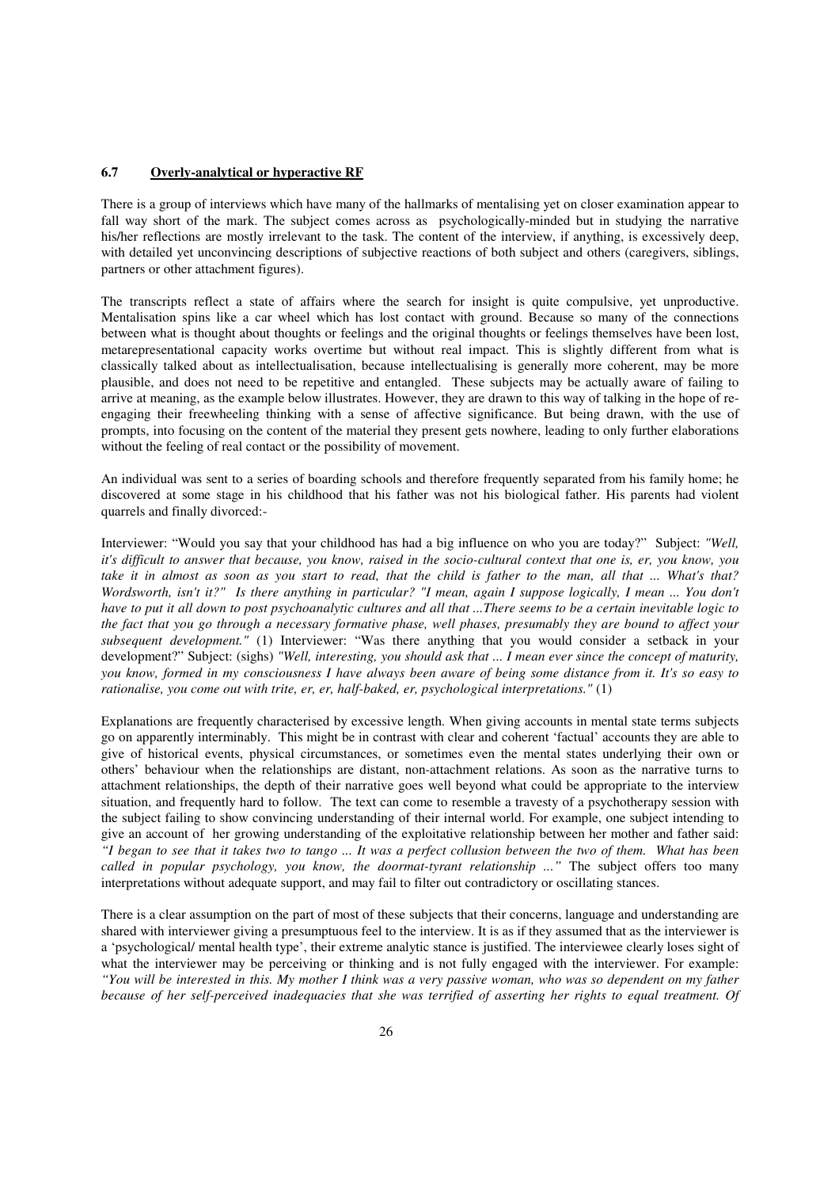## **6.7 Overly-analytical or hyperactive RF**

There is a group of interviews which have many of the hallmarks of mentalising yet on closer examination appear to fall way short of the mark. The subject comes across as psychologically-minded but in studying the narrative his/her reflections are mostly irrelevant to the task. The content of the interview, if anything, is excessively deep, with detailed yet unconvincing descriptions of subjective reactions of both subject and others (caregivers, siblings, partners or other attachment figures).

The transcripts reflect a state of affairs where the search for insight is quite compulsive, yet unproductive. Mentalisation spins like a car wheel which has lost contact with ground. Because so many of the connections between what is thought about thoughts or feelings and the original thoughts or feelings themselves have been lost, metarepresentational capacity works overtime but without real impact. This is slightly different from what is classically talked about as intellectualisation, because intellectualising is generally more coherent, may be more plausible, and does not need to be repetitive and entangled. These subjects may be actually aware of failing to arrive at meaning, as the example below illustrates. However, they are drawn to this way of talking in the hope of reengaging their freewheeling thinking with a sense of affective significance. But being drawn, with the use of prompts, into focusing on the content of the material they present gets nowhere, leading to only further elaborations without the feeling of real contact or the possibility of movement.

An individual was sent to a series of boarding schools and therefore frequently separated from his family home; he discovered at some stage in his childhood that his father was not his biological father. His parents had violent quarrels and finally divorced:-

Interviewer: "Would you say that your childhood has had a big influence on who you are today?"Subject: *"Well, it's difficult to answer that because, you know, raised in the socio-cultural context that one is, er, you know, you take it in almost as soon as you start to read, that the child is father to the man, all that ... What's that? Wordsworth, isn't it?" Is there anything in particular? "I mean, again I suppose logically, I mean ... You don't have to put it all down to post psychoanalytic cultures and all that ...There seems to be a certain inevitable logic to the fact that you go through a necessary formative phase, well phases, presumably they are bound to affect your subsequent development."* (1) Interviewer: "Was there anything that you would consider a setback in your development?" Subject: (sighs) *"Well, interesting, you should ask that ... I mean ever since the concept of maturity, you know, formed in my consciousness I have always been aware of being some distance from it. It's so easy to rationalise, you come out with trite, er, er, half-baked, er, psychological interpretations."* (1)

Explanations are frequently characterised by excessive length. When giving accounts in mental state terms subjects go on apparently interminably. This might be in contrast with clear and coherent 'factual' accounts they are able to give of historical events, physical circumstances, or sometimes even the mental states underlying their own or others' behaviour when the relationships are distant, non-attachment relations. As soon as the narrative turns to attachment relationships, the depth of their narrative goes well beyond what could be appropriate to the interview situation, and frequently hard to follow. The text can come to resemble a travesty of a psychotherapy session with the subject failing to show convincing understanding of their internal world. For example, one subject intending to give an account of her growing understanding of the exploitative relationship between her mother and father said: *"I began to see that it takes two to tango ... It was a perfect collusion between the two of them. What has been called in popular psychology, you know, the doormat-tyrant relationship ..."* The subject offers too many interpretations without adequate support, and may fail to filter out contradictory or oscillating stances.

There is a clear assumption on the part of most of these subjects that their concerns, language and understanding are shared with interviewer giving a presumptuous feel to the interview. It is as if they assumed that as the interviewer is a 'psychological/ mental health type', their extreme analytic stance is justified. The interviewee clearly loses sight of what the interviewer may be perceiving or thinking and is not fully engaged with the interviewer. For example: *"You will be interested in this. My mother I think was a very passive woman, who was so dependent on my father because of her self-perceived inadequacies that she was terrified of asserting her rights to equal treatment. Of*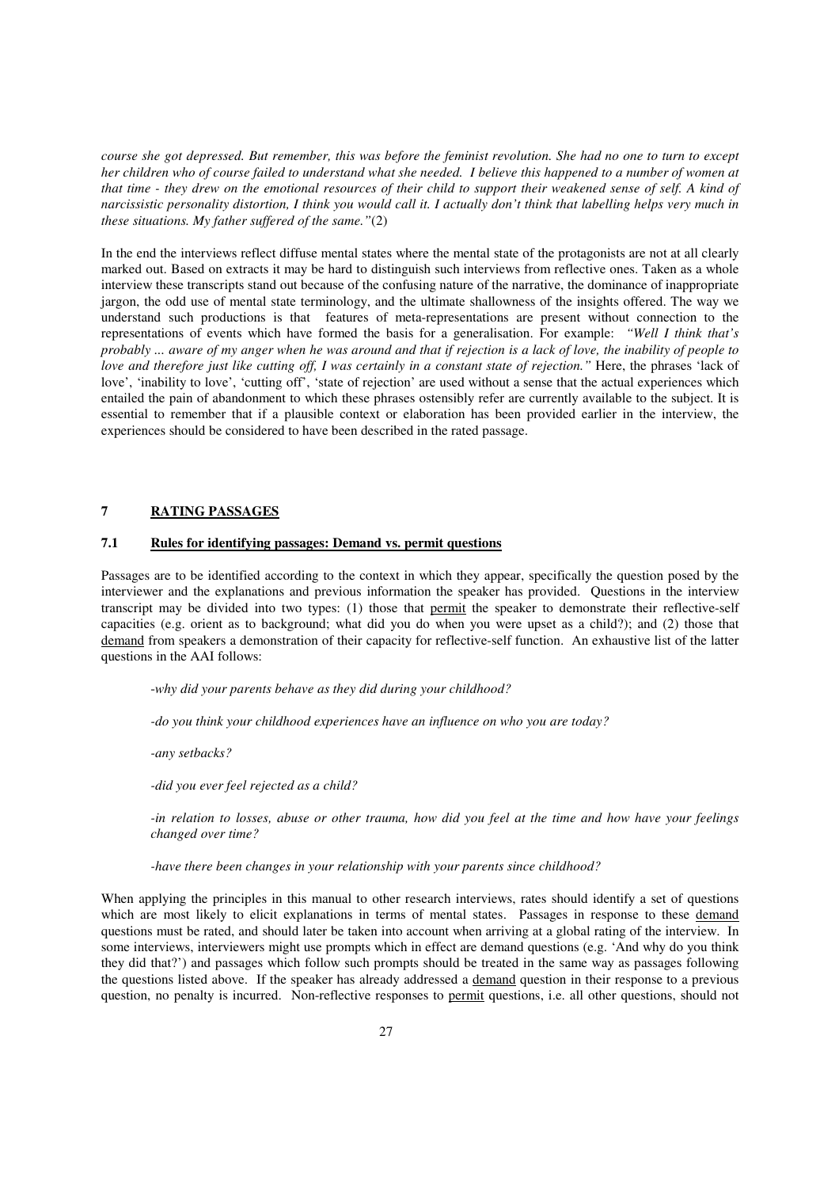*course she got depressed. But remember, this was before the feminist revolution. She had no one to turn to except her children who of course failed to understand what she needed. I believe this happened to a number of women at that time - they drew on the emotional resources of their child to support their weakened sense of self. A kind of narcissistic personality distortion, I think you would call it. I actually don't think that labelling helps very much in these situations. My father suffered of the same."*(2)

In the end the interviews reflect diffuse mental states where the mental state of the protagonists are not at all clearly marked out. Based on extracts it may be hard to distinguish such interviews from reflective ones. Taken as a whole interview these transcripts stand out because of the confusing nature of the narrative, the dominance of inappropriate jargon, the odd use of mental state terminology, and the ultimate shallowness of the insights offered. The way we understand such productions is that features of meta-representations are present without connection to the representations of events which have formed the basis for a generalisation. For example: *"Well I think that's probably ... aware of my anger when he was around and that if rejection is a lack of love, the inability of people to love and therefore just like cutting off, I was certainly in a constant state of rejection."* Here, the phrases 'lack of love', 'inability to love', 'cutting off', 'state of rejection' are used without a sense that the actual experiences which entailed the pain of abandonment to which these phrases ostensibly refer are currently available to the subject. It is essential to remember that if a plausible context or elaboration has been provided earlier in the interview, the experiences should be considered to have been described in the rated passage.

#### **7 RATING PASSAGES**

#### **7.1 Rules for identifying passages: Demand vs. permit questions**

Passages are to be identified according to the context in which they appear, specifically the question posed by the interviewer and the explanations and previous information the speaker has provided. Questions in the interview transcript may be divided into two types: (1) those that permit the speaker to demonstrate their reflective-self capacities (e.g. orient as to background; what did you do when you were upset as a child?); and (2) those that demand from speakers a demonstration of their capacity for reflective-self function. An exhaustive list of the latter questions in the AAI follows:

-*why did your parents behave as they did during your childhood?* 

*-do you think your childhood experiences have an influence on who you are today?* 

*-any setbacks?* 

*-did you ever feel rejected as a child?* 

*-in relation to losses, abuse or other trauma, how did you feel at the time and how have your feelings changed over time?* 

*-have there been changes in your relationship with your parents since childhood?* 

When applying the principles in this manual to other research interviews, rates should identify a set of questions which are most likely to elicit explanations in terms of mental states. Passages in response to these demand questions must be rated, and should later be taken into account when arriving at a global rating of the interview. In some interviews, interviewers might use prompts which in effect are demand questions (e.g. 'And why do you think they did that?') and passages which follow such prompts should be treated in the same way as passages following the questions listed above. If the speaker has already addressed a demand question in their response to a previous question, no penalty is incurred. Non-reflective responses to permit questions, i.e. all other questions, should not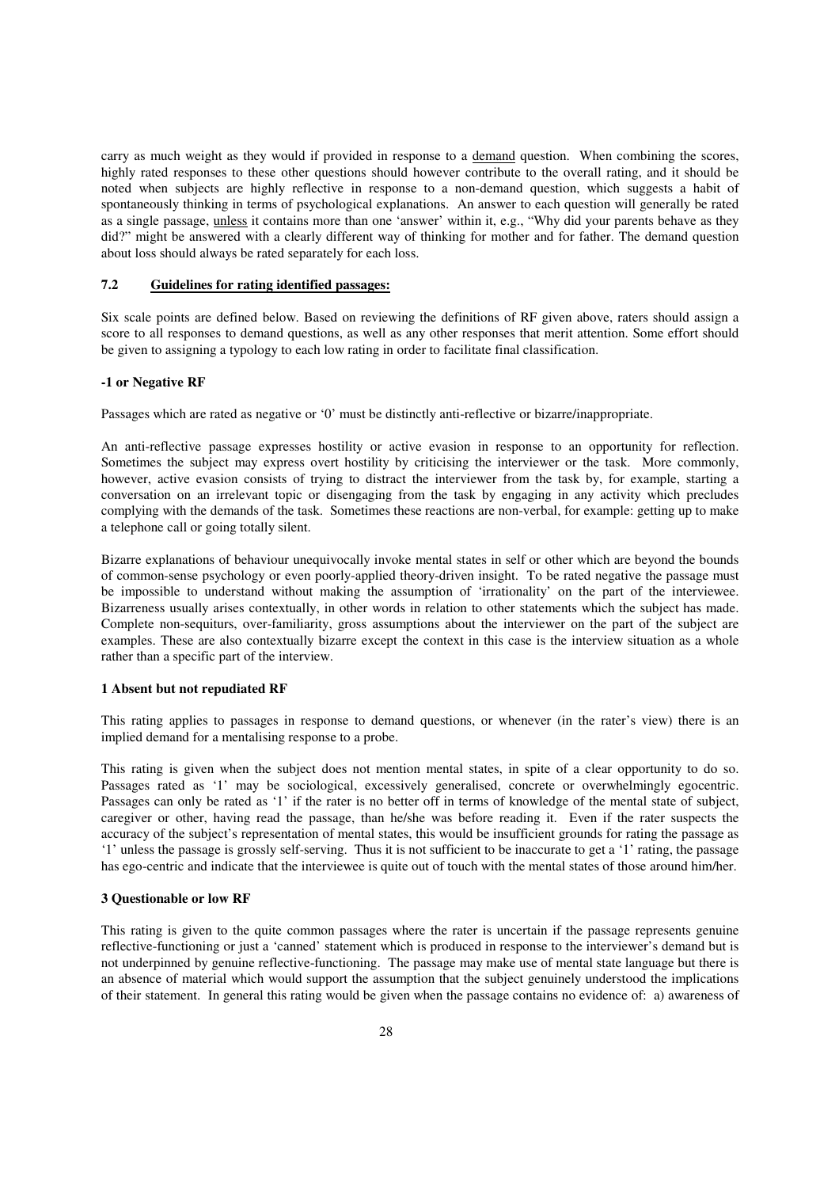carry as much weight as they would if provided in response to a demand question. When combining the scores, highly rated responses to these other questions should however contribute to the overall rating, and it should be noted when subjects are highly reflective in response to a non-demand question, which suggests a habit of spontaneously thinking in terms of psychological explanations. An answer to each question will generally be rated as a single passage, unless it contains more than one 'answer' within it, e.g., "Why did your parents behave as they did?" might be answered with a clearly different way of thinking for mother and for father. The demand question about loss should always be rated separately for each loss.

#### **7.2 Guidelines for rating identified passages:**

Six scale points are defined below. Based on reviewing the definitions of RF given above, raters should assign a score to all responses to demand questions, as well as any other responses that merit attention. Some effort should be given to assigning a typology to each low rating in order to facilitate final classification.

#### **-1 or Negative RF**

Passages which are rated as negative or '0' must be distinctly anti-reflective or bizarre/inappropriate.

An anti-reflective passage expresses hostility or active evasion in response to an opportunity for reflection. Sometimes the subject may express overt hostility by criticising the interviewer or the task. More commonly, however, active evasion consists of trying to distract the interviewer from the task by, for example, starting a conversation on an irrelevant topic or disengaging from the task by engaging in any activity which precludes complying with the demands of the task. Sometimes these reactions are non-verbal, for example: getting up to make a telephone call or going totally silent.

Bizarre explanations of behaviour unequivocally invoke mental states in self or other which are beyond the bounds of common-sense psychology or even poorly-applied theory-driven insight. To be rated negative the passage must be impossible to understand without making the assumption of 'irrationality' on the part of the interviewee. Bizarreness usually arises contextually, in other words in relation to other statements which the subject has made. Complete non-sequiturs, over-familiarity, gross assumptions about the interviewer on the part of the subject are examples. These are also contextually bizarre except the context in this case is the interview situation as a whole rather than a specific part of the interview.

#### **1 Absent but not repudiated RF**

This rating applies to passages in response to demand questions, or whenever (in the rater's view) there is an implied demand for a mentalising response to a probe.

This rating is given when the subject does not mention mental states, in spite of a clear opportunity to do so. Passages rated as '1' may be sociological, excessively generalised, concrete or overwhelmingly egocentric. Passages can only be rated as '1' if the rater is no better off in terms of knowledge of the mental state of subject, caregiver or other, having read the passage, than he/she was before reading it. Even if the rater suspects the accuracy of the subject's representation of mental states, this would be insufficient grounds for rating the passage as '1' unless the passage is grossly self-serving. Thus it is not sufficient to be inaccurate to get a '1' rating, the passage has ego-centric and indicate that the interviewee is quite out of touch with the mental states of those around him/her.

#### **3 Questionable or low RF**

This rating is given to the quite common passages where the rater is uncertain if the passage represents genuine reflective-functioning or just a 'canned' statement which is produced in response to the interviewer's demand but is not underpinned by genuine reflective-functioning. The passage may make use of mental state language but there is an absence of material which would support the assumption that the subject genuinely understood the implications of their statement. In general this rating would be given when the passage contains no evidence of: a) awareness of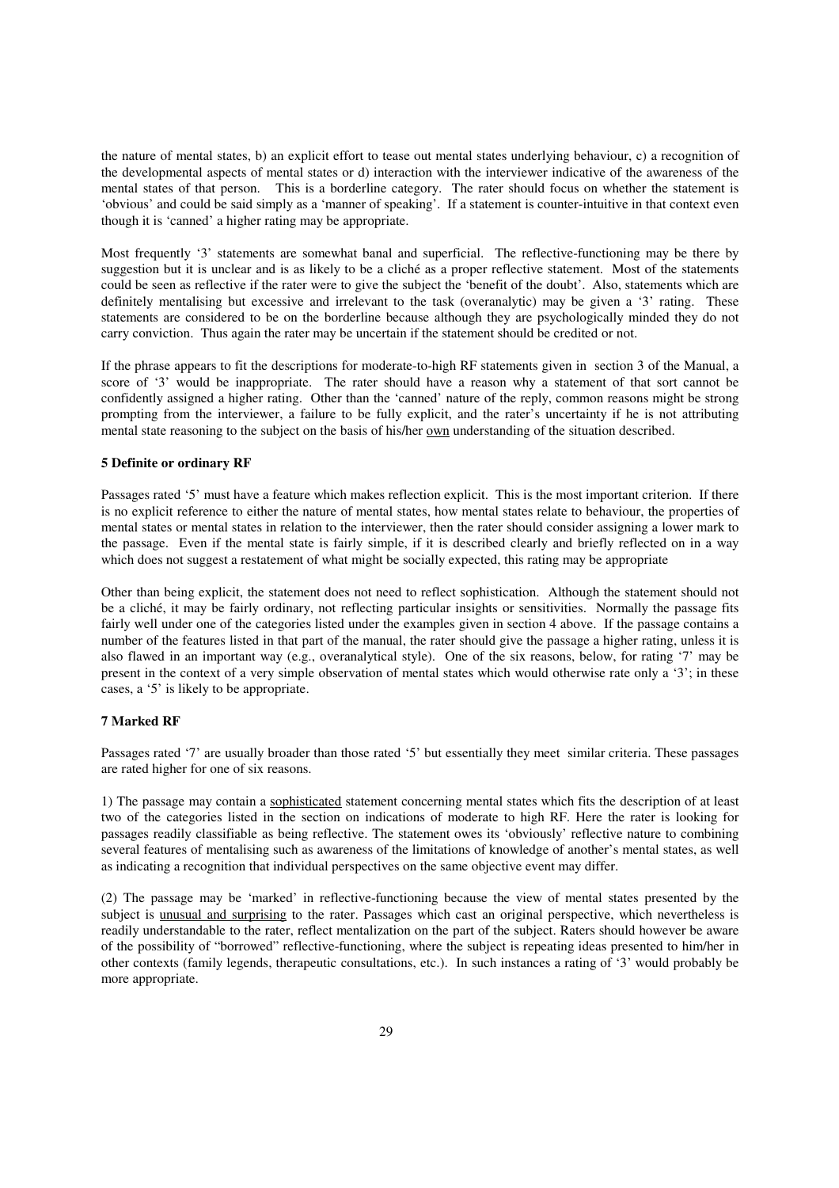the nature of mental states, b) an explicit effort to tease out mental states underlying behaviour, c) a recognition of the developmental aspects of mental states or d) interaction with the interviewer indicative of the awareness of the mental states of that person. This is a borderline category. The rater should focus on whether the statement is 'obvious' and could be said simply as a 'manner of speaking'. If a statement is counter-intuitive in that context even though it is 'canned' a higher rating may be appropriate.

Most frequently '3' statements are somewhat banal and superficial. The reflective-functioning may be there by suggestion but it is unclear and is as likely to be a cliché as a proper reflective statement. Most of the statements could be seen as reflective if the rater were to give the subject the 'benefit of the doubt'. Also, statements which are definitely mentalising but excessive and irrelevant to the task (overanalytic) may be given a '3' rating. These statements are considered to be on the borderline because although they are psychologically minded they do not carry conviction. Thus again the rater may be uncertain if the statement should be credited or not.

If the phrase appears to fit the descriptions for moderate-to-high RF statements given in section 3 of the Manual, a score of '3' would be inappropriate. The rater should have a reason why a statement of that sort cannot be confidently assigned a higher rating. Other than the 'canned' nature of the reply, common reasons might be strong prompting from the interviewer, a failure to be fully explicit, and the rater's uncertainty if he is not attributing mental state reasoning to the subject on the basis of his/her own understanding of the situation described.

#### **5 Definite or ordinary RF**

Passages rated '5' must have a feature which makes reflection explicit. This is the most important criterion. If there is no explicit reference to either the nature of mental states, how mental states relate to behaviour, the properties of mental states or mental states in relation to the interviewer, then the rater should consider assigning a lower mark to the passage. Even if the mental state is fairly simple, if it is described clearly and briefly reflected on in a way which does not suggest a restatement of what might be socially expected, this rating may be appropriate

Other than being explicit, the statement does not need to reflect sophistication. Although the statement should not be a cliché, it may be fairly ordinary, not reflecting particular insights or sensitivities. Normally the passage fits fairly well under one of the categories listed under the examples given in section 4 above. If the passage contains a number of the features listed in that part of the manual, the rater should give the passage a higher rating, unless it is also flawed in an important way (e.g., overanalytical style). One of the six reasons, below, for rating '7' may be present in the context of a very simple observation of mental states which would otherwise rate only a '3'; in these cases, a '5' is likely to be appropriate.

#### **7 Marked RF**

Passages rated '7' are usually broader than those rated '5' but essentially they meet similar criteria. These passages are rated higher for one of six reasons.

1) The passage may contain a sophisticated statement concerning mental states which fits the description of at least two of the categories listed in the section on indications of moderate to high RF. Here the rater is looking for passages readily classifiable as being reflective. The statement owes its 'obviously' reflective nature to combining several features of mentalising such as awareness of the limitations of knowledge of another's mental states, as well as indicating a recognition that individual perspectives on the same objective event may differ.

(2) The passage may be 'marked' in reflective-functioning because the view of mental states presented by the subject is unusual and surprising to the rater. Passages which cast an original perspective, which nevertheless is readily understandable to the rater, reflect mentalization on the part of the subject. Raters should however be aware of the possibility of "borrowed" reflective-functioning, where the subject is repeating ideas presented to him/her in other contexts (family legends, therapeutic consultations, etc.). In such instances a rating of '3' would probably be more appropriate.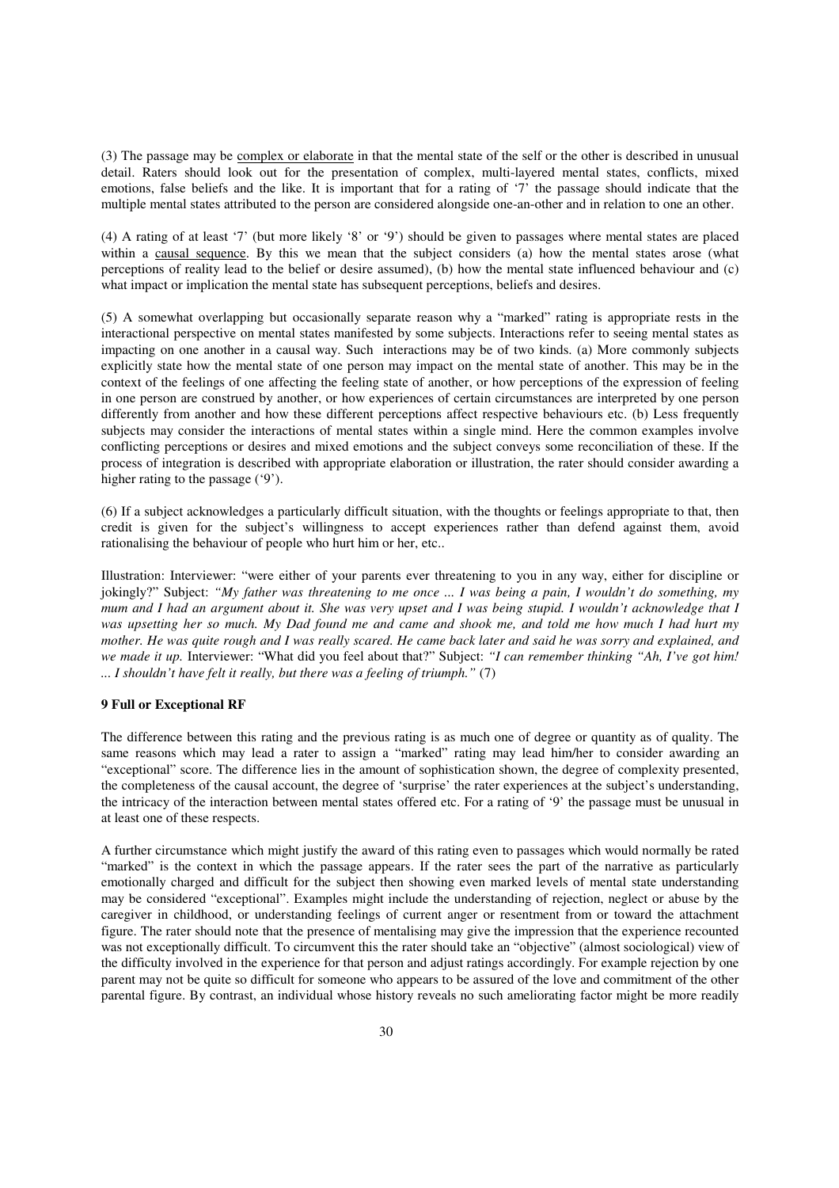(3) The passage may be complex or elaborate in that the mental state of the self or the other is described in unusual detail. Raters should look out for the presentation of complex, multi-layered mental states, conflicts, mixed emotions, false beliefs and the like. It is important that for a rating of '7' the passage should indicate that the multiple mental states attributed to the person are considered alongside one-an-other and in relation to one an other.

(4) A rating of at least '7' (but more likely '8' or '9') should be given to passages where mental states are placed within a causal sequence. By this we mean that the subject considers (a) how the mental states arose (what perceptions of reality lead to the belief or desire assumed), (b) how the mental state influenced behaviour and (c) what impact or implication the mental state has subsequent perceptions, beliefs and desires.

(5) A somewhat overlapping but occasionally separate reason why a "marked" rating is appropriate rests in the interactional perspective on mental states manifested by some subjects. Interactions refer to seeing mental states as impacting on one another in a causal way. Such interactions may be of two kinds. (a) More commonly subjects explicitly state how the mental state of one person may impact on the mental state of another. This may be in the context of the feelings of one affecting the feeling state of another, or how perceptions of the expression of feeling in one person are construed by another, or how experiences of certain circumstances are interpreted by one person differently from another and how these different perceptions affect respective behaviours etc. (b) Less frequently subjects may consider the interactions of mental states within a single mind. Here the common examples involve conflicting perceptions or desires and mixed emotions and the subject conveys some reconciliation of these. If the process of integration is described with appropriate elaboration or illustration, the rater should consider awarding a higher rating to the passage ('9').

(6) If a subject acknowledges a particularly difficult situation, with the thoughts or feelings appropriate to that, then credit is given for the subject's willingness to accept experiences rather than defend against them, avoid rationalising the behaviour of people who hurt him or her, etc..

Illustration: Interviewer: "were either of your parents ever threatening to you in any way, either for discipline or jokingly?" Subject: *"My father was threatening to me once ... I was being a pain, I wouldn't do something, my mum and I had an argument about it. She was very upset and I was being stupid. I wouldn't acknowledge that I was upsetting her so much. My Dad found me and came and shook me, and told me how much I had hurt my mother. He was quite rough and I was really scared. He came back later and said he was sorry and explained, and we made it up.* Interviewer: "What did you feel about that?" Subject: *"I can remember thinking "Ah, I've got him! ... I shouldn't have felt it really, but there was a feeling of triumph."* (7)

#### **9 Full or Exceptional RF**

The difference between this rating and the previous rating is as much one of degree or quantity as of quality. The same reasons which may lead a rater to assign a "marked" rating may lead him/her to consider awarding an "exceptional" score. The difference lies in the amount of sophistication shown, the degree of complexity presented, the completeness of the causal account, the degree of 'surprise' the rater experiences at the subject's understanding, the intricacy of the interaction between mental states offered etc. For a rating of '9' the passage must be unusual in at least one of these respects.

A further circumstance which might justify the award of this rating even to passages which would normally be rated "marked" is the context in which the passage appears. If the rater sees the part of the narrative as particularly emotionally charged and difficult for the subject then showing even marked levels of mental state understanding may be considered "exceptional". Examples might include the understanding of rejection, neglect or abuse by the caregiver in childhood, or understanding feelings of current anger or resentment from or toward the attachment figure. The rater should note that the presence of mentalising may give the impression that the experience recounted was not exceptionally difficult. To circumvent this the rater should take an "objective" (almost sociological) view of the difficulty involved in the experience for that person and adjust ratings accordingly. For example rejection by one parent may not be quite so difficult for someone who appears to be assured of the love and commitment of the other parental figure. By contrast, an individual whose history reveals no such ameliorating factor might be more readily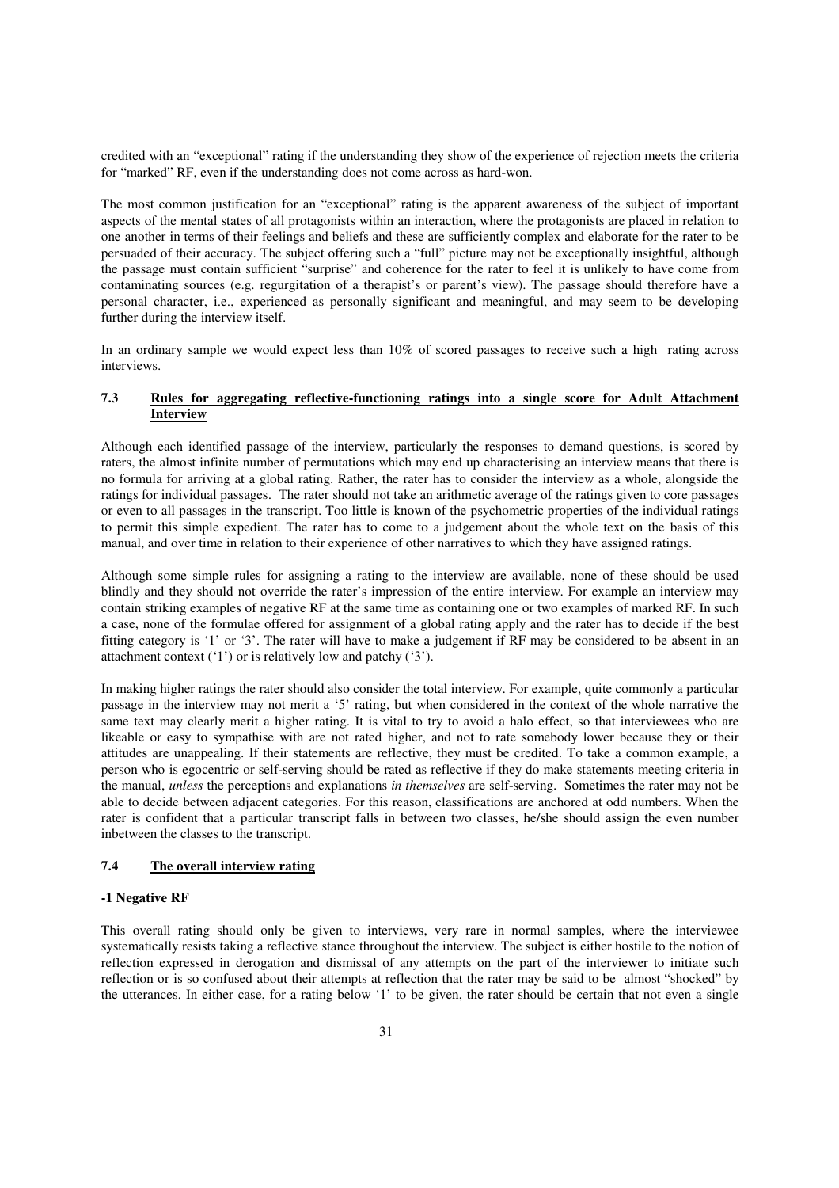credited with an "exceptional" rating if the understanding they show of the experience of rejection meets the criteria for "marked" RF, even if the understanding does not come across as hard-won.

The most common justification for an "exceptional" rating is the apparent awareness of the subject of important aspects of the mental states of all protagonists within an interaction, where the protagonists are placed in relation to one another in terms of their feelings and beliefs and these are sufficiently complex and elaborate for the rater to be persuaded of their accuracy. The subject offering such a "full" picture may not be exceptionally insightful, although the passage must contain sufficient "surprise" and coherence for the rater to feel it is unlikely to have come from contaminating sources (e.g. regurgitation of a therapist's or parent's view). The passage should therefore have a personal character, i.e., experienced as personally significant and meaningful, and may seem to be developing further during the interview itself.

In an ordinary sample we would expect less than 10% of scored passages to receive such a high rating across interviews.

## **7.3 Rules for aggregating reflective-functioning ratings into a single score for Adult Attachment Interview**

Although each identified passage of the interview, particularly the responses to demand questions, is scored by raters, the almost infinite number of permutations which may end up characterising an interview means that there is no formula for arriving at a global rating. Rather, the rater has to consider the interview as a whole, alongside the ratings for individual passages. The rater should not take an arithmetic average of the ratings given to core passages or even to all passages in the transcript. Too little is known of the psychometric properties of the individual ratings to permit this simple expedient. The rater has to come to a judgement about the whole text on the basis of this manual, and over time in relation to their experience of other narratives to which they have assigned ratings.

Although some simple rules for assigning a rating to the interview are available, none of these should be used blindly and they should not override the rater's impression of the entire interview. For example an interview may contain striking examples of negative RF at the same time as containing one or two examples of marked RF. In such a case, none of the formulae offered for assignment of a global rating apply and the rater has to decide if the best fitting category is '1' or '3'. The rater will have to make a judgement if RF may be considered to be absent in an attachment context  $('1')$  or is relatively low and patchy  $('3')$ .

In making higher ratings the rater should also consider the total interview. For example, quite commonly a particular passage in the interview may not merit a '5' rating, but when considered in the context of the whole narrative the same text may clearly merit a higher rating. It is vital to try to avoid a halo effect, so that interviewees who are likeable or easy to sympathise with are not rated higher, and not to rate somebody lower because they or their attitudes are unappealing. If their statements are reflective, they must be credited. To take a common example, a person who is egocentric or self-serving should be rated as reflective if they do make statements meeting criteria in the manual, *unless* the perceptions and explanations *in themselves* are self-serving. Sometimes the rater may not be able to decide between adjacent categories. For this reason, classifications are anchored at odd numbers. When the rater is confident that a particular transcript falls in between two classes, he/she should assign the even number inbetween the classes to the transcript.

## **7.4 The overall interview rating**

#### **-1 Negative RF**

This overall rating should only be given to interviews, very rare in normal samples, where the interviewee systematically resists taking a reflective stance throughout the interview. The subject is either hostile to the notion of reflection expressed in derogation and dismissal of any attempts on the part of the interviewer to initiate such reflection or is so confused about their attempts at reflection that the rater may be said to be almost "shocked" by the utterances. In either case, for a rating below '1' to be given, the rater should be certain that not even a single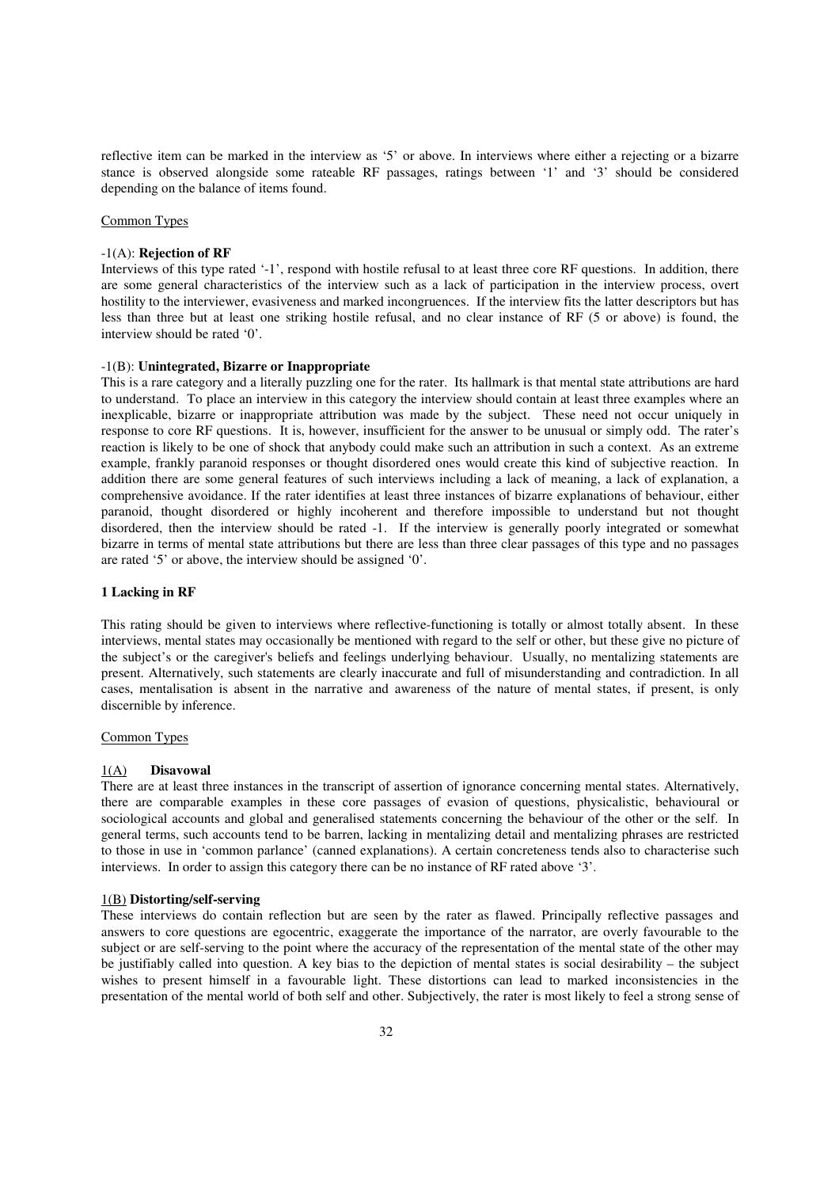reflective item can be marked in the interview as '5' or above. In interviews where either a rejecting or a bizarre stance is observed alongside some rateable RF passages, ratings between '1' and '3' should be considered depending on the balance of items found.

#### Common Types

#### -1(A): **Rejection of RF**

Interviews of this type rated '-1', respond with hostile refusal to at least three core RF questions. In addition, there are some general characteristics of the interview such as a lack of participation in the interview process, overt hostility to the interviewer, evasiveness and marked incongruences. If the interview fits the latter descriptors but has less than three but at least one striking hostile refusal, and no clear instance of RF (5 or above) is found, the interview should be rated '0'.

#### -1(B): **Unintegrated, Bizarre or Inappropriate**

This is a rare category and a literally puzzling one for the rater. Its hallmark is that mental state attributions are hard to understand. To place an interview in this category the interview should contain at least three examples where an inexplicable, bizarre or inappropriate attribution was made by the subject. These need not occur uniquely in response to core RF questions. It is, however, insufficient for the answer to be unusual or simply odd. The rater's reaction is likely to be one of shock that anybody could make such an attribution in such a context. As an extreme example, frankly paranoid responses or thought disordered ones would create this kind of subjective reaction. In addition there are some general features of such interviews including a lack of meaning, a lack of explanation, a comprehensive avoidance. If the rater identifies at least three instances of bizarre explanations of behaviour, either paranoid, thought disordered or highly incoherent and therefore impossible to understand but not thought disordered, then the interview should be rated -1. If the interview is generally poorly integrated or somewhat bizarre in terms of mental state attributions but there are less than three clear passages of this type and no passages are rated '5' or above, the interview should be assigned '0'.

#### **1 Lacking in RF**

This rating should be given to interviews where reflective-functioning is totally or almost totally absent. In these interviews, mental states may occasionally be mentioned with regard to the self or other, but these give no picture of the subject's or the caregiver's beliefs and feelings underlying behaviour. Usually, no mentalizing statements are present. Alternatively, such statements are clearly inaccurate and full of misunderstanding and contradiction. In all cases, mentalisation is absent in the narrative and awareness of the nature of mental states, if present, is only discernible by inference.

#### Common Types

#### 1(A) **Disavowal**

There are at least three instances in the transcript of assertion of ignorance concerning mental states. Alternatively, there are comparable examples in these core passages of evasion of questions, physicalistic, behavioural or sociological accounts and global and generalised statements concerning the behaviour of the other or the self. In general terms, such accounts tend to be barren, lacking in mentalizing detail and mentalizing phrases are restricted to those in use in 'common parlance' (canned explanations). A certain concreteness tends also to characterise such interviews. In order to assign this category there can be no instance of RF rated above '3'.

#### 1(B) **Distorting/self-serving**

These interviews do contain reflection but are seen by the rater as flawed. Principally reflective passages and answers to core questions are egocentric, exaggerate the importance of the narrator, are overly favourable to the subject or are self-serving to the point where the accuracy of the representation of the mental state of the other may be justifiably called into question. A key bias to the depiction of mental states is social desirability – the subject wishes to present himself in a favourable light. These distortions can lead to marked inconsistencies in the presentation of the mental world of both self and other. Subjectively, the rater is most likely to feel a strong sense of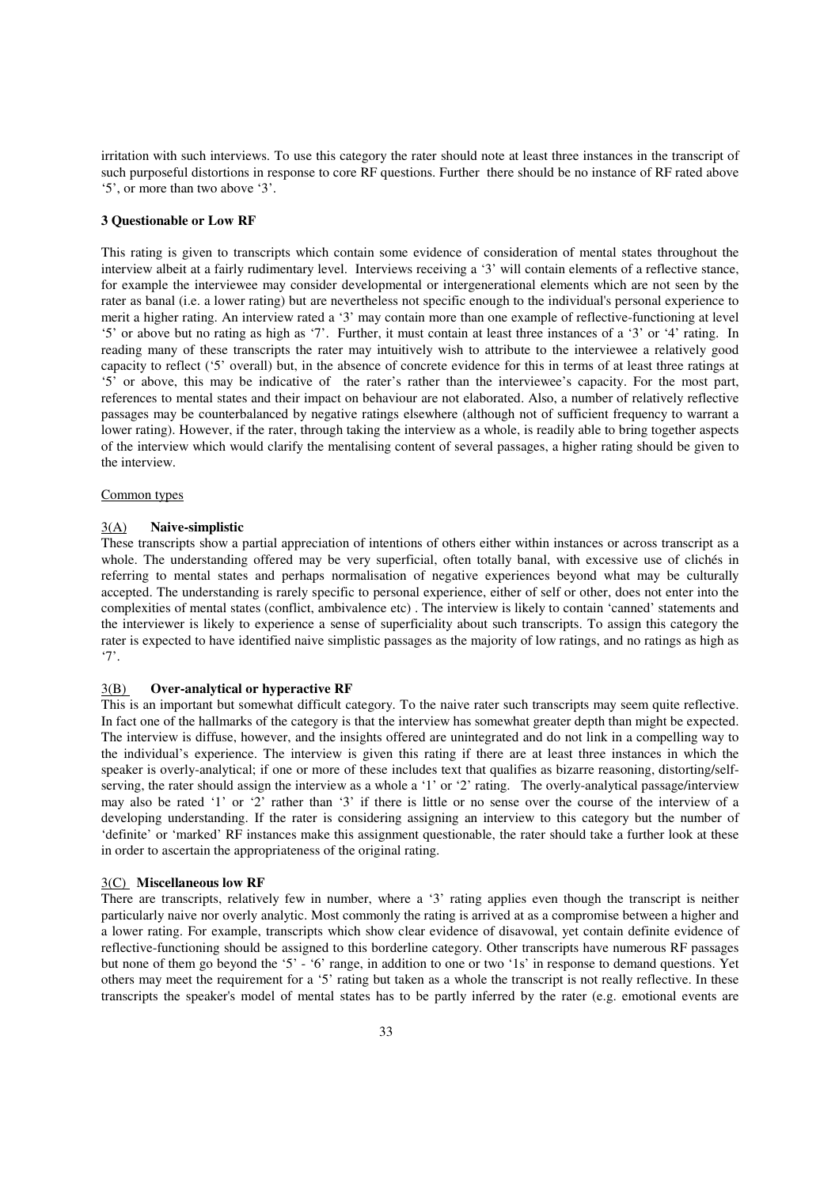irritation with such interviews. To use this category the rater should note at least three instances in the transcript of such purposeful distortions in response to core RF questions. Further there should be no instance of RF rated above '5', or more than two above '3'.

#### **3 Questionable or Low RF**

This rating is given to transcripts which contain some evidence of consideration of mental states throughout the interview albeit at a fairly rudimentary level. Interviews receiving a '3' will contain elements of a reflective stance, for example the interviewee may consider developmental or intergenerational elements which are not seen by the rater as banal (i.e. a lower rating) but are nevertheless not specific enough to the individual's personal experience to merit a higher rating. An interview rated a '3' may contain more than one example of reflective-functioning at level '5' or above but no rating as high as '7'. Further, it must contain at least three instances of a '3' or '4' rating. In reading many of these transcripts the rater may intuitively wish to attribute to the interviewee a relatively good capacity to reflect ('5' overall) but, in the absence of concrete evidence for this in terms of at least three ratings at '5' or above, this may be indicative of the rater's rather than the interviewee's capacity. For the most part, references to mental states and their impact on behaviour are not elaborated. Also, a number of relatively reflective passages may be counterbalanced by negative ratings elsewhere (although not of sufficient frequency to warrant a lower rating). However, if the rater, through taking the interview as a whole, is readily able to bring together aspects of the interview which would clarify the mentalising content of several passages, a higher rating should be given to the interview.

#### Common types

## 3(A) **Naive-simplistic**

These transcripts show a partial appreciation of intentions of others either within instances or across transcript as a whole. The understanding offered may be very superficial, often totally banal, with excessive use of clichés in referring to mental states and perhaps normalisation of negative experiences beyond what may be culturally accepted. The understanding is rarely specific to personal experience, either of self or other, does not enter into the complexities of mental states (conflict, ambivalence etc) . The interview is likely to contain 'canned' statements and the interviewer is likely to experience a sense of superficiality about such transcripts. To assign this category the rater is expected to have identified naive simplistic passages as the majority of low ratings, and no ratings as high as '7'.

## 3(B) **Over-analytical or hyperactive RF**

This is an important but somewhat difficult category. To the naive rater such transcripts may seem quite reflective. In fact one of the hallmarks of the category is that the interview has somewhat greater depth than might be expected. The interview is diffuse, however, and the insights offered are unintegrated and do not link in a compelling way to the individual's experience. The interview is given this rating if there are at least three instances in which the speaker is overly-analytical; if one or more of these includes text that qualifies as bizarre reasoning, distorting/selfserving, the rater should assign the interview as a whole a '1' or '2' rating. The overly-analytical passage/interview may also be rated '1' or '2' rather than '3' if there is little or no sense over the course of the interview of a developing understanding. If the rater is considering assigning an interview to this category but the number of 'definite' or 'marked' RF instances make this assignment questionable, the rater should take a further look at these in order to ascertain the appropriateness of the original rating.

#### 3(C) **Miscellaneous low RF**

There are transcripts, relatively few in number, where a '3' rating applies even though the transcript is neither particularly naive nor overly analytic. Most commonly the rating is arrived at as a compromise between a higher and a lower rating. For example, transcripts which show clear evidence of disavowal, yet contain definite evidence of reflective-functioning should be assigned to this borderline category. Other transcripts have numerous RF passages but none of them go beyond the '5' - '6' range, in addition to one or two '1s' in response to demand questions. Yet others may meet the requirement for a '5' rating but taken as a whole the transcript is not really reflective. In these transcripts the speaker's model of mental states has to be partly inferred by the rater (e.g. emotional events are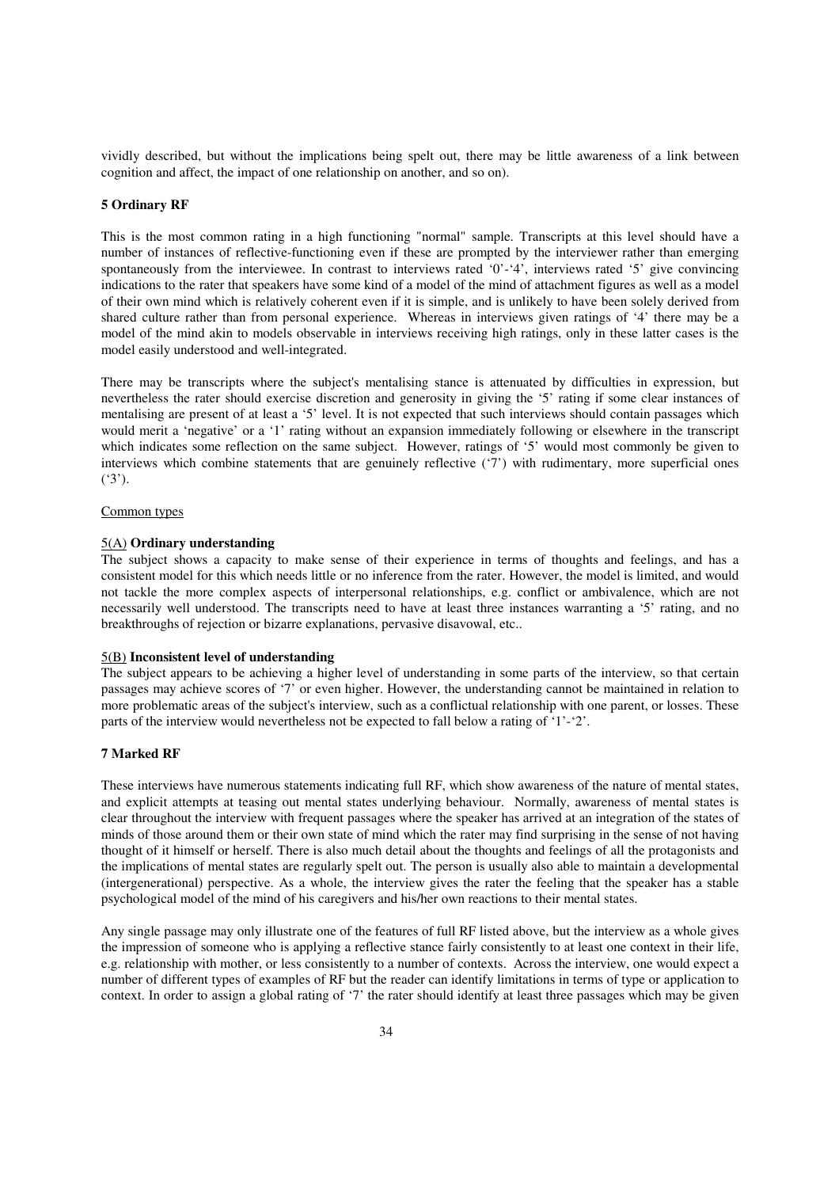vividly described, but without the implications being spelt out, there may be little awareness of a link between cognition and affect, the impact of one relationship on another, and so on).

#### **5 Ordinary RF**

This is the most common rating in a high functioning "normal" sample. Transcripts at this level should have a number of instances of reflective-functioning even if these are prompted by the interviewer rather than emerging spontaneously from the interviewee. In contrast to interviews rated '0'-'4', interviews rated '5' give convincing indications to the rater that speakers have some kind of a model of the mind of attachment figures as well as a model of their own mind which is relatively coherent even if it is simple, and is unlikely to have been solely derived from shared culture rather than from personal experience. Whereas in interviews given ratings of '4' there may be a model of the mind akin to models observable in interviews receiving high ratings, only in these latter cases is the model easily understood and well-integrated.

There may be transcripts where the subject's mentalising stance is attenuated by difficulties in expression, but nevertheless the rater should exercise discretion and generosity in giving the '5' rating if some clear instances of mentalising are present of at least a '5' level. It is not expected that such interviews should contain passages which would merit a 'negative' or a '1' rating without an expansion immediately following or elsewhere in the transcript which indicates some reflection on the same subject. However, ratings of '5' would most commonly be given to interviews which combine statements that are genuinely reflective ('7') with rudimentary, more superficial ones  $(3')$ .

#### Common types

#### 5(A) **Ordinary understanding**

The subject shows a capacity to make sense of their experience in terms of thoughts and feelings, and has a consistent model for this which needs little or no inference from the rater. However, the model is limited, and would not tackle the more complex aspects of interpersonal relationships, e.g. conflict or ambivalence, which are not necessarily well understood. The transcripts need to have at least three instances warranting a '5' rating, and no breakthroughs of rejection or bizarre explanations, pervasive disavowal, etc..

#### 5(B) **Inconsistent level of understanding**

The subject appears to be achieving a higher level of understanding in some parts of the interview, so that certain passages may achieve scores of '7' or even higher. However, the understanding cannot be maintained in relation to more problematic areas of the subject's interview, such as a conflictual relationship with one parent, or losses. These parts of the interview would nevertheless not be expected to fall below a rating of '1'-'2'.

#### **7 Marked RF**

These interviews have numerous statements indicating full RF, which show awareness of the nature of mental states, and explicit attempts at teasing out mental states underlying behaviour. Normally, awareness of mental states is clear throughout the interview with frequent passages where the speaker has arrived at an integration of the states of minds of those around them or their own state of mind which the rater may find surprising in the sense of not having thought of it himself or herself. There is also much detail about the thoughts and feelings of all the protagonists and the implications of mental states are regularly spelt out. The person is usually also able to maintain a developmental (intergenerational) perspective. As a whole, the interview gives the rater the feeling that the speaker has a stable psychological model of the mind of his caregivers and his/her own reactions to their mental states.

Any single passage may only illustrate one of the features of full RF listed above, but the interview as a whole gives the impression of someone who is applying a reflective stance fairly consistently to at least one context in their life, e.g. relationship with mother, or less consistently to a number of contexts. Across the interview, one would expect a number of different types of examples of RF but the reader can identify limitations in terms of type or application to context. In order to assign a global rating of '7' the rater should identify at least three passages which may be given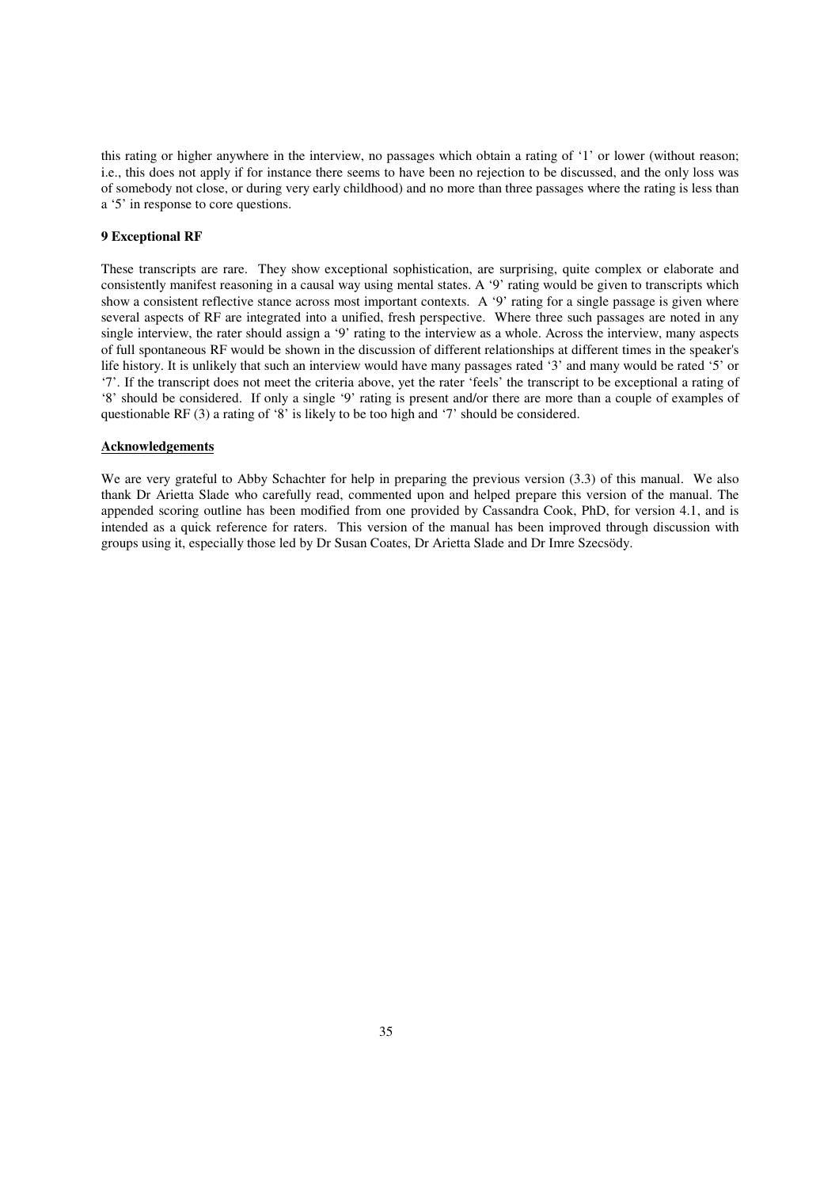this rating or higher anywhere in the interview, no passages which obtain a rating of '1' or lower (without reason; i.e., this does not apply if for instance there seems to have been no rejection to be discussed, and the only loss was of somebody not close, or during very early childhood) and no more than three passages where the rating is less than a '5' in response to core questions.

#### **9 Exceptional RF**

These transcripts are rare. They show exceptional sophistication, are surprising, quite complex or elaborate and consistently manifest reasoning in a causal way using mental states. A '9' rating would be given to transcripts which show a consistent reflective stance across most important contexts. A '9' rating for a single passage is given where several aspects of RF are integrated into a unified, fresh perspective. Where three such passages are noted in any single interview, the rater should assign a '9' rating to the interview as a whole. Across the interview, many aspects of full spontaneous RF would be shown in the discussion of different relationships at different times in the speaker's life history. It is unlikely that such an interview would have many passages rated '3' and many would be rated '5' or '7'. If the transcript does not meet the criteria above, yet the rater 'feels' the transcript to be exceptional a rating of '8' should be considered. If only a single '9' rating is present and/or there are more than a couple of examples of questionable RF (3) a rating of '8' is likely to be too high and '7' should be considered.

#### **Acknowledgements**

We are very grateful to Abby Schachter for help in preparing the previous version (3.3) of this manual. We also thank Dr Arietta Slade who carefully read, commented upon and helped prepare this version of the manual. The appended scoring outline has been modified from one provided by Cassandra Cook, PhD, for version 4.1, and is intended as a quick reference for raters. This version of the manual has been improved through discussion with groups using it, especially those led by Dr Susan Coates, Dr Arietta Slade and Dr Imre Szecsödy.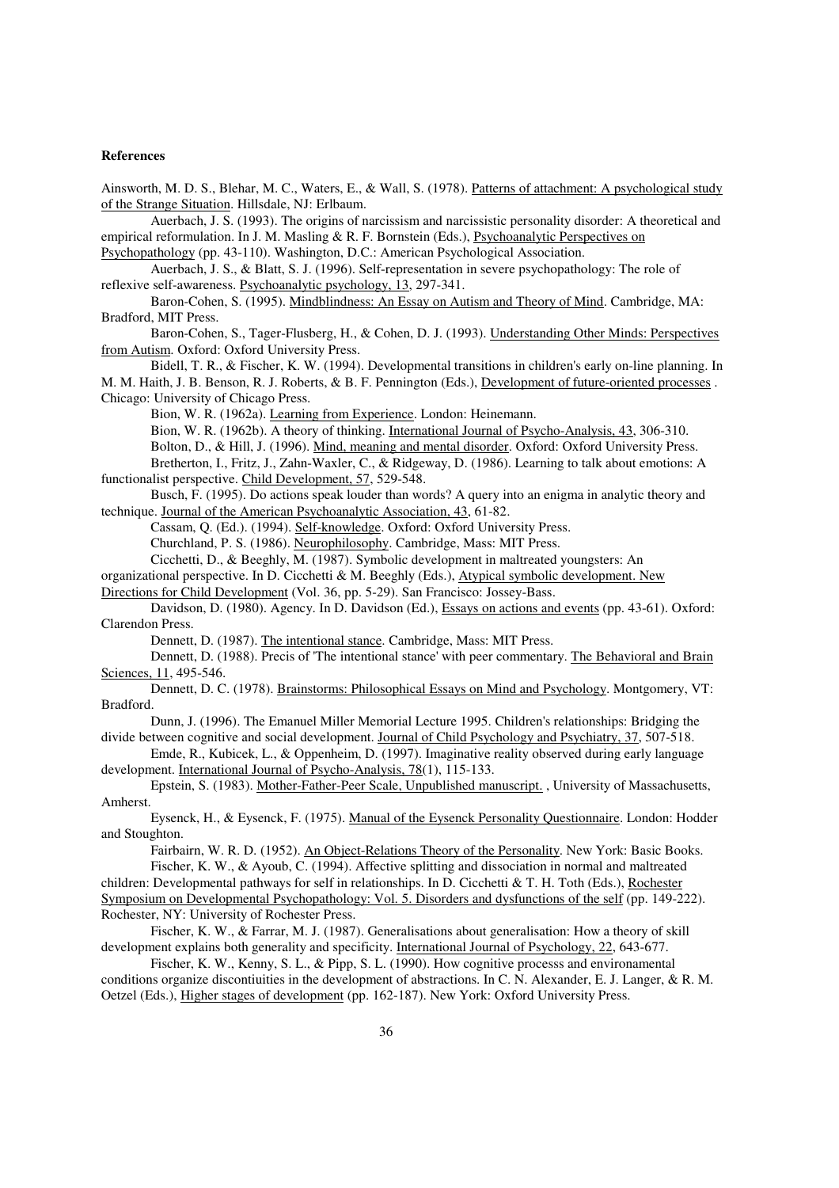#### **References**

Ainsworth, M. D. S., Blehar, M. C., Waters, E., & Wall, S. (1978). Patterns of attachment: A psychological study of the Strange Situation. Hillsdale, NJ: Erlbaum.

 Auerbach, J. S. (1993). The origins of narcissism and narcissistic personality disorder: A theoretical and empirical reformulation. In J. M. Masling & R. F. Bornstein (Eds.), Psychoanalytic Perspectives on

Psychopathology (pp. 43-110). Washington, D.C.: American Psychological Association.

 Auerbach, J. S., & Blatt, S. J. (1996). Self-representation in severe psychopathology: The role of reflexive self-awareness. Psychoanalytic psychology, 13, 297-341.

 Baron-Cohen, S. (1995). Mindblindness: An Essay on Autism and Theory of Mind. Cambridge, MA: Bradford, MIT Press.

 Baron-Cohen, S., Tager-Flusberg, H., & Cohen, D. J. (1993). Understanding Other Minds: Perspectives from Autism. Oxford: Oxford University Press.

 Bidell, T. R., & Fischer, K. W. (1994). Developmental transitions in children's early on-line planning. In M. M. Haith, J. B. Benson, R. J. Roberts, & B. F. Pennington (Eds.), Development of future-oriented processes .

Chicago: University of Chicago Press.

Bion, W. R. (1962a). Learning from Experience. London: Heinemann.

 Bion, W. R. (1962b). A theory of thinking. International Journal of Psycho-Analysis, 43, 306-310. Bolton, D., & Hill, J. (1996). Mind, meaning and mental disorder. Oxford: Oxford University Press.

 Bretherton, I., Fritz, J., Zahn-Waxler, C., & Ridgeway, D. (1986). Learning to talk about emotions: A functionalist perspective. Child Development, 57, 529-548.

 Busch, F. (1995). Do actions speak louder than words? A query into an enigma in analytic theory and technique. Journal of the American Psychoanalytic Association, 43, 61-82.

Cassam, Q. (Ed.). (1994). Self-knowledge. Oxford: Oxford University Press.

Churchland, P. S. (1986). Neurophilosophy. Cambridge, Mass: MIT Press.

Cicchetti, D., & Beeghly, M. (1987). Symbolic development in maltreated youngsters: An

organizational perspective. In D. Cicchetti & M. Beeghly (Eds.), Atypical symbolic development. New

Directions for Child Development (Vol. 36, pp. 5-29). San Francisco: Jossey-Bass.

 Davidson, D. (1980). Agency. In D. Davidson (Ed.), Essays on actions and events (pp. 43-61). Oxford: Clarendon Press.

Dennett, D. (1987). The intentional stance. Cambridge, Mass: MIT Press.

 Dennett, D. (1988). Precis of 'The intentional stance' with peer commentary. The Behavioral and Brain Sciences, 11, 495-546.

 Dennett, D. C. (1978). Brainstorms: Philosophical Essays on Mind and Psychology. Montgomery, VT: Bradford.

 Dunn, J. (1996). The Emanuel Miller Memorial Lecture 1995. Children's relationships: Bridging the divide between cognitive and social development. Journal of Child Psychology and Psychiatry, 37, 507-518.

 Emde, R., Kubicek, L., & Oppenheim, D. (1997). Imaginative reality observed during early language development. International Journal of Psycho-Analysis, 78(1), 115-133.

 Epstein, S. (1983). Mother-Father-Peer Scale, Unpublished manuscript. , University of Massachusetts, Amherst.

 Eysenck, H., & Eysenck, F. (1975). Manual of the Eysenck Personality Questionnaire. London: Hodder and Stoughton.

Fairbairn, W. R. D. (1952). An Object-Relations Theory of the Personality. New York: Basic Books.

 Fischer, K. W., & Ayoub, C. (1994). Affective splitting and dissociation in normal and maltreated children: Developmental pathways for self in relationships. In D. Cicchetti & T. H. Toth (Eds.), Rochester Symposium on Developmental Psychopathology: Vol. 5. Disorders and dysfunctions of the self (pp. 149-222). Rochester, NY: University of Rochester Press.

 Fischer, K. W., & Farrar, M. J. (1987). Generalisations about generalisation: How a theory of skill development explains both generality and specificity. International Journal of Psychology, 22, 643-677.

 Fischer, K. W., Kenny, S. L., & Pipp, S. L. (1990). How cognitive processs and environamental conditions organize discontiuities in the development of abstractions. In C. N. Alexander, E. J. Langer, & R. M. Oetzel (Eds.), Higher stages of development (pp. 162-187). New York: Oxford University Press.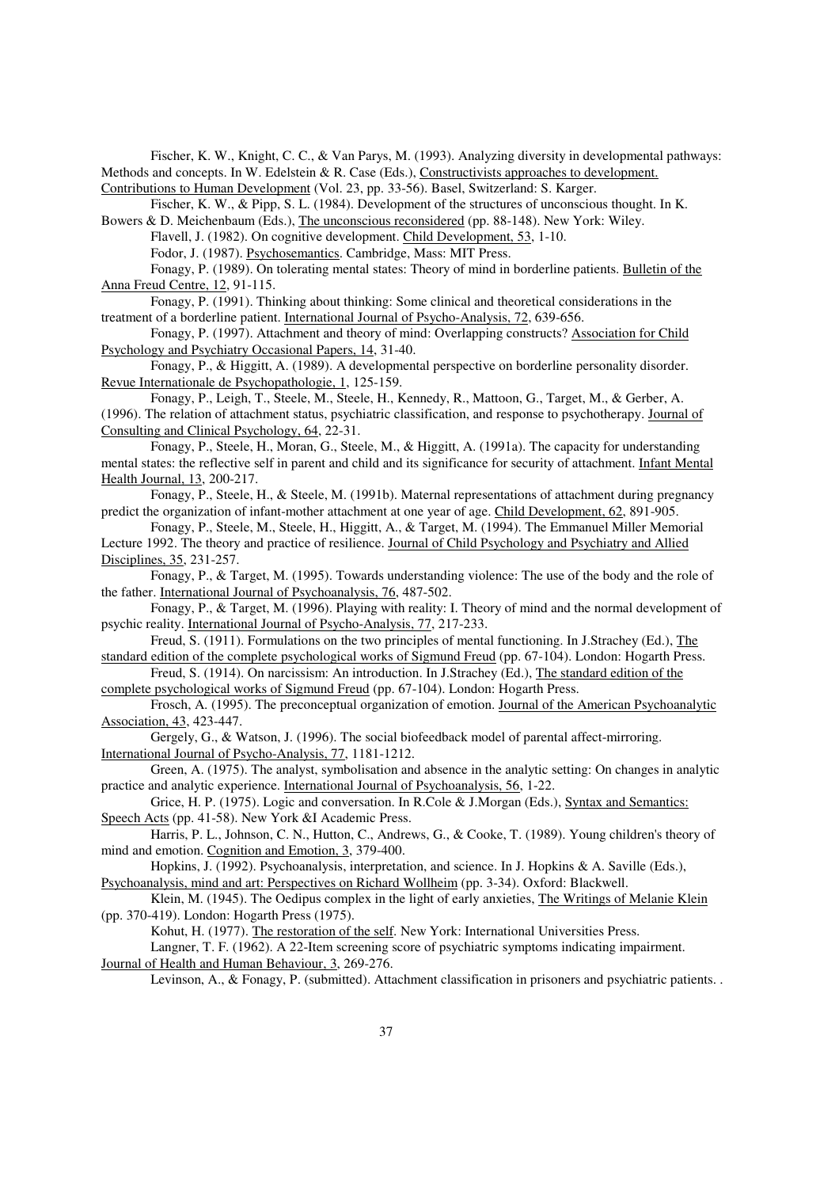Fischer, K. W., Knight, C. C., & Van Parys, M. (1993). Analyzing diversity in developmental pathways: Methods and concepts. In W. Edelstein & R. Case (Eds.), Constructivists approaches to development. Contributions to Human Development (Vol. 23, pp. 33-56). Basel, Switzerland: S. Karger.

Fischer, K. W., & Pipp, S. L. (1984). Development of the structures of unconscious thought. In K.

Bowers & D. Meichenbaum (Eds.), The unconscious reconsidered (pp. 88-148). New York: Wiley. Flavell, J. (1982). On cognitive development. Child Development, 53, 1-10.

Fodor, J. (1987). Psychosemantics. Cambridge, Mass: MIT Press.

 Fonagy, P. (1989). On tolerating mental states: Theory of mind in borderline patients. Bulletin of the Anna Freud Centre, 12, 91-115.

 Fonagy, P. (1991). Thinking about thinking: Some clinical and theoretical considerations in the treatment of a borderline patient. International Journal of Psycho-Analysis, 72, 639-656.

 Fonagy, P. (1997). Attachment and theory of mind: Overlapping constructs? Association for Child Psychology and Psychiatry Occasional Papers, 14, 31-40.

 Fonagy, P., & Higgitt, A. (1989). A developmental perspective on borderline personality disorder. Revue Internationale de Psychopathologie, 1, 125-159.

 Fonagy, P., Leigh, T., Steele, M., Steele, H., Kennedy, R., Mattoon, G., Target, M., & Gerber, A. (1996). The relation of attachment status, psychiatric classification, and response to psychotherapy. Journal of Consulting and Clinical Psychology, 64, 22-31.

 Fonagy, P., Steele, H., Moran, G., Steele, M., & Higgitt, A. (1991a). The capacity for understanding mental states: the reflective self in parent and child and its significance for security of attachment. Infant Mental Health Journal, 13, 200-217.

 Fonagy, P., Steele, H., & Steele, M. (1991b). Maternal representations of attachment during pregnancy predict the organization of infant-mother attachment at one year of age. Child Development, 62, 891-905.

 Fonagy, P., Steele, M., Steele, H., Higgitt, A., & Target, M. (1994). The Emmanuel Miller Memorial Lecture 1992. The theory and practice of resilience. Journal of Child Psychology and Psychiatry and Allied Disciplines, 35, 231-257.

 Fonagy, P., & Target, M. (1995). Towards understanding violence: The use of the body and the role of the father. International Journal of Psychoanalysis, 76, 487-502.

 Fonagy, P., & Target, M. (1996). Playing with reality: I. Theory of mind and the normal development of psychic reality. International Journal of Psycho-Analysis, 77, 217-233.

Freud, S. (1911). Formulations on the two principles of mental functioning. In J.Strachey (Ed.), The standard edition of the complete psychological works of Sigmund Freud (pp. 67-104). London: Hogarth Press.

 Freud, S. (1914). On narcissism: An introduction. In J.Strachey (Ed.), The standard edition of the complete psychological works of Sigmund Freud (pp. 67-104). London: Hogarth Press.

 Frosch, A. (1995). The preconceptual organization of emotion. Journal of the American Psychoanalytic Association, 43, 423-447.

 Gergely, G., & Watson, J. (1996). The social biofeedback model of parental affect-mirroring. International Journal of Psycho-Analysis, 77, 1181-1212.

 Green, A. (1975). The analyst, symbolisation and absence in the analytic setting: On changes in analytic practice and analytic experience. International Journal of Psychoanalysis, 56, 1-22.

 Grice, H. P. (1975). Logic and conversation. In R.Cole & J.Morgan (Eds.), Syntax and Semantics: Speech Acts (pp. 41-58). New York &I Academic Press.

 Harris, P. L., Johnson, C. N., Hutton, C., Andrews, G., & Cooke, T. (1989). Young children's theory of mind and emotion. Cognition and Emotion, 3, 379-400.

 Hopkins, J. (1992). Psychoanalysis, interpretation, and science. In J. Hopkins & A. Saville (Eds.), Psychoanalysis, mind and art: Perspectives on Richard Wollheim (pp. 3-34). Oxford: Blackwell.

 Klein, M. (1945). The Oedipus complex in the light of early anxieties, The Writings of Melanie Klein (pp. 370-419). London: Hogarth Press (1975).

Kohut, H. (1977). The restoration of the self. New York: International Universities Press.

 Langner, T. F. (1962). A 22-Item screening score of psychiatric symptoms indicating impairment. Journal of Health and Human Behaviour, 3, 269-276.

Levinson, A., & Fonagy, P. (submitted). Attachment classification in prisoners and psychiatric patients. .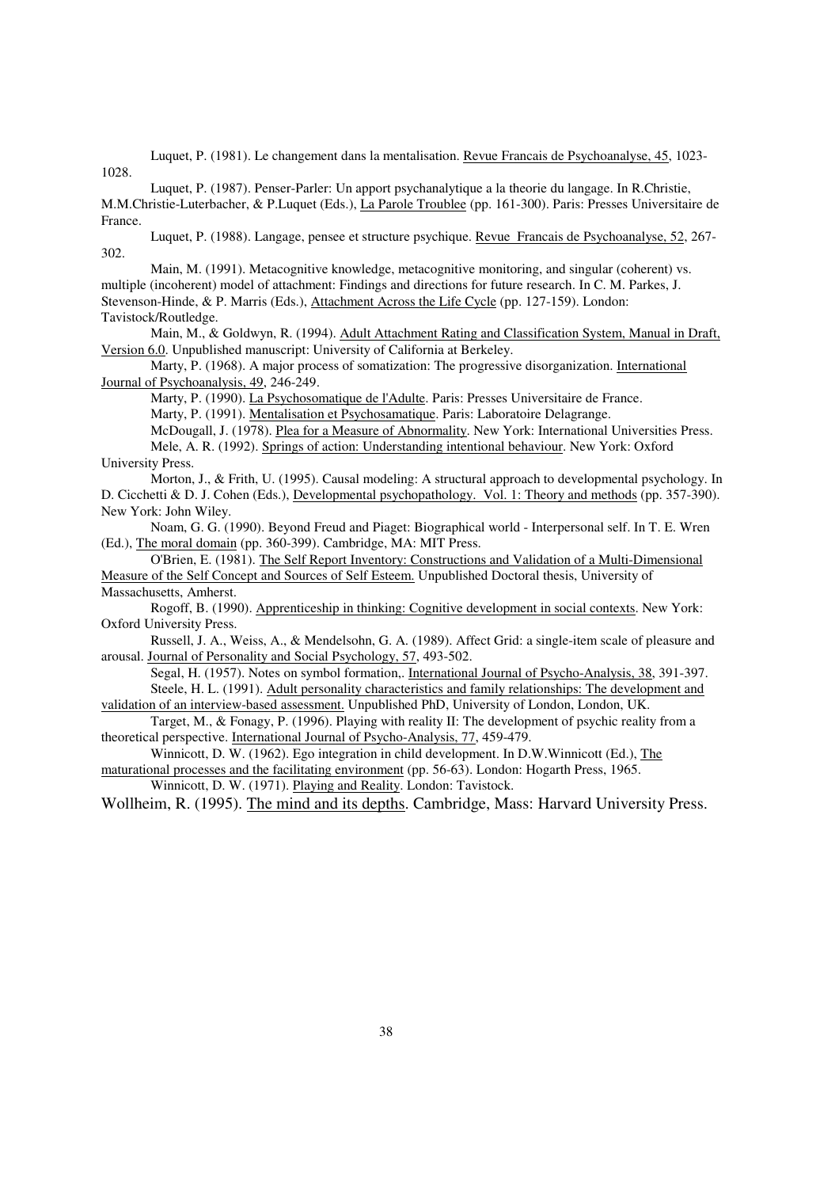Luquet, P. (1981). Le changement dans la mentalisation. Revue Francais de Psychoanalyse, 45, 1023- 1028.

 Luquet, P. (1987). Penser-Parler: Un apport psychanalytique a la theorie du langage. In R.Christie, M.M.Christie-Luterbacher, & P.Luquet (Eds.), La Parole Troublee (pp. 161-300). Paris: Presses Universitaire de France.

 Luquet, P. (1988). Langage, pensee et structure psychique. Revue Francais de Psychoanalyse, 52, 267- 302.

 Main, M. (1991). Metacognitive knowledge, metacognitive monitoring, and singular (coherent) vs. multiple (incoherent) model of attachment: Findings and directions for future research. In C. M. Parkes, J. Stevenson-Hinde, & P. Marris (Eds.), Attachment Across the Life Cycle (pp. 127-159). London: Tavistock/Routledge.

 Main, M., & Goldwyn, R. (1994). Adult Attachment Rating and Classification System, Manual in Draft, Version 6.0. Unpublished manuscript: University of California at Berkeley.

 Marty, P. (1968). A major process of somatization: The progressive disorganization. International Journal of Psychoanalysis, 49, 246-249.

Marty, P. (1990). La Psychosomatique de l'Adulte. Paris: Presses Universitaire de France. Marty, P. (1991). Mentalisation et Psychosamatique. Paris: Laboratoire Delagrange.

McDougall, J. (1978). Plea for a Measure of Abnormality. New York: International Universities Press.

 Mele, A. R. (1992). Springs of action: Understanding intentional behaviour. New York: Oxford University Press.

 Morton, J., & Frith, U. (1995). Causal modeling: A structural approach to developmental psychology. In D. Cicchetti & D. J. Cohen (Eds.), Developmental psychopathology. Vol. 1: Theory and methods (pp. 357-390). New York: John Wiley.

 Noam, G. G. (1990). Beyond Freud and Piaget: Biographical world - Interpersonal self. In T. E. Wren (Ed.), The moral domain (pp. 360-399). Cambridge, MA: MIT Press.

 O'Brien, E. (1981). The Self Report Inventory: Constructions and Validation of a Multi-Dimensional Measure of the Self Concept and Sources of Self Esteem. Unpublished Doctoral thesis, University of Massachusetts, Amherst.

 Rogoff, B. (1990). Apprenticeship in thinking: Cognitive development in social contexts. New York: Oxford University Press.

 Russell, J. A., Weiss, A., & Mendelsohn, G. A. (1989). Affect Grid: a single-item scale of pleasure and arousal. Journal of Personality and Social Psychology, 57, 493-502.

 Segal, H. (1957). Notes on symbol formation,. International Journal of Psycho-Analysis, 38, 391-397. Steele, H. L. (1991). Adult personality characteristics and family relationships: The development and

validation of an interview-based assessment. Unpublished PhD, University of London, London, UK. Target, M., & Fonagy, P. (1996). Playing with reality II: The development of psychic reality from a

theoretical perspective. International Journal of Psycho-Analysis, 77, 459-479.

 Winnicott, D. W. (1962). Ego integration in child development. In D.W.Winnicott (Ed.), The maturational processes and the facilitating environment (pp. 56-63). London: Hogarth Press, 1965.

Winnicott, D. W. (1971). Playing and Reality. London: Tavistock.

Wollheim, R. (1995). The mind and its depths. Cambridge, Mass: Harvard University Press.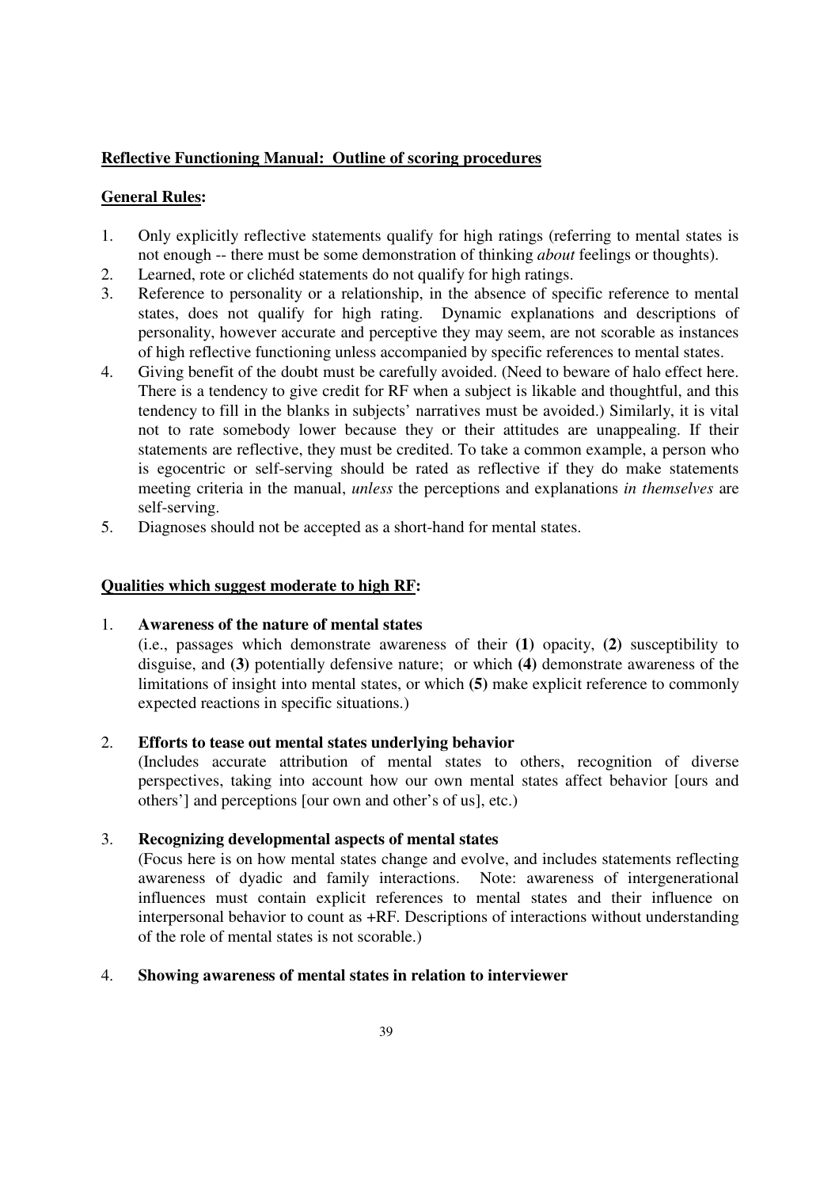# **Reflective Functioning Manual: Outline of scoring procedures**

# **General Rules:**

- 1. Only explicitly reflective statements qualify for high ratings (referring to mental states is not enough -- there must be some demonstration of thinking *about* feelings or thoughts).
- 2. Learned, rote or clichéd statements do not qualify for high ratings.
- 3. Reference to personality or a relationship, in the absence of specific reference to mental states, does not qualify for high rating. Dynamic explanations and descriptions of personality, however accurate and perceptive they may seem, are not scorable as instances of high reflective functioning unless accompanied by specific references to mental states.
- 4. Giving benefit of the doubt must be carefully avoided. (Need to beware of halo effect here. There is a tendency to give credit for RF when a subject is likable and thoughtful, and this tendency to fill in the blanks in subjects' narratives must be avoided.) Similarly, it is vital not to rate somebody lower because they or their attitudes are unappealing. If their statements are reflective, they must be credited. To take a common example, a person who is egocentric or self-serving should be rated as reflective if they do make statements meeting criteria in the manual, *unless* the perceptions and explanations *in themselves* are self-serving.
- 5. Diagnoses should not be accepted as a short-hand for mental states.

# **Qualities which suggest moderate to high RF:**

# 1. **Awareness of the nature of mental states**

 (i.e., passages which demonstrate awareness of their **(1)** opacity, **(2)** susceptibility to disguise, and **(3)** potentially defensive nature; or which **(4)** demonstrate awareness of the limitations of insight into mental states, or which **(5)** make explicit reference to commonly expected reactions in specific situations.)

# 2. **Efforts to tease out mental states underlying behavior**

 (Includes accurate attribution of mental states to others, recognition of diverse perspectives, taking into account how our own mental states affect behavior [ours and others'] and perceptions [our own and other's of us], etc.)

# 3. **Recognizing developmental aspects of mental states**

 (Focus here is on how mental states change and evolve, and includes statements reflecting awareness of dyadic and family interactions. Note: awareness of intergenerational influences must contain explicit references to mental states and their influence on interpersonal behavior to count as +RF. Descriptions of interactions without understanding of the role of mental states is not scorable.)

# 4. **Showing awareness of mental states in relation to interviewer**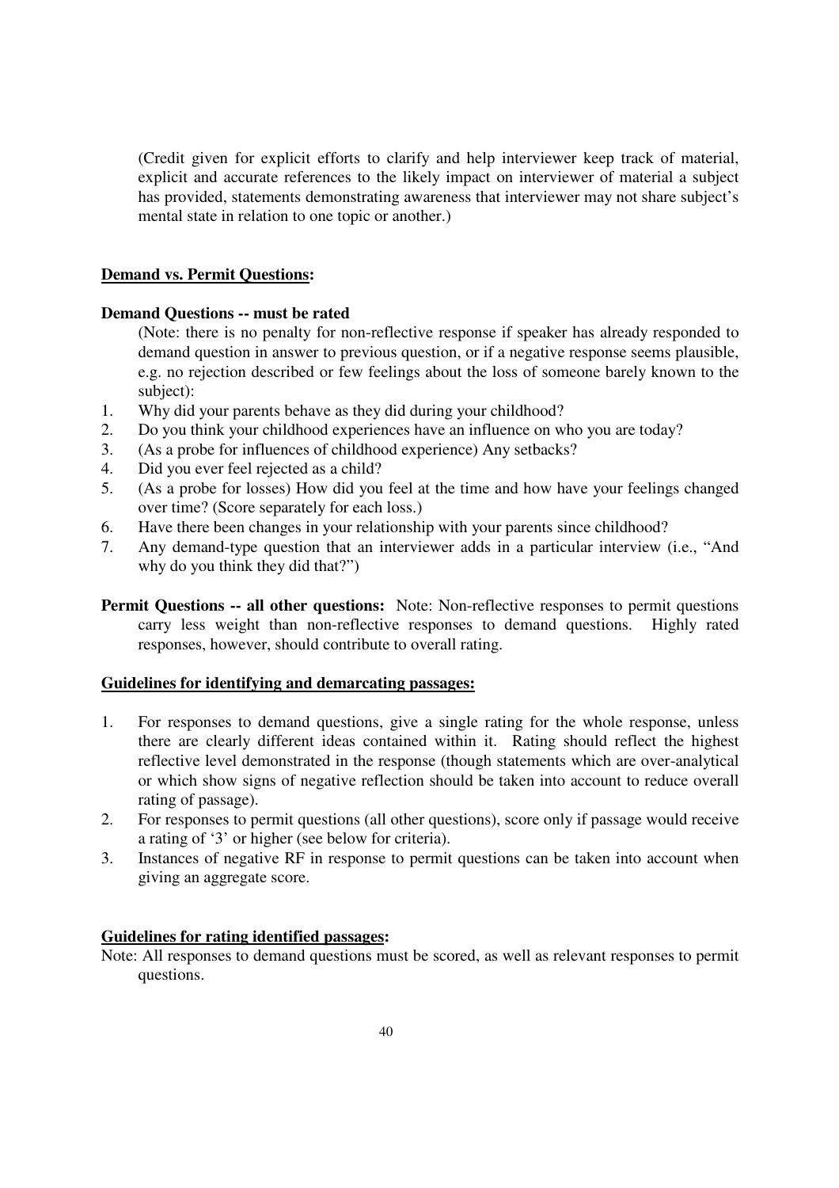(Credit given for explicit efforts to clarify and help interviewer keep track of material, explicit and accurate references to the likely impact on interviewer of material a subject has provided, statements demonstrating awareness that interviewer may not share subject's mental state in relation to one topic or another.)

# **Demand vs. Permit Questions:**

# **Demand Questions -- must be rated**

 (Note: there is no penalty for non-reflective response if speaker has already responded to demand question in answer to previous question, or if a negative response seems plausible, e.g. no rejection described or few feelings about the loss of someone barely known to the subject):

- 1. Why did your parents behave as they did during your childhood?
- 2. Do you think your childhood experiences have an influence on who you are today?
- 3. (As a probe for influences of childhood experience) Any setbacks?
- 4. Did you ever feel rejected as a child?
- 5. (As a probe for losses) How did you feel at the time and how have your feelings changed over time? (Score separately for each loss.)
- 6. Have there been changes in your relationship with your parents since childhood?
- 7. Any demand-type question that an interviewer adds in a particular interview (i.e., "And why do you think they did that?")
- **Permit Questions -- all other questions:** Note: Non-reflective responses to permit questions carry less weight than non-reflective responses to demand questions. Highly rated responses, however, should contribute to overall rating.

# **Guidelines for identifying and demarcating passages:**

- 1. For responses to demand questions, give a single rating for the whole response, unless there are clearly different ideas contained within it. Rating should reflect the highest reflective level demonstrated in the response (though statements which are over-analytical or which show signs of negative reflection should be taken into account to reduce overall rating of passage).
- 2. For responses to permit questions (all other questions), score only if passage would receive a rating of '3' or higher (see below for criteria).
- 3. Instances of negative RF in response to permit questions can be taken into account when giving an aggregate score.

# **Guidelines for rating identified passages:**

Note: All responses to demand questions must be scored, as well as relevant responses to permit questions.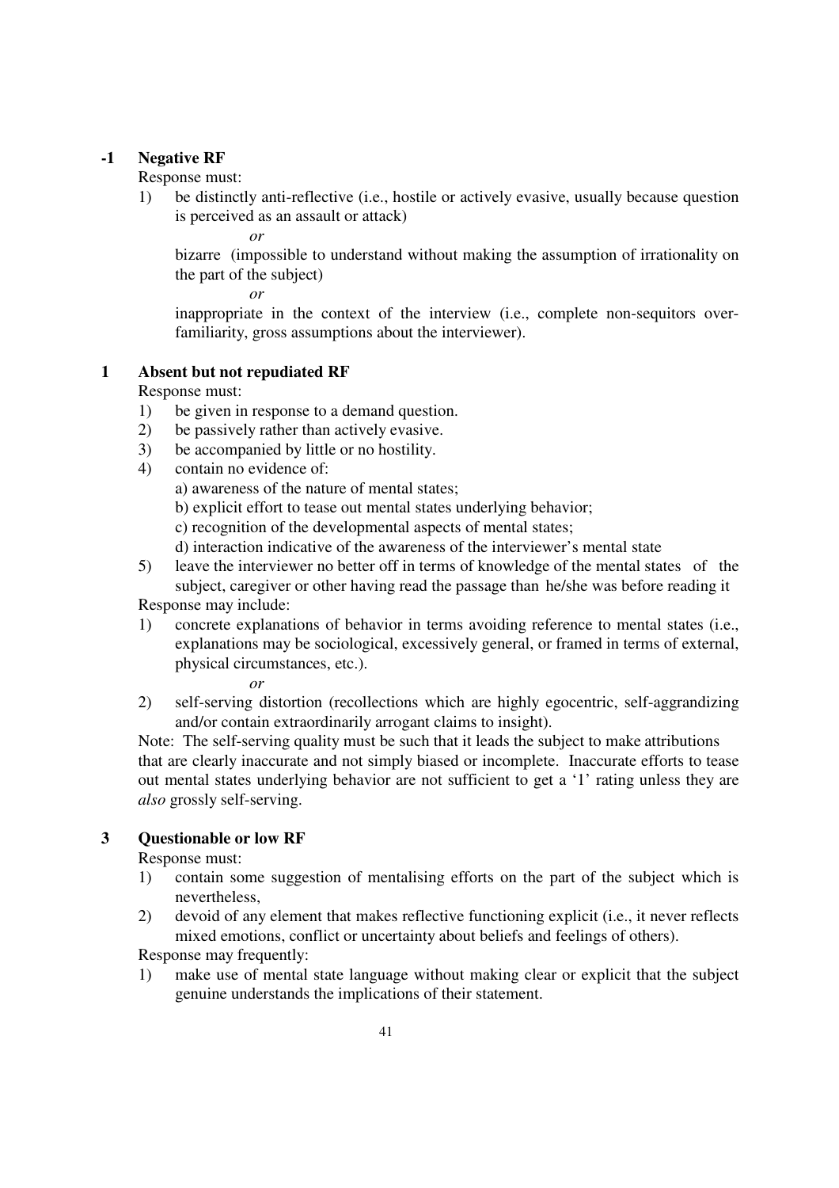# **-1 Negative RF**

Response must:

 1) be distinctly anti-reflective (i.e., hostile or actively evasive, usually because question is perceived as an assault or attack)

*or*

 bizarre (impossible to understand without making the assumption of irrationality on the part of the subject)

*or* 

 inappropriate in the context of the interview (i.e., complete non-sequitors overfamiliarity, gross assumptions about the interviewer).

# **1 Absent but not repudiated RF**

Response must:

- 1) be given in response to a demand question.
- 2) be passively rather than actively evasive.
- 3) be accompanied by little or no hostility.
- 4) contain no evidence of:
	- a) awareness of the nature of mental states;
	- b) explicit effort to tease out mental states underlying behavior;
	- c) recognition of the developmental aspects of mental states;
	- d) interaction indicative of the awareness of the interviewer's mental state
- 5) leave the interviewer no better off in terms of knowledge of the mental states of the subject, caregiver or other having read the passage than he/she was before reading it Response may include:
- 1) concrete explanations of behavior in terms avoiding reference to mental states (i.e., explanations may be sociological, excessively general, or framed in terms of external, physical circumstances, etc.).

*or*

 2) self-serving distortion (recollections which are highly egocentric, self-aggrandizing and/or contain extraordinarily arrogant claims to insight).

 Note: The self-serving quality must be such that it leads the subject to make attributions that are clearly inaccurate and not simply biased or incomplete. Inaccurate efforts to tease out mental states underlying behavior are not sufficient to get a '1' rating unless they are *also* grossly self-serving.

# **3 Questionable or low RF**

Response must:

- 1) contain some suggestion of mentalising efforts on the part of the subject which is nevertheless,
- 2) devoid of any element that makes reflective functioning explicit (i.e., it never reflects mixed emotions, conflict or uncertainty about beliefs and feelings of others).

Response may frequently:

 1) make use of mental state language without making clear or explicit that the subject genuine understands the implications of their statement.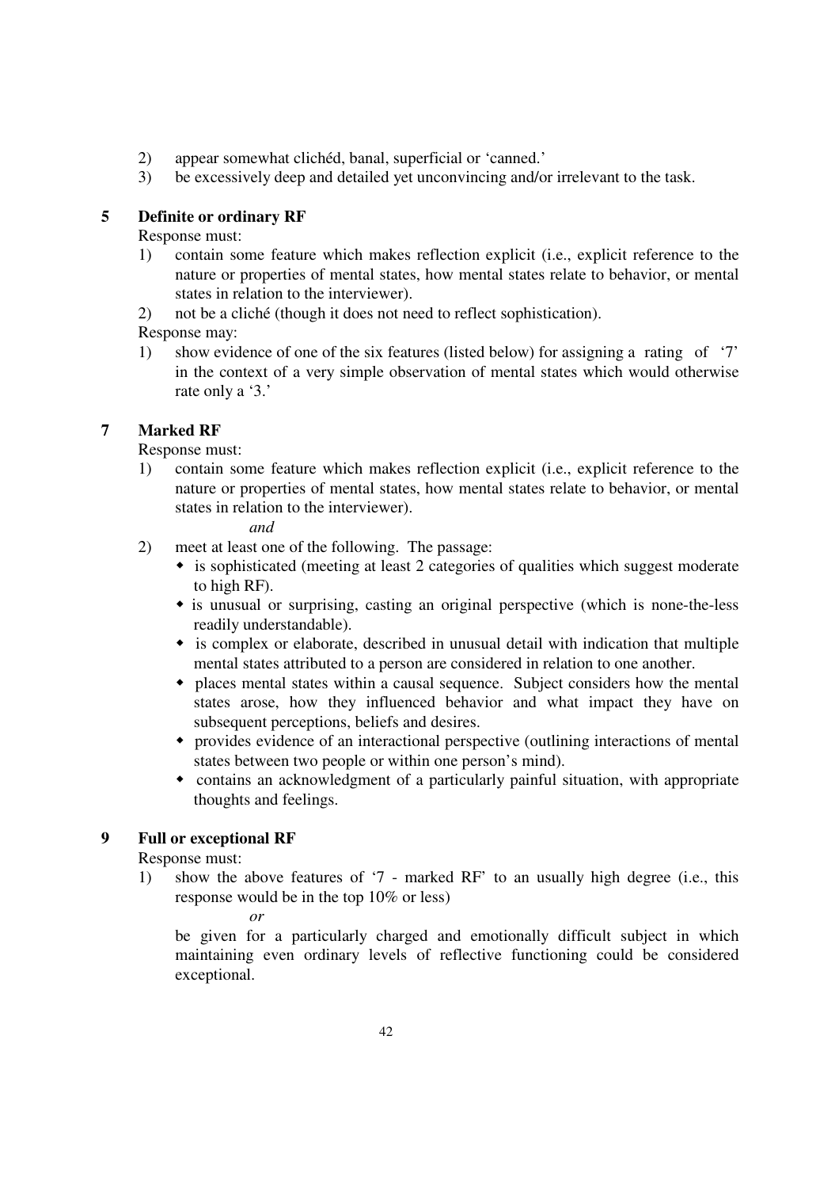- 2) appear somewhat clichéd, banal, superficial or 'canned.'
- 3) be excessively deep and detailed yet unconvincing and/or irrelevant to the task.

# **5 Definite or ordinary RF**

Response must:

- 1) contain some feature which makes reflection explicit (i.e., explicit reference to the nature or properties of mental states, how mental states relate to behavior, or mental states in relation to the interviewer).
- 2) not be a cliché (though it does not need to reflect sophistication).

Response may:

 1) show evidence of one of the six features (listed below) for assigning a rating of '7' in the context of a very simple observation of mental states which would otherwise rate only a '3.'

# **7 Marked RF**

Response must:

 1) contain some feature which makes reflection explicit (i.e., explicit reference to the nature or properties of mental states, how mental states relate to behavior, or mental states in relation to the interviewer).

# *and*

- 2) meet at least one of the following. The passage:
	- is sophisticated (meeting at least 2 categories of qualities which suggest moderate to high RF).
	- is unusual or surprising, casting an original perspective (which is none-the-less readily understandable).
	- is complex or elaborate, described in unusual detail with indication that multiple mental states attributed to a person are considered in relation to one another.
	- places mental states within a causal sequence. Subject considers how the mental states arose, how they influenced behavior and what impact they have on subsequent perceptions, beliefs and desires.
	- provides evidence of an interactional perspective (outlining interactions of mental states between two people or within one person's mind).
	- contains an acknowledgment of a particularly painful situation, with appropriate thoughts and feelings.

# **9 Full or exceptional RF**

Response must:

- 1) show the above features of '7 marked RF' to an usually high degree (i.e., this response would be in the top 10% or less)
- *or*

 be given for a particularly charged and emotionally difficult subject in which maintaining even ordinary levels of reflective functioning could be considered exceptional.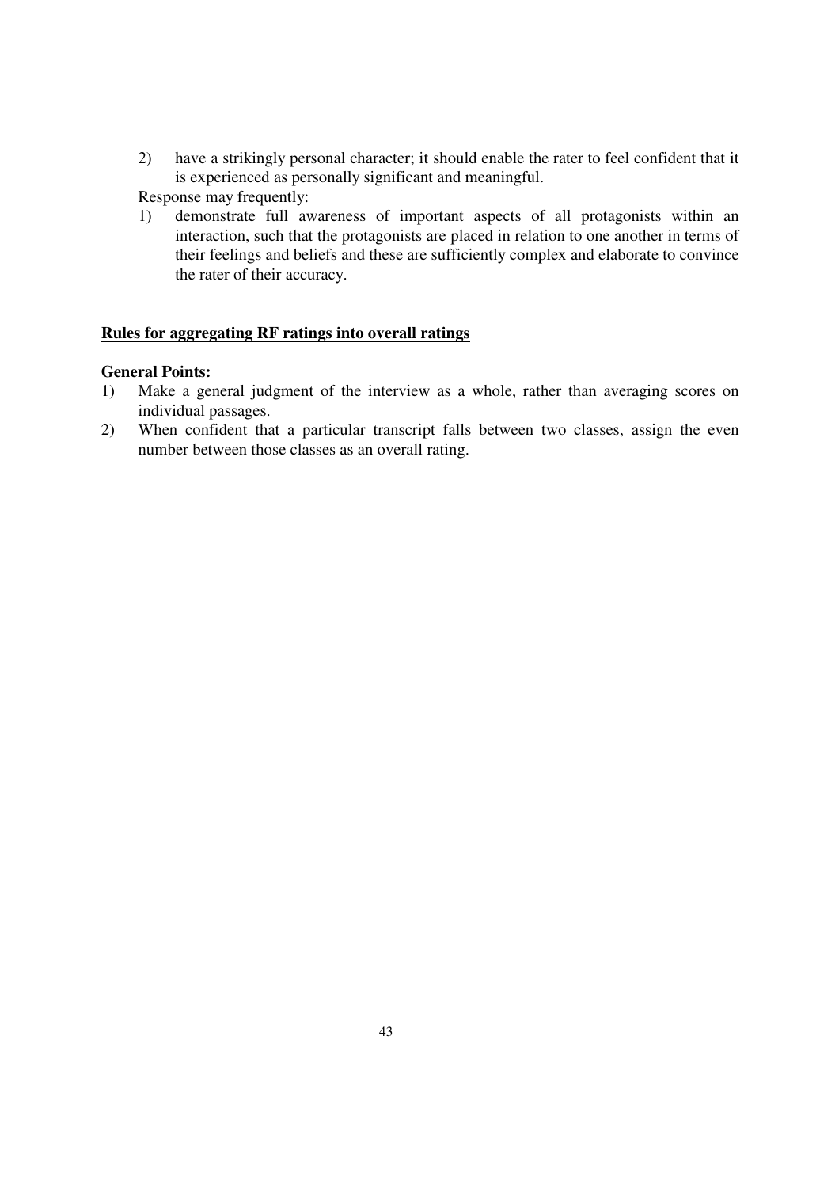2) have a strikingly personal character; it should enable the rater to feel confident that it is experienced as personally significant and meaningful.

Response may frequently:

 1) demonstrate full awareness of important aspects of all protagonists within an interaction, such that the protagonists are placed in relation to one another in terms of their feelings and beliefs and these are sufficiently complex and elaborate to convince the rater of their accuracy.

# **Rules for aggregating RF ratings into overall ratings**

# **General Points:**

- 1) Make a general judgment of the interview as a whole, rather than averaging scores on individual passages.
- 2) When confident that a particular transcript falls between two classes, assign the even number between those classes as an overall rating.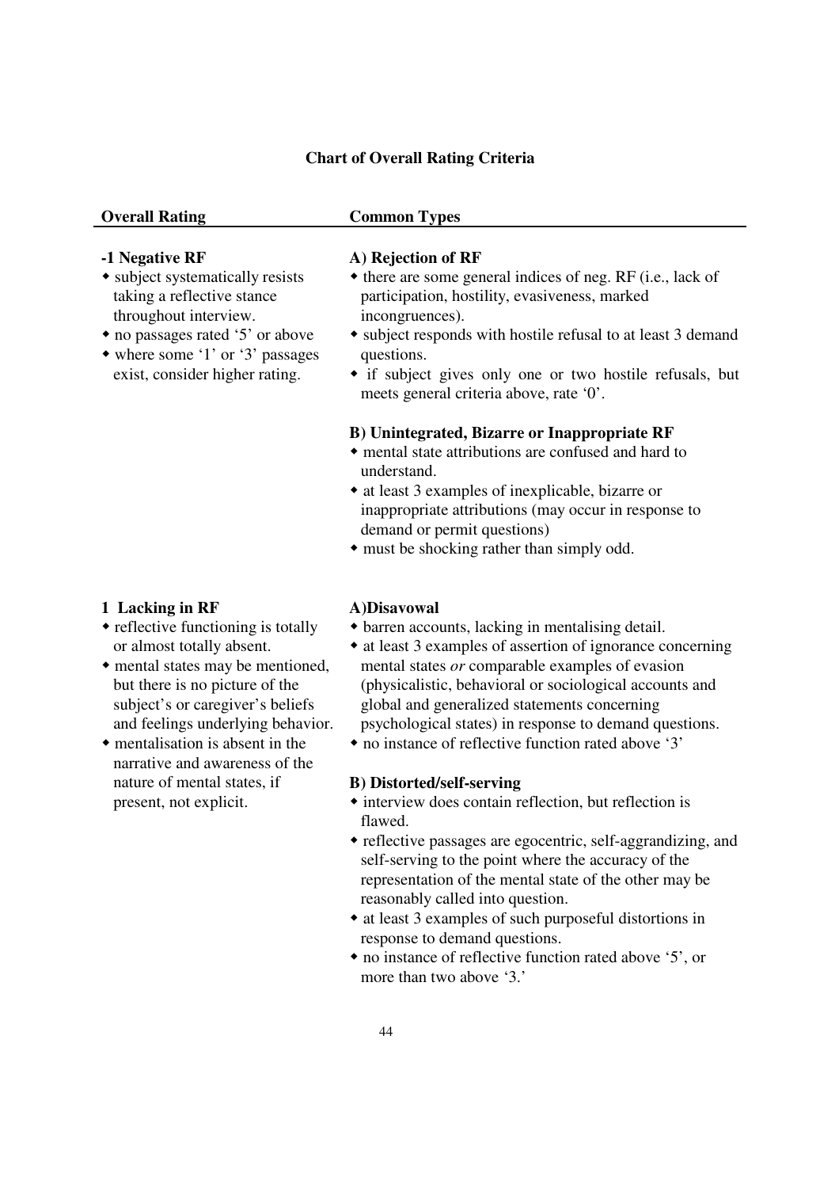# **Chart of Overall Rating Criteria**

# **Overall Rating Common Types**

# **-1 Negative RF**

- subject systematically resists taking a reflective stance throughout interview.
- no passages rated '5' or above
- where some '1' or '3' passages exist, consider higher rating.

# **A) Rejection of RF**

- $\bullet$  there are some general indices of neg. RF (i.e., lack of participation, hostility, evasiveness, marked incongruences).
- subject responds with hostile refusal to at least 3 demand questions.
- if subject gives only one or two hostile refusals, but meets general criteria above, rate '0'.

# **B) Unintegrated, Bizarre or Inappropriate RF**

- mental state attributions are confused and hard to understand.
- at least 3 examples of inexplicable, bizarre or inappropriate attributions (may occur in response to demand or permit questions)
- must be shocking rather than simply odd.

# **1 Lacking in RF**

- $\bullet$  reflective functioning is totally or almost totally absent.
- mental states may be mentioned, but there is no picture of the subject's or caregiver's beliefs and feelings underlying behavior.
- $\bullet$  mentalisation is absent in the narrative and awareness of the nature of mental states, if present, not explicit.

## **A)Disavowal**

- barren accounts, lacking in mentalising detail.
- at least 3 examples of assertion of ignorance concerning mental states *or* comparable examples of evasion (physicalistic, behavioral or sociological accounts and global and generalized statements concerning psychological states) in response to demand questions.
- no instance of reflective function rated above '3'

# **B) Distorted/self-serving**

- interview does contain reflection, but reflection is flawed.
- reflective passages are egocentric, self-aggrandizing, and self-serving to the point where the accuracy of the representation of the mental state of the other may be reasonably called into question.
- at least 3 examples of such purposeful distortions in response to demand questions.
- no instance of reflective function rated above '5', or more than two above '3.'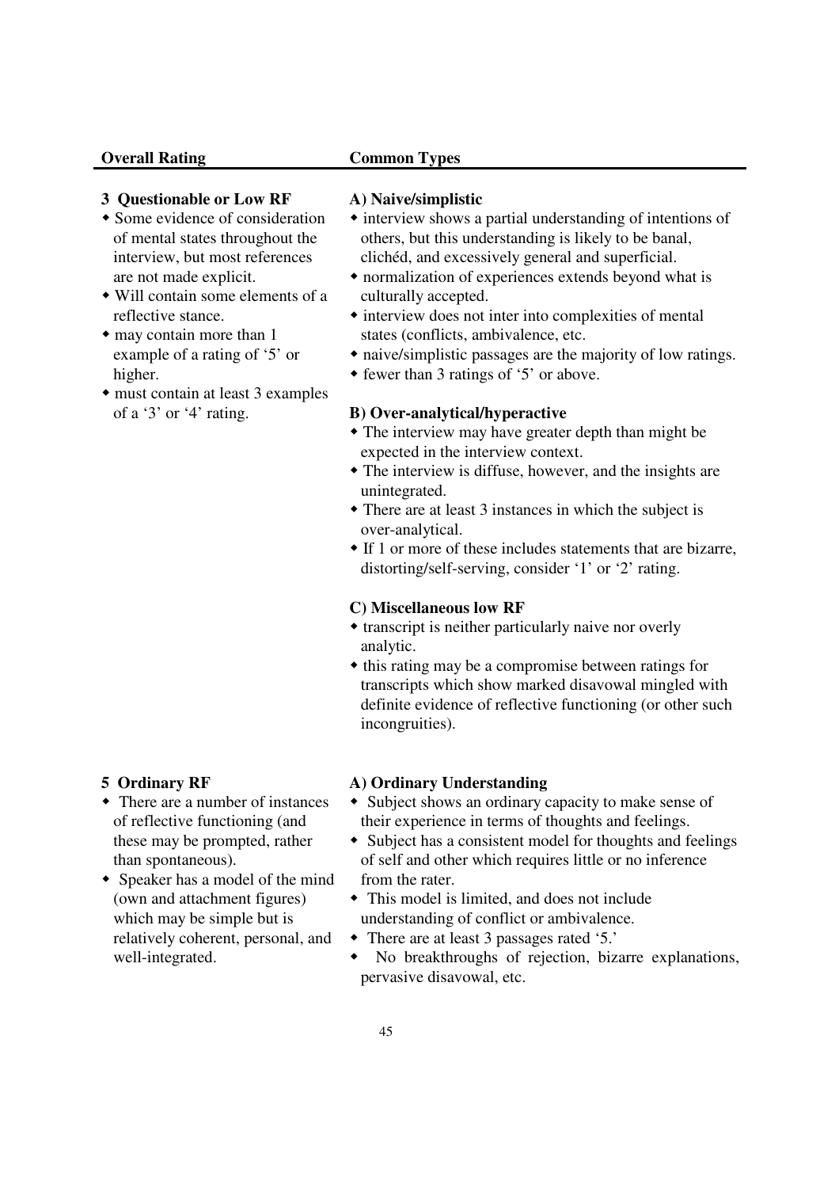# **Overall Rating Common Types**

# **3 Questionable or Low RF**

- Some evidence of consideration of mental states throughout the interview, but most references are not made explicit.
- Will contain some elements of a reflective stance.
- may contain more than 1 example of a rating of '5' or higher.
- must contain at least 3 examples of a '3' or '4' rating.

# **A) Naive/simplistic**

- interview shows a partial understanding of intentions of others, but this understanding is likely to be banal, clichéd, and excessively general and superficial.
- normalization of experiences extends beyond what is culturally accepted.
- $\bullet$  interview does not inter into complexities of mental states (conflicts, ambivalence, etc.
- naive/simplistic passages are the majority of low ratings.
- fewer than 3 ratings of '5' or above.

# **B) Over-analytical/hyperactive**

- The interview may have greater depth than might be expected in the interview context.
- The interview is diffuse, however, and the insights are unintegrated.
- There are at least 3 instances in which the subject is over-analytical.
- If 1 or more of these includes statements that are bizarre, distorting/self-serving, consider '1' or '2' rating.

# **C) Miscellaneous low RF**

- transcript is neither particularly naive nor overly analytic.
- $\bullet$  this rating may be a compromise between ratings for transcripts which show marked disavowal mingled with definite evidence of reflective functioning (or other such incongruities).

# **5 Ordinary RF**

- There are a number of instances of reflective functioning (and these may be prompted, rather than spontaneous).
- Speaker has a model of the mind (own and attachment figures) which may be simple but is relatively coherent, personal, and well-integrated.

# **A) Ordinary Understanding**

- Subject shows an ordinary capacity to make sense of their experience in terms of thoughts and feelings.
- Subject has a consistent model for thoughts and feelings of self and other which requires little or no inference from the rater.
- This model is limited, and does not include understanding of conflict or ambivalence.
- There are at least 3 passages rated '5.'
- No breakthroughs of rejection, bizarre explanations, pervasive disavowal, etc.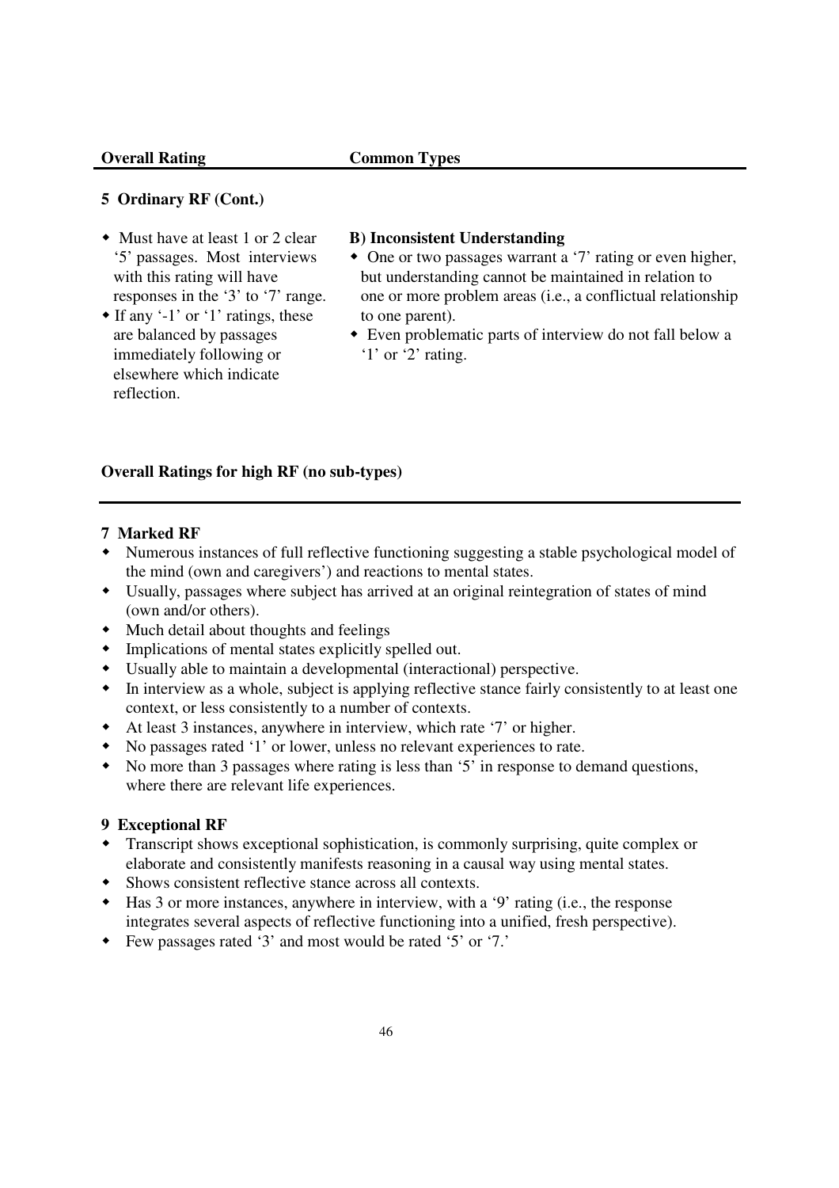# **5 Ordinary RF (Cont.)**

- Must have at least 1 or 2 clear '5' passages. Most interviews with this rating will have responses in the '3' to '7' range.
- $\bullet$  If any '-1' or '1' ratings, these are balanced by passages immediately following or elsewhere which indicate reflection.

# **B) Inconsistent Understanding**

- One or two passages warrant a '7' rating or even higher, but understanding cannot be maintained in relation to one or more problem areas (i.e., a conflictual relationship to one parent).
- Even problematic parts of interview do not fall below a '1' or '2' rating.

# **Overall Ratings for high RF (no sub-types)**

# **7 Marked RF**

- Numerous instances of full reflective functioning suggesting a stable psychological model of the mind (own and caregivers') and reactions to mental states.
- Usually, passages where subject has arrived at an original reintegration of states of mind (own and/or others).
- Much detail about thoughts and feelings
- Implications of mental states explicitly spelled out.
- Usually able to maintain a developmental (interactional) perspective.
- In interview as a whole, subject is applying reflective stance fairly consistently to at least one context, or less consistently to a number of contexts.
- At least 3 instances, anywhere in interview, which rate '7' or higher.
- No passages rated '1' or lower, unless no relevant experiences to rate.
- No more than 3 passages where rating is less than '5' in response to demand questions, where there are relevant life experiences.

# **9 Exceptional RF**

- Transcript shows exceptional sophistication, is commonly surprising, quite complex or elaborate and consistently manifests reasoning in a causal way using mental states.
- Shows consistent reflective stance across all contexts.
- Has 3 or more instances, anywhere in interview, with a '9' rating (i.e., the response integrates several aspects of reflective functioning into a unified, fresh perspective).
- Few passages rated '3' and most would be rated '5' or '7.'